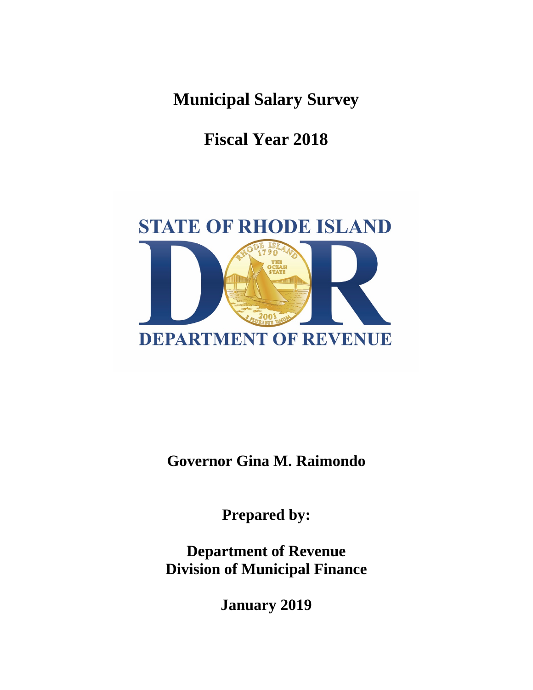**Municipal Salary Survey**

**Fiscal Year 2018**



**Governor Gina M. Raimondo**

**Prepared by:**

**Department of Revenue Division of Municipal Finance** 

**January 2019**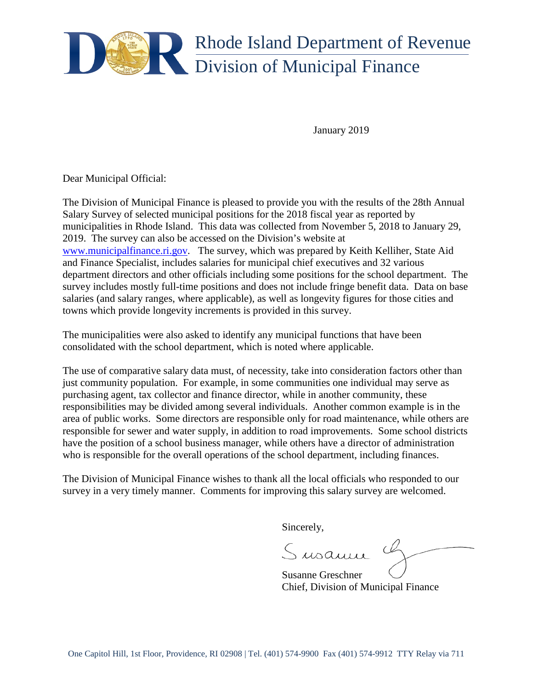

January 2019

Dear Municipal Official:

The Division of Municipal Finance is pleased to provide you with the results of the 28th Annual Salary Survey of selected municipal positions for the 2018 fiscal year as reported by municipalities in Rhode Island. This data was collected from November 5, 2018 to January 29, 2019. The survey can also be accessed on the Division's website at [www.municipalfinance.ri.gov.](http://www.municipalfinance.ri.gov/) The survey, which was prepared by Keith Kelliher, State Aid and Finance Specialist, includes salaries for municipal chief executives and 32 various department directors and other officials including some positions for the school department. The survey includes mostly full-time positions and does not include fringe benefit data. Data on base salaries (and salary ranges, where applicable), as well as longevity figures for those cities and towns which provide longevity increments is provided in this survey.

The municipalities were also asked to identify any municipal functions that have been consolidated with the school department, which is noted where applicable.

The use of comparative salary data must, of necessity, take into consideration factors other than just community population. For example, in some communities one individual may serve as purchasing agent, tax collector and finance director, while in another community, these responsibilities may be divided among several individuals. Another common example is in the area of public works. Some directors are responsible only for road maintenance, while others are responsible for sewer and water supply, in addition to road improvements. Some school districts have the position of a school business manager, while others have a director of administration who is responsible for the overall operations of the school department, including finances.

The Division of Municipal Finance wishes to thank all the local officials who responded to our survey in a very timely manner. Comments for improving this salary survey are welcomed.

Sincerely,

Susanne

Susanne Greschner Chief, Division of Municipal Finance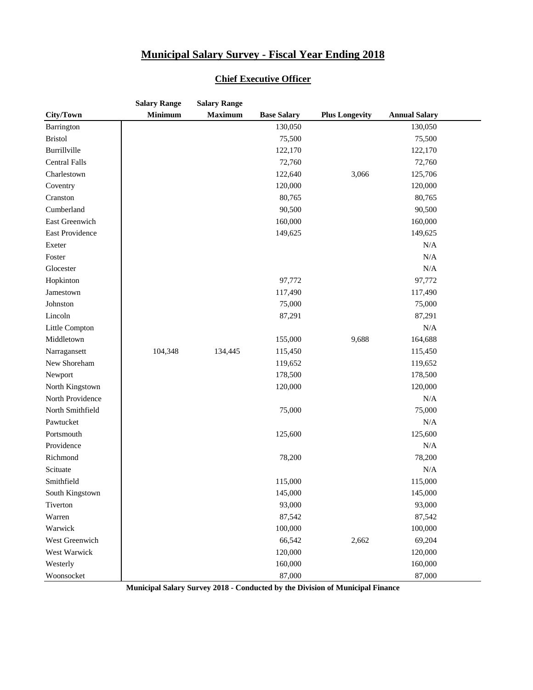|                      | <b>Salary Range</b> | <b>Salary Range</b> |                    |                       |                      |  |
|----------------------|---------------------|---------------------|--------------------|-----------------------|----------------------|--|
| City/Town            | <b>Minimum</b>      | <b>Maximum</b>      | <b>Base Salary</b> | <b>Plus Longevity</b> | <b>Annual Salary</b> |  |
| Barrington           |                     |                     | 130,050            |                       | 130,050              |  |
| <b>Bristol</b>       |                     |                     | 75,500             |                       | 75,500               |  |
| Burrillville         |                     |                     | 122,170            |                       | 122,170              |  |
| <b>Central Falls</b> |                     |                     | 72,760             |                       | 72,760               |  |
| Charlestown          |                     |                     | 122,640            | 3,066                 | 125,706              |  |
| Coventry             |                     |                     | 120,000            |                       | 120,000              |  |
| Cranston             |                     |                     | 80,765             |                       | 80,765               |  |
| Cumberland           |                     |                     | 90,500             |                       | 90,500               |  |
| East Greenwich       |                     |                     | 160,000            |                       | 160,000              |  |
| East Providence      |                     |                     | 149,625            |                       | 149,625              |  |
| Exeter               |                     |                     |                    |                       | N/A                  |  |
| Foster               |                     |                     |                    |                       | N/A                  |  |
| Glocester            |                     |                     |                    |                       | N/A                  |  |
| Hopkinton            |                     |                     | 97,772             |                       | 97,772               |  |
| Jamestown            |                     |                     | 117,490            |                       | 117,490              |  |
| Johnston             |                     |                     | 75,000             |                       | 75,000               |  |
| Lincoln              |                     |                     | 87,291             |                       | 87,291               |  |
| Little Compton       |                     |                     |                    |                       | N/A                  |  |
| Middletown           |                     |                     | 155,000            | 9,688                 | 164,688              |  |
| Narragansett         | 104,348             | 134,445             | 115,450            |                       | 115,450              |  |
| New Shoreham         |                     |                     | 119,652            |                       | 119,652              |  |
| Newport              |                     |                     | 178,500            |                       | 178,500              |  |
| North Kingstown      |                     |                     | 120,000            |                       | 120,000              |  |
| North Providence     |                     |                     |                    |                       | N/A                  |  |
| North Smithfield     |                     |                     | 75,000             |                       | 75,000               |  |
| Pawtucket            |                     |                     |                    |                       | N/A                  |  |
| Portsmouth           |                     |                     | 125,600            |                       | 125,600              |  |
| Providence           |                     |                     |                    |                       | N/A                  |  |
| Richmond             |                     |                     | 78,200             |                       | 78,200               |  |
| Scituate             |                     |                     |                    |                       | N/A                  |  |
| Smithfield           |                     |                     | 115,000            |                       | 115,000              |  |
| South Kingstown      |                     |                     | 145,000            |                       | 145,000              |  |
| Tiverton             |                     |                     | 93,000             |                       | 93,000               |  |
| Warren               |                     |                     | 87,542             |                       | 87,542               |  |
| Warwick              |                     |                     | 100,000            |                       | 100,000              |  |
| West Greenwich       |                     |                     | 66,542             | 2,662                 | 69,204               |  |
| West Warwick         |                     |                     | 120,000            |                       | 120,000              |  |
| Westerly             |                     |                     | 160,000            |                       | 160,000              |  |
| Woonsocket           |                     |                     | 87,000             |                       | 87,000               |  |

#### **Chief Executive Officer**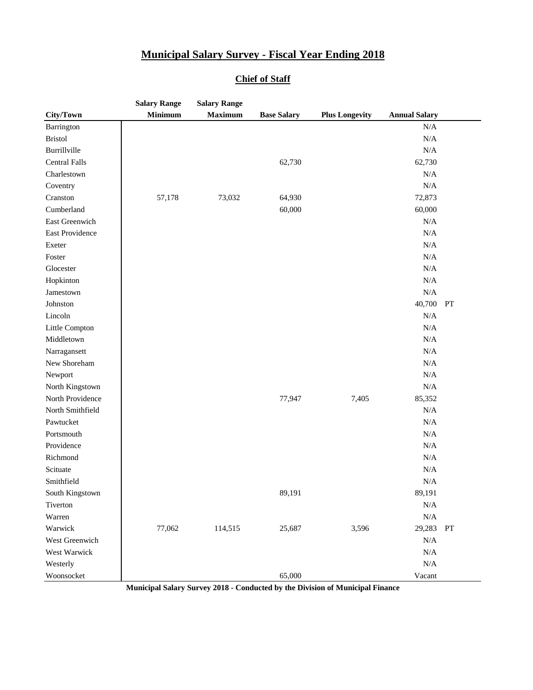| <b>Minimum</b><br><b>Maximum</b><br>City/Town<br><b>Base Salary</b><br><b>Plus Longevity</b><br>N/A<br>Barrington<br><b>Bristol</b><br>$\rm N/A$<br>Burrillville<br>N/A<br><b>Central Falls</b><br>62,730<br>62,730<br>Charlestown<br>N/A<br>N/A<br>Coventry<br>Cranston<br>72,873<br>57,178<br>73,032<br>64,930<br>60,000<br>60,000<br>Cumberland<br>East Greenwich<br>N/A<br>N/A<br>East Providence<br>N/A<br>Exeter<br>Foster<br>N/A<br>N/A<br>Glocester<br>N/A<br>Hopkinton<br>N/A<br>Jamestown<br>40,700<br>Johnston<br>PT<br>Lincoln<br>N/A<br>Little Compton<br>N/A |            | <b>Salary Range</b> | <b>Salary Range</b> |  |                      |  |
|----------------------------------------------------------------------------------------------------------------------------------------------------------------------------------------------------------------------------------------------------------------------------------------------------------------------------------------------------------------------------------------------------------------------------------------------------------------------------------------------------------------------------------------------------------------------------|------------|---------------------|---------------------|--|----------------------|--|
|                                                                                                                                                                                                                                                                                                                                                                                                                                                                                                                                                                            |            |                     |                     |  | <b>Annual Salary</b> |  |
|                                                                                                                                                                                                                                                                                                                                                                                                                                                                                                                                                                            |            |                     |                     |  |                      |  |
|                                                                                                                                                                                                                                                                                                                                                                                                                                                                                                                                                                            |            |                     |                     |  |                      |  |
|                                                                                                                                                                                                                                                                                                                                                                                                                                                                                                                                                                            |            |                     |                     |  |                      |  |
|                                                                                                                                                                                                                                                                                                                                                                                                                                                                                                                                                                            |            |                     |                     |  |                      |  |
|                                                                                                                                                                                                                                                                                                                                                                                                                                                                                                                                                                            |            |                     |                     |  |                      |  |
|                                                                                                                                                                                                                                                                                                                                                                                                                                                                                                                                                                            |            |                     |                     |  |                      |  |
|                                                                                                                                                                                                                                                                                                                                                                                                                                                                                                                                                                            |            |                     |                     |  |                      |  |
|                                                                                                                                                                                                                                                                                                                                                                                                                                                                                                                                                                            |            |                     |                     |  |                      |  |
|                                                                                                                                                                                                                                                                                                                                                                                                                                                                                                                                                                            |            |                     |                     |  |                      |  |
|                                                                                                                                                                                                                                                                                                                                                                                                                                                                                                                                                                            |            |                     |                     |  |                      |  |
|                                                                                                                                                                                                                                                                                                                                                                                                                                                                                                                                                                            |            |                     |                     |  |                      |  |
|                                                                                                                                                                                                                                                                                                                                                                                                                                                                                                                                                                            |            |                     |                     |  |                      |  |
|                                                                                                                                                                                                                                                                                                                                                                                                                                                                                                                                                                            |            |                     |                     |  |                      |  |
|                                                                                                                                                                                                                                                                                                                                                                                                                                                                                                                                                                            |            |                     |                     |  |                      |  |
|                                                                                                                                                                                                                                                                                                                                                                                                                                                                                                                                                                            |            |                     |                     |  |                      |  |
|                                                                                                                                                                                                                                                                                                                                                                                                                                                                                                                                                                            |            |                     |                     |  |                      |  |
|                                                                                                                                                                                                                                                                                                                                                                                                                                                                                                                                                                            |            |                     |                     |  |                      |  |
|                                                                                                                                                                                                                                                                                                                                                                                                                                                                                                                                                                            |            |                     |                     |  |                      |  |
|                                                                                                                                                                                                                                                                                                                                                                                                                                                                                                                                                                            | Middletown |                     |                     |  | N/A                  |  |
| N/A<br>Narragansett                                                                                                                                                                                                                                                                                                                                                                                                                                                                                                                                                        |            |                     |                     |  |                      |  |
| New Shoreham<br>N/A                                                                                                                                                                                                                                                                                                                                                                                                                                                                                                                                                        |            |                     |                     |  |                      |  |
| N/A<br>Newport                                                                                                                                                                                                                                                                                                                                                                                                                                                                                                                                                             |            |                     |                     |  |                      |  |
| N/A<br>North Kingstown                                                                                                                                                                                                                                                                                                                                                                                                                                                                                                                                                     |            |                     |                     |  |                      |  |
| North Providence<br>77,947<br>7,405<br>85,352                                                                                                                                                                                                                                                                                                                                                                                                                                                                                                                              |            |                     |                     |  |                      |  |
| North Smithfield<br>N/A                                                                                                                                                                                                                                                                                                                                                                                                                                                                                                                                                    |            |                     |                     |  |                      |  |
| Pawtucket<br>N/A                                                                                                                                                                                                                                                                                                                                                                                                                                                                                                                                                           |            |                     |                     |  |                      |  |
| N/A<br>Portsmouth                                                                                                                                                                                                                                                                                                                                                                                                                                                                                                                                                          |            |                     |                     |  |                      |  |
| Providence<br>N/A                                                                                                                                                                                                                                                                                                                                                                                                                                                                                                                                                          |            |                     |                     |  |                      |  |
| $\rm N/A$<br>Richmond                                                                                                                                                                                                                                                                                                                                                                                                                                                                                                                                                      |            |                     |                     |  |                      |  |
| Scituate<br>N/A                                                                                                                                                                                                                                                                                                                                                                                                                                                                                                                                                            |            |                     |                     |  |                      |  |
| N/A<br>Smithfield                                                                                                                                                                                                                                                                                                                                                                                                                                                                                                                                                          |            |                     |                     |  |                      |  |
| 89,191<br>South Kingstown<br>89,191                                                                                                                                                                                                                                                                                                                                                                                                                                                                                                                                        |            |                     |                     |  |                      |  |
| Tiverton<br>N/A                                                                                                                                                                                                                                                                                                                                                                                                                                                                                                                                                            |            |                     |                     |  |                      |  |
| Warren<br>N/A                                                                                                                                                                                                                                                                                                                                                                                                                                                                                                                                                              |            |                     |                     |  |                      |  |
| Warwick<br>77,062<br>3,596<br>114,515<br>25,687<br>29,283<br>PT                                                                                                                                                                                                                                                                                                                                                                                                                                                                                                            |            |                     |                     |  |                      |  |
| West Greenwich<br>N/A                                                                                                                                                                                                                                                                                                                                                                                                                                                                                                                                                      |            |                     |                     |  |                      |  |
| West Warwick<br>N/A                                                                                                                                                                                                                                                                                                                                                                                                                                                                                                                                                        |            |                     |                     |  |                      |  |
| Westerly<br>N/A                                                                                                                                                                                                                                                                                                                                                                                                                                                                                                                                                            |            |                     |                     |  |                      |  |
| 65,000<br>Woonsocket<br>Vacant                                                                                                                                                                                                                                                                                                                                                                                                                                                                                                                                             |            |                     |                     |  |                      |  |

#### **Chief of Staff**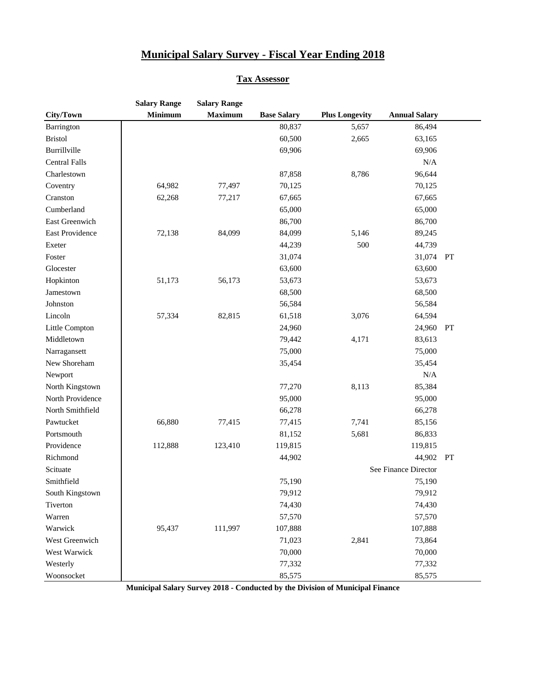#### **Tax Assessor**

|                      | <b>Salary Range</b> | <b>Salary Range</b> |                    |                       |                      |    |
|----------------------|---------------------|---------------------|--------------------|-----------------------|----------------------|----|
| City/Town            | <b>Minimum</b>      | <b>Maximum</b>      | <b>Base Salary</b> | <b>Plus Longevity</b> | <b>Annual Salary</b> |    |
| Barrington           |                     |                     | 80,837             | 5,657                 | 86,494               |    |
| <b>Bristol</b>       |                     |                     | 60,500             | 2,665                 | 63,165               |    |
| Burrillville         |                     |                     | 69,906             |                       | 69,906               |    |
| <b>Central Falls</b> |                     |                     |                    |                       | N/A                  |    |
| Charlestown          |                     |                     | 87,858             | 8,786                 | 96,644               |    |
| Coventry             | 64,982              | 77,497              | 70,125             |                       | 70,125               |    |
| Cranston             | 62,268              | 77,217              | 67,665             |                       | 67,665               |    |
| Cumberland           |                     |                     | 65,000             |                       | 65,000               |    |
| East Greenwich       |                     |                     | 86,700             |                       | 86,700               |    |
| East Providence      | 72,138              | 84,099              | 84,099             | 5,146                 | 89,245               |    |
| Exeter               |                     |                     | 44,239             | 500                   | 44,739               |    |
| Foster               |                     |                     | 31,074             |                       | 31,074               | PT |
| Glocester            |                     |                     | 63,600             |                       | 63,600               |    |
| Hopkinton            | 51,173              | 56,173              | 53,673             |                       | 53,673               |    |
| Jamestown            |                     |                     | 68,500             |                       | 68,500               |    |
| Johnston             |                     |                     | 56,584             |                       | 56,584               |    |
| Lincoln              | 57,334              | 82,815              | 61,518             | 3,076                 | 64,594               |    |
| Little Compton       |                     |                     | 24,960             |                       | 24,960               | PT |
| Middletown           |                     |                     | 79,442             | 4,171                 | 83,613               |    |
| Narragansett         |                     |                     | 75,000             |                       | 75,000               |    |
| New Shoreham         |                     |                     | 35,454             |                       | 35,454               |    |
| Newport              |                     |                     |                    |                       | N/A                  |    |
| North Kingstown      |                     |                     | 77,270             | 8,113                 | 85,384               |    |
| North Providence     |                     |                     | 95,000             |                       | 95,000               |    |
| North Smithfield     |                     |                     | 66,278             |                       | 66,278               |    |
| Pawtucket            | 66,880              | 77,415              | 77,415             | 7,741                 | 85,156               |    |
| Portsmouth           |                     |                     | 81,152             | 5,681                 | 86,833               |    |
| Providence           | 112,888             | 123,410             | 119,815            |                       | 119,815              |    |
| Richmond             |                     |                     | 44,902             |                       | 44,902 PT            |    |
| Scituate             |                     |                     |                    |                       | See Finance Director |    |
| Smithfield           |                     |                     | 75,190             |                       | 75,190               |    |
| South Kingstown      |                     |                     | 79,912             |                       | 79,912               |    |
| Tiverton             |                     |                     | 74,430             |                       | 74,430               |    |
| Warren               |                     |                     | 57,570             |                       | 57,570               |    |
| Warwick              | 95,437              | 111,997             | 107,888            |                       | 107,888              |    |
| West Greenwich       |                     |                     | 71,023             | 2,841                 | 73,864               |    |
| West Warwick         |                     |                     | 70,000             |                       | 70,000               |    |
| Westerly             |                     |                     | 77,332             |                       | 77,332               |    |
| Woonsocket           |                     |                     | 85,575             |                       | 85,575               |    |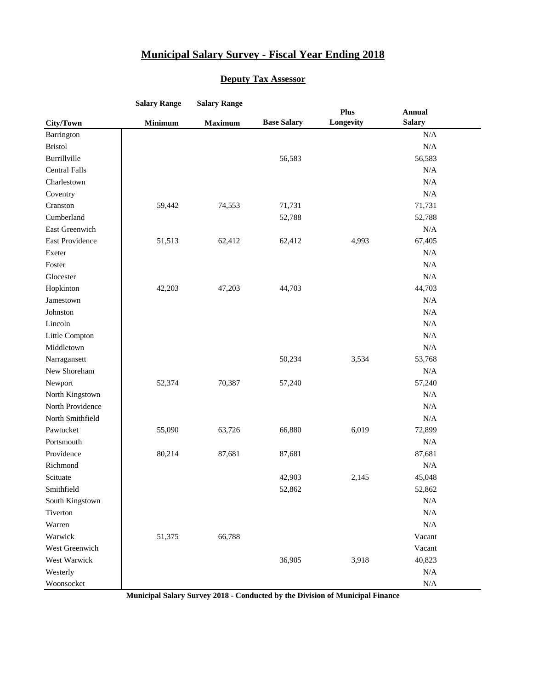#### **Deputy Tax Assessor**

|                      | <b>Salary Range</b> | <b>Salary Range</b> |                    |                   |                                |  |
|----------------------|---------------------|---------------------|--------------------|-------------------|--------------------------------|--|
| City/Town            | <b>Minimum</b>      | <b>Maximum</b>      | <b>Base Salary</b> | Plus<br>Longevity | <b>Annual</b><br><b>Salary</b> |  |
| Barrington           |                     |                     |                    |                   | N/A                            |  |
| <b>Bristol</b>       |                     |                     |                    |                   | N/A                            |  |
| Burrillville         |                     |                     | 56,583             |                   | 56,583                         |  |
| <b>Central Falls</b> |                     |                     |                    |                   | N/A                            |  |
| Charlestown          |                     |                     |                    |                   | N/A                            |  |
| Coventry             |                     |                     |                    |                   | N/A                            |  |
| Cranston             | 59,442              | 74,553              | 71,731             |                   | 71,731                         |  |
| Cumberland           |                     |                     | 52,788             |                   | 52,788                         |  |
| East Greenwich       |                     |                     |                    |                   | N/A                            |  |
| East Providence      | 51,513              | 62,412              | 62,412             | 4,993             | 67,405                         |  |
| Exeter               |                     |                     |                    |                   | N/A                            |  |
| Foster               |                     |                     |                    |                   | N/A                            |  |
| Glocester            |                     |                     |                    |                   | N/A                            |  |
| Hopkinton            | 42,203              | 47,203              | 44,703             |                   | 44,703                         |  |
| Jamestown            |                     |                     |                    |                   | N/A                            |  |
| Johnston             |                     |                     |                    |                   | N/A                            |  |
| Lincoln              |                     |                     |                    |                   | N/A                            |  |
| Little Compton       |                     |                     |                    |                   | N/A                            |  |
| Middletown           |                     |                     |                    |                   | N/A                            |  |
| Narragansett         |                     |                     | 50,234             | 3,534             | 53,768                         |  |
| New Shoreham         |                     |                     |                    |                   | N/A                            |  |
| Newport              | 52,374              | 70,387              | 57,240             |                   | 57,240                         |  |
| North Kingstown      |                     |                     |                    |                   | N/A                            |  |
| North Providence     |                     |                     |                    |                   | N/A                            |  |
| North Smithfield     |                     |                     |                    |                   | N/A                            |  |
| Pawtucket            | 55,090              | 63,726              | 66,880             | 6,019             | 72,899                         |  |
| Portsmouth           |                     |                     |                    |                   | N/A                            |  |
| Providence           | 80,214              | 87,681              | 87,681             |                   | 87,681                         |  |
| Richmond             |                     |                     |                    |                   | N/A                            |  |
| Scituate             |                     |                     | 42,903             | 2,145             | 45,048                         |  |
| Smithfield           |                     |                     | 52,862             |                   | 52,862                         |  |
| South Kingstown      |                     |                     |                    |                   | N/A                            |  |
| Tiverton             |                     |                     |                    |                   | N/A                            |  |
| Warren               |                     |                     |                    |                   | N/A                            |  |
| Warwick              | 51,375              | 66,788              |                    |                   | Vacant                         |  |
| West Greenwich       |                     |                     |                    |                   | Vacant                         |  |
| West Warwick         |                     |                     | 36,905             | 3,918             | 40,823                         |  |
| Westerly             |                     |                     |                    |                   | N/A                            |  |
| Woonsocket           |                     |                     |                    |                   | N/A                            |  |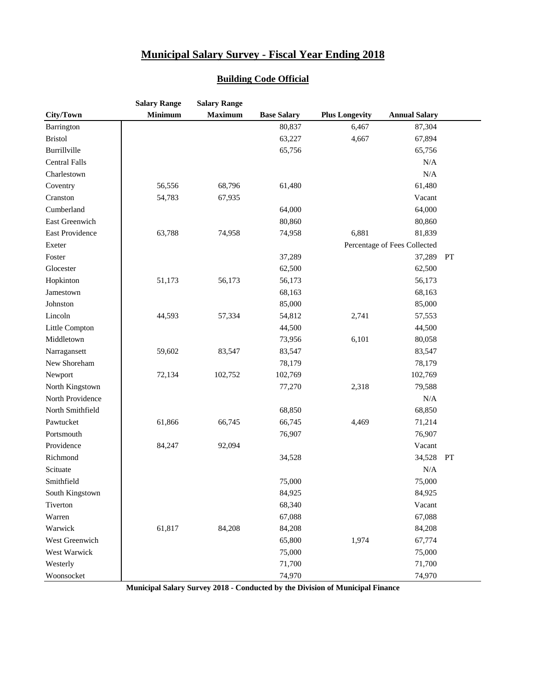|                      | <b>Salary Range</b> | <b>Salary Range</b> |                    |                       |                              |    |
|----------------------|---------------------|---------------------|--------------------|-----------------------|------------------------------|----|
| City/Town            | Minimum             | <b>Maximum</b>      | <b>Base Salary</b> | <b>Plus Longevity</b> | <b>Annual Salary</b>         |    |
| Barrington           |                     |                     | 80,837             | 6,467                 | 87,304                       |    |
| <b>Bristol</b>       |                     |                     | 63,227             | 4,667                 | 67,894                       |    |
| Burrillville         |                     |                     | 65,756             |                       | 65,756                       |    |
| <b>Central Falls</b> |                     |                     |                    |                       | N/A                          |    |
| Charlestown          |                     |                     |                    |                       | $\rm N/A$                    |    |
| Coventry             | 56,556              | 68,796              | 61,480             |                       | 61,480                       |    |
| Cranston             | 54,783              | 67,935              |                    |                       | Vacant                       |    |
| Cumberland           |                     |                     | 64,000             |                       | 64,000                       |    |
| East Greenwich       |                     |                     | 80,860             |                       | 80,860                       |    |
| East Providence      | 63,788              | 74,958              | 74,958             | 6,881                 | 81,839                       |    |
| Exeter               |                     |                     |                    |                       | Percentage of Fees Collected |    |
| Foster               |                     |                     | 37,289             |                       | 37,289                       | PT |
| Glocester            |                     |                     | 62,500             |                       | 62,500                       |    |
| Hopkinton            | 51,173              | 56,173              | 56,173             |                       | 56,173                       |    |
| Jamestown            |                     |                     | 68,163             |                       | 68,163                       |    |
| Johnston             |                     |                     | 85,000             |                       | 85,000                       |    |
| Lincoln              | 44,593              | 57,334              | 54,812             | 2,741                 | 57,553                       |    |
| Little Compton       |                     |                     | 44,500             |                       | 44,500                       |    |
| Middletown           |                     |                     | 73,956             | 6,101                 | 80,058                       |    |
| Narragansett         | 59,602              | 83,547              | 83,547             |                       | 83,547                       |    |
| New Shoreham         |                     |                     | 78,179             |                       | 78,179                       |    |
| Newport              | 72,134              | 102,752             | 102,769            |                       | 102,769                      |    |
| North Kingstown      |                     |                     | 77,270             | 2,318                 | 79,588                       |    |
| North Providence     |                     |                     |                    |                       | $\rm N/A$                    |    |
| North Smithfield     |                     |                     | 68,850             |                       | 68,850                       |    |
| Pawtucket            | 61,866              | 66,745              | 66,745             | 4,469                 | 71,214                       |    |
| Portsmouth           |                     |                     | 76,907             |                       | 76,907                       |    |
| Providence           | 84,247              | 92,094              |                    |                       | Vacant                       |    |
| Richmond             |                     |                     | 34,528             |                       | 34,528                       | PT |
| Scituate             |                     |                     |                    |                       | $\rm N/A$                    |    |
| Smithfield           |                     |                     | 75,000             |                       | 75,000                       |    |
| South Kingstown      |                     |                     | 84,925             |                       | 84,925                       |    |
| Tiverton             |                     |                     | 68,340             |                       | Vacant                       |    |
| Warren               |                     |                     | 67,088             |                       | 67,088                       |    |
| Warwick              | 61,817              | 84,208              | 84,208             |                       | 84,208                       |    |
| West Greenwich       |                     |                     | 65,800             | 1,974                 | 67,774                       |    |
| West Warwick         |                     |                     | 75,000             |                       | 75,000                       |    |
| Westerly             |                     |                     | 71,700             |                       | 71,700                       |    |
| Woonsocket           |                     |                     | 74,970             |                       | 74,970                       |    |

#### **Building Code Official**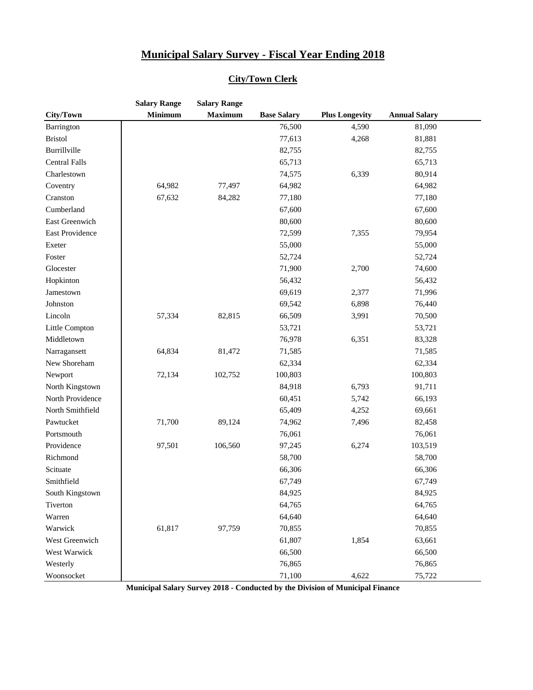| <b>City/Town Clerk</b> |  |
|------------------------|--|
|------------------------|--|

|                      | <b>Salary Range</b> | <b>Salary Range</b> |                    |                       |                      |  |
|----------------------|---------------------|---------------------|--------------------|-----------------------|----------------------|--|
| City/Town            | <b>Minimum</b>      | <b>Maximum</b>      | <b>Base Salary</b> | <b>Plus Longevity</b> | <b>Annual Salary</b> |  |
| Barrington           |                     |                     | 76,500             | 4,590                 | 81,090               |  |
| <b>Bristol</b>       |                     |                     | 77,613             | 4,268                 | 81,881               |  |
| Burrillville         |                     |                     | 82,755             |                       | 82,755               |  |
| <b>Central Falls</b> |                     |                     | 65,713             |                       | 65,713               |  |
| Charlestown          |                     |                     | 74,575             | 6,339                 | 80,914               |  |
| Coventry             | 64,982              | 77,497              | 64,982             |                       | 64,982               |  |
| Cranston             | 67,632              | 84,282              | 77,180             |                       | 77,180               |  |
| Cumberland           |                     |                     | 67,600             |                       | 67,600               |  |
| East Greenwich       |                     |                     | 80,600             |                       | 80,600               |  |
| East Providence      |                     |                     | 72,599             | 7,355                 | 79,954               |  |
| Exeter               |                     |                     | 55,000             |                       | 55,000               |  |
| Foster               |                     |                     | 52,724             |                       | 52,724               |  |
| Glocester            |                     |                     | 71,900             | 2,700                 | 74,600               |  |
| Hopkinton            |                     |                     | 56,432             |                       | 56,432               |  |
| Jamestown            |                     |                     | 69,619             | 2,377                 | 71,996               |  |
| Johnston             |                     |                     | 69,542             | 6,898                 | 76,440               |  |
| Lincoln              | 57,334              | 82,815              | 66,509             | 3,991                 | 70,500               |  |
| Little Compton       |                     |                     | 53,721             |                       | 53,721               |  |
| Middletown           |                     |                     | 76,978             | 6,351                 | 83,328               |  |
| Narragansett         | 64,834              | 81,472              | 71,585             |                       | 71,585               |  |
| New Shoreham         |                     |                     | 62,334             |                       | 62,334               |  |
| Newport              | 72,134              | 102,752             | 100,803            |                       | 100,803              |  |
| North Kingstown      |                     |                     | 84,918             | 6,793                 | 91,711               |  |
| North Providence     |                     |                     | 60,451             | 5,742                 | 66,193               |  |
| North Smithfield     |                     |                     | 65,409             | 4,252                 | 69,661               |  |
| Pawtucket            | 71,700              | 89,124              | 74,962             | 7,496                 | 82,458               |  |
| Portsmouth           |                     |                     | 76,061             |                       | 76,061               |  |
| Providence           | 97,501              | 106,560             | 97,245             | 6,274                 | 103,519              |  |
| Richmond             |                     |                     | 58,700             |                       | 58,700               |  |
| Scituate             |                     |                     | 66,306             |                       | 66,306               |  |
| Smithfield           |                     |                     | 67,749             |                       | 67,749               |  |
| South Kingstown      |                     |                     | 84,925             |                       | 84,925               |  |
| Tiverton             |                     |                     | 64,765             |                       | 64,765               |  |
| Warren               |                     |                     | 64,640             |                       | 64,640               |  |
| Warwick              | 61,817              | 97,759              | 70,855             |                       | 70,855               |  |
| West Greenwich       |                     |                     | 61,807             | 1,854                 | 63,661               |  |
| West Warwick         |                     |                     | 66,500             |                       | 66,500               |  |
| Westerly             |                     |                     | 76,865             |                       | 76,865               |  |
| Woonsocket           |                     |                     | 71,100             | 4,622                 | 75,722               |  |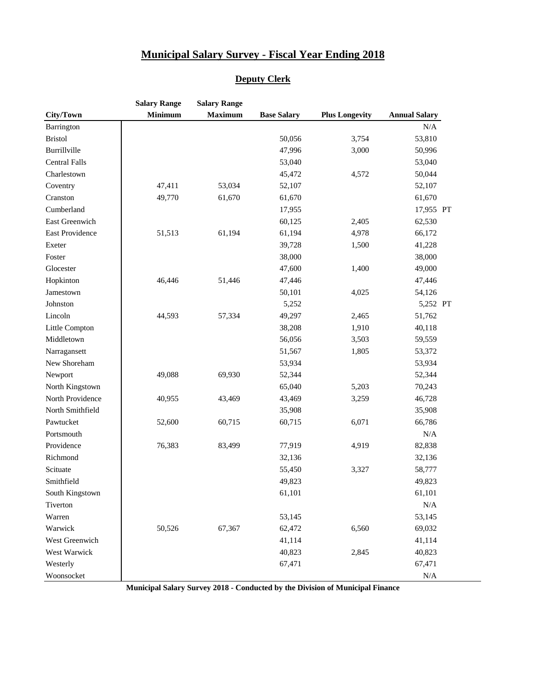#### **Deputy Clerk**

|                      | <b>Salary Range</b> | <b>Salary Range</b> |                    |                       |                      |
|----------------------|---------------------|---------------------|--------------------|-----------------------|----------------------|
| City/Town            | <b>Minimum</b>      | <b>Maximum</b>      | <b>Base Salary</b> | <b>Plus Longevity</b> | <b>Annual Salary</b> |
| Barrington           |                     |                     |                    |                       | N/A                  |
| <b>Bristol</b>       |                     |                     | 50,056             | 3,754                 | 53,810               |
| Burrillville         |                     |                     | 47,996             | 3,000                 | 50,996               |
| <b>Central Falls</b> |                     |                     | 53,040             |                       | 53,040               |
| Charlestown          |                     |                     | 45,472             | 4,572                 | 50,044               |
| Coventry             | 47,411              | 53,034              | 52,107             |                       | 52,107               |
| Cranston             | 49,770              | 61,670              | 61,670             |                       | 61,670               |
| Cumberland           |                     |                     | 17,955             |                       | 17,955 PT            |
| East Greenwich       |                     |                     | 60,125             | 2,405                 | 62,530               |
| East Providence      | 51,513              | 61,194              | 61,194             | 4,978                 | 66,172               |
| Exeter               |                     |                     | 39,728             | 1,500                 | 41,228               |
| Foster               |                     |                     | 38,000             |                       | 38,000               |
| Glocester            |                     |                     | 47,600             | 1,400                 | 49,000               |
| Hopkinton            | 46,446              | 51,446              | 47,446             |                       | 47,446               |
| Jamestown            |                     |                     | 50,101             | 4,025                 | 54,126               |
| Johnston             |                     |                     | 5,252              |                       | 5,252 PT             |
| Lincoln              | 44,593              | 57,334              | 49,297             | 2,465                 | 51,762               |
| Little Compton       |                     |                     | 38,208             | 1,910                 | 40,118               |
| Middletown           |                     |                     | 56,056             | 3,503                 | 59,559               |
| Narragansett         |                     |                     | 51,567             | 1,805                 | 53,372               |
| New Shoreham         |                     |                     | 53,934             |                       | 53,934               |
| Newport              | 49,088              | 69,930              | 52,344             |                       | 52,344               |
| North Kingstown      |                     |                     | 65,040             | 5,203                 | 70,243               |
| North Providence     | 40,955              | 43,469              | 43,469             | 3,259                 | 46,728               |
| North Smithfield     |                     |                     | 35,908             |                       | 35,908               |
| Pawtucket            | 52,600              | 60,715              | 60,715             | 6,071                 | 66,786               |
| Portsmouth           |                     |                     |                    |                       | $\rm N/A$            |
| Providence           | 76,383              | 83,499              | 77,919             | 4,919                 | 82,838               |
| Richmond             |                     |                     | 32,136             |                       | 32,136               |
| Scituate             |                     |                     | 55,450             | 3,327                 | 58,777               |
| Smithfield           |                     |                     | 49,823             |                       | 49,823               |
| South Kingstown      |                     |                     | 61,101             |                       | 61,101               |
| Tiverton             |                     |                     |                    |                       | N/A                  |
| Warren               |                     |                     | 53,145             |                       | 53,145               |
| Warwick              | 50,526              | 67,367              | 62,472             | 6,560                 | 69,032               |
| West Greenwich       |                     |                     | 41,114             |                       | 41,114               |
| West Warwick         |                     |                     | 40,823             | 2,845                 | 40,823               |
| Westerly             |                     |                     | 67,471             |                       | 67,471               |
| Woonsocket           |                     |                     |                    |                       | N/A                  |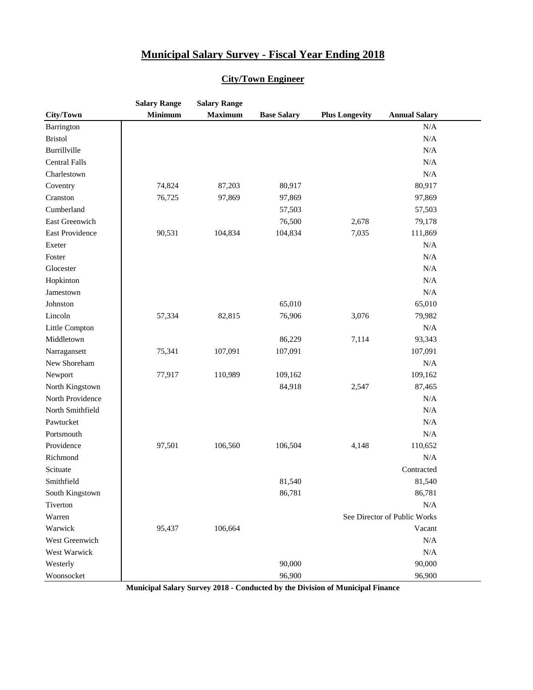#### **City/Town Engineer**

|                      | <b>Salary Range</b> | <b>Salary Range</b> |                    |                       |                              |  |
|----------------------|---------------------|---------------------|--------------------|-----------------------|------------------------------|--|
| City/Town            | <b>Minimum</b>      | <b>Maximum</b>      | <b>Base Salary</b> | <b>Plus Longevity</b> | <b>Annual Salary</b>         |  |
| Barrington           |                     |                     |                    |                       | N/A                          |  |
| <b>Bristol</b>       |                     |                     |                    |                       | $\rm N/A$                    |  |
| Burrillville         |                     |                     |                    |                       | $\rm N/A$                    |  |
| <b>Central Falls</b> |                     |                     |                    |                       | $\rm N/A$                    |  |
| Charlestown          |                     |                     |                    |                       | N/A                          |  |
| Coventry             | 74,824              | 87,203              | 80,917             |                       | 80,917                       |  |
| Cranston             | 76,725              | 97,869              | 97,869             |                       | 97,869                       |  |
| Cumberland           |                     |                     | 57,503             |                       | 57,503                       |  |
| East Greenwich       |                     |                     | 76,500             | 2,678                 | 79,178                       |  |
| East Providence      | 90,531              | 104,834             | 104,834            | 7,035                 | 111,869                      |  |
| Exeter               |                     |                     |                    |                       | N/A                          |  |
| Foster               |                     |                     |                    |                       | N/A                          |  |
| Glocester            |                     |                     |                    |                       | N/A                          |  |
| Hopkinton            |                     |                     |                    |                       | $\rm N/A$                    |  |
| Jamestown            |                     |                     |                    |                       | $\rm N/A$                    |  |
| Johnston             |                     |                     | 65,010             |                       | 65,010                       |  |
| Lincoln              | 57,334              | 82,815              | 76,906             | 3,076                 | 79,982                       |  |
| Little Compton       |                     |                     |                    |                       | $\rm N/A$                    |  |
| Middletown           |                     |                     | 86,229             | 7,114                 | 93,343                       |  |
| Narragansett         | 75,341              | 107,091             | 107,091            |                       | 107,091                      |  |
| New Shoreham         |                     |                     |                    |                       | $\rm N/A$                    |  |
| Newport              | 77,917              | 110,989             | 109,162            |                       | 109,162                      |  |
| North Kingstown      |                     |                     | 84,918             | 2,547                 | 87,465                       |  |
| North Providence     |                     |                     |                    |                       | $\rm N/A$                    |  |
| North Smithfield     |                     |                     |                    |                       | N/A                          |  |
| Pawtucket            |                     |                     |                    |                       | $\rm N/A$                    |  |
| Portsmouth           |                     |                     |                    |                       | $\rm N/A$                    |  |
| Providence           | 97,501              | 106,560             | 106,504            | 4,148                 | 110,652                      |  |
| Richmond             |                     |                     |                    |                       | N/A                          |  |
| Scituate             |                     |                     |                    |                       | Contracted                   |  |
| Smithfield           |                     |                     | 81,540             |                       | 81,540                       |  |
| South Kingstown      |                     |                     | 86,781             |                       | 86,781                       |  |
| Tiverton             |                     |                     |                    |                       | N/A                          |  |
| Warren               |                     |                     |                    |                       | See Director of Public Works |  |
| Warwick              | 95,437              | 106,664             |                    |                       | Vacant                       |  |
| West Greenwich       |                     |                     |                    |                       | $\rm N/A$                    |  |
| West Warwick         |                     |                     |                    |                       | N/A                          |  |
| Westerly             |                     |                     | 90,000             |                       | 90,000                       |  |
| Woonsocket           |                     |                     | 96,900             |                       | 96,900                       |  |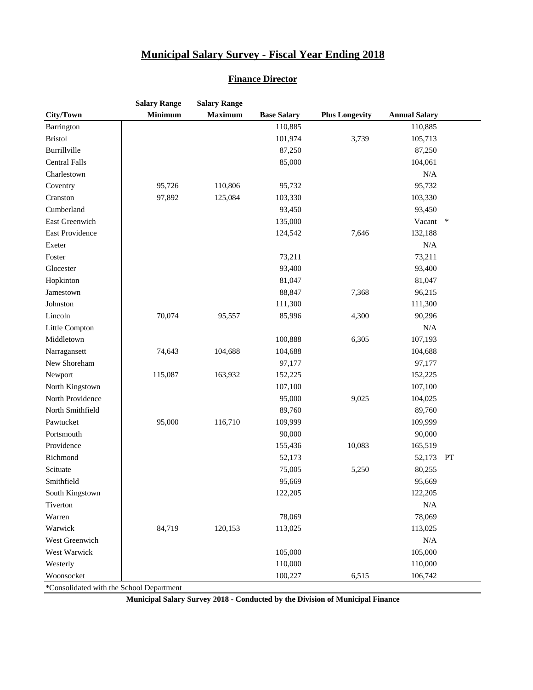#### **Finance Director**

|                                 | <b>Salary Range</b> | <b>Salary Range</b> |                    |                       |                      |        |
|---------------------------------|---------------------|---------------------|--------------------|-----------------------|----------------------|--------|
| City/Town                       | <b>Minimum</b>      | <b>Maximum</b>      | <b>Base Salary</b> | <b>Plus Longevity</b> | <b>Annual Salary</b> |        |
| Barrington                      |                     |                     | 110,885            |                       | 110,885              |        |
| <b>Bristol</b>                  |                     |                     | 101,974            | 3,739                 | 105,713              |        |
| Burrillville                    |                     |                     | 87,250             |                       | 87,250               |        |
| <b>Central Falls</b>            |                     |                     | 85,000             |                       | 104,061              |        |
| Charlestown                     |                     |                     |                    |                       | N/A                  |        |
| Coventry                        | 95,726              | 110,806             | 95,732             |                       | 95,732               |        |
| Cranston                        | 97,892              | 125,084             | 103,330            |                       | 103,330              |        |
| Cumberland                      |                     |                     | 93,450             |                       | 93,450               |        |
| East Greenwich                  |                     |                     | 135,000            |                       | Vacant               | $\ast$ |
| East Providence                 |                     |                     | 124,542            | 7,646                 | 132,188              |        |
| Exeter                          |                     |                     |                    |                       | $\rm N/A$            |        |
| Foster                          |                     |                     | 73,211             |                       | 73,211               |        |
| Glocester                       |                     |                     | 93,400             |                       | 93,400               |        |
| Hopkinton                       |                     |                     | 81,047             |                       | 81,047               |        |
| Jamestown                       |                     |                     | 88,847             | 7,368                 | 96,215               |        |
| Johnston                        |                     |                     | 111,300            |                       | 111,300              |        |
| Lincoln                         | 70,074              | 95,557              | 85,996             | 4,300                 | 90,296               |        |
| Little Compton                  |                     |                     |                    |                       | N/A                  |        |
| Middletown                      |                     |                     | 100,888            | 6,305                 | 107,193              |        |
| Narragansett                    | 74,643              | 104,688             | 104,688            |                       | 104,688              |        |
| New Shoreham                    |                     |                     | 97,177             |                       | 97,177               |        |
| Newport                         | 115,087             | 163,932             | 152,225            |                       | 152,225              |        |
| North Kingstown                 |                     |                     | 107,100            |                       | 107,100              |        |
| North Providence                |                     |                     | 95,000             | 9,025                 | 104,025              |        |
| North Smithfield                |                     |                     | 89,760             |                       | 89,760               |        |
| Pawtucket                       | 95,000              | 116,710             | 109,999            |                       | 109,999              |        |
| Portsmouth                      |                     |                     | 90,000             |                       | 90,000               |        |
| Providence                      |                     |                     | 155,436            | 10,083                | 165,519              |        |
| Richmond                        |                     |                     | 52,173             |                       | 52,173 PT            |        |
| Scituate                        |                     |                     | 75,005             | 5,250                 | 80,255               |        |
| Smithfield                      |                     |                     | 95,669             |                       | 95,669               |        |
| South Kingstown                 |                     |                     | 122,205            |                       | 122,205              |        |
| Tiverton                        |                     |                     |                    |                       | N/A                  |        |
| Warren                          |                     |                     | 78,069             |                       | 78,069               |        |
| Warwick                         | 84,719              | 120,153             | 113,025            |                       | 113,025              |        |
| West Greenwich                  |                     |                     |                    |                       | N/A                  |        |
| West Warwick                    |                     |                     | 105,000            |                       | 105,000              |        |
| Westerly                        |                     |                     | 110,000            |                       | 110,000              |        |
| Woonsocket                      |                     |                     | 100,227            | 6,515                 | 106,742              |        |
| Consolidated with the Reheal De |                     |                     |                    |                       |                      |        |

\*Consolidated with the School Department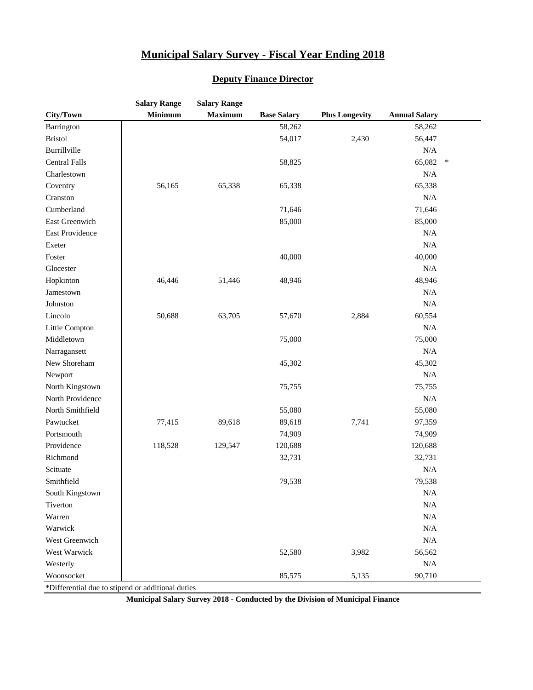#### **Salary Range Salary Range City/Town Minimum Maximum Base Salary Plus Longevity Annual Salary** Barrington 1988,262 58,262 Bristol 54,017 2,430 56,447 Burrillville N/A  $\text{Central Falls}$   $\qquad \qquad$   $\qquad \qquad$  58,825 65,082  $\qquad \qquad$  65,082  $\qquad \qquad$ Charlestown N/A Coventry 1. 56,165 65,338 65,338 65,338 65,338 Cranston N/A Cumberland 1,646 71,646 East Greenwich 85,000 85,000 85,000 East Providence N/A Exeter N/A Foster 10.000 40,000 40,000 40,000 40,000 40,000 40,000 40,000 40,000 40,000 40,000 40,000 40,000 40,000 40,000 Glocester N/A Hopkinton 46,446 51,446 48,946 48,946 Jamestown N/A Johnston N/A Lincoln 1 50,688 63,705 57,670 2,884 60,554 Little Compton N/A Middletown 15,000 75,000 75,000 Narragansett N/A New Shoreham 45,302 45,302 Newport the contract of the contract of the contract of the contract of the contract of the contract of the contract of the contract of the contract of the contract of the contract of the contract of the contract of the co North Kingstown 75,755 75,755 75,755 North Providence N/A North Smithfield 55,080 55,080 55,080 Pawtucket 77,415 89,618 89,618 7,741 97,359 Portsmouth 24,909 74,909 Providence 118,528 129,547 120,688 120,688 Richmond 22,731 32,731 32,731 Scituate N/A Smithfield 79,538 79,538 South Kingstown N/A Tiverton N/A Warren N/A Warwick N/A West Greenwich N/A West Warwick 52,580 3,982 56,562 Westerly N/A Woonsocket 1 1 2005 1 2006 1 2006 1 2006 1 2006 2 35,575 5,135 90,710

#### **Deputy Finance Director**

\*Differential due to stipend or additional duties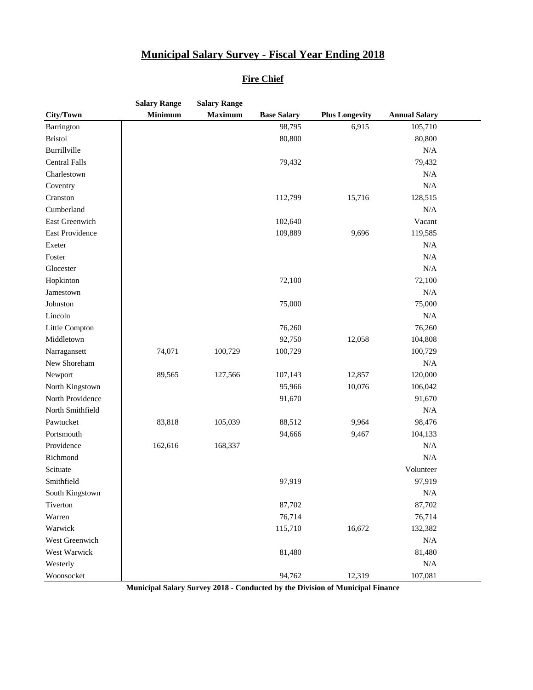#### **Fire Chief**

|                      | <b>Salary Range</b> | <b>Salary Range</b> |                    |                       |                      |  |
|----------------------|---------------------|---------------------|--------------------|-----------------------|----------------------|--|
| City/Town            | <b>Minimum</b>      | <b>Maximum</b>      | <b>Base Salary</b> | <b>Plus Longevity</b> | <b>Annual Salary</b> |  |
| Barrington           |                     |                     | 98,795             | 6,915                 | 105,710              |  |
| <b>Bristol</b>       |                     |                     | 80,800             |                       | 80,800               |  |
| Burrillville         |                     |                     |                    |                       | N/A                  |  |
| <b>Central Falls</b> |                     |                     | 79,432             |                       | 79,432               |  |
| Charlestown          |                     |                     |                    |                       | N/A                  |  |
| Coventry             |                     |                     |                    |                       | $\rm N/A$            |  |
| Cranston             |                     |                     | 112,799            | 15,716                | 128,515              |  |
| Cumberland           |                     |                     |                    |                       | $\rm N/A$            |  |
| East Greenwich       |                     |                     | 102,640            |                       | Vacant               |  |
| East Providence      |                     |                     | 109,889            | 9,696                 | 119,585              |  |
| Exeter               |                     |                     |                    |                       | $\rm N/A$            |  |
| Foster               |                     |                     |                    |                       | $\rm N/A$            |  |
| Glocester            |                     |                     |                    |                       | N/A                  |  |
| Hopkinton            |                     |                     | 72,100             |                       | 72,100               |  |
| Jamestown            |                     |                     |                    |                       | N/A                  |  |
| Johnston             |                     |                     | 75,000             |                       | 75,000               |  |
| Lincoln              |                     |                     |                    |                       | $\rm N/A$            |  |
| Little Compton       |                     |                     | 76,260             |                       | 76,260               |  |
| Middletown           |                     |                     | 92,750             | 12,058                | 104,808              |  |
| Narragansett         | 74,071              | 100,729             | 100,729            |                       | 100,729              |  |
| New Shoreham         |                     |                     |                    |                       | $\rm N/A$            |  |
| Newport              | 89,565              | 127,566             | 107,143            | 12,857                | 120,000              |  |
| North Kingstown      |                     |                     | 95,966             | 10,076                | 106,042              |  |
| North Providence     |                     |                     | 91,670             |                       | 91,670               |  |
| North Smithfield     |                     |                     |                    |                       | N/A                  |  |
| Pawtucket            | 83,818              | 105,039             | 88,512             | 9,964                 | 98,476               |  |
| Portsmouth           |                     |                     | 94,666             | 9,467                 | 104,133              |  |
| Providence           | 162,616             | 168,337             |                    |                       | $\rm N/A$            |  |
| Richmond             |                     |                     |                    |                       | $\rm N/A$            |  |
| Scituate             |                     |                     |                    |                       | Volunteer            |  |
| Smithfield           |                     |                     | 97,919             |                       | 97,919               |  |
| South Kingstown      |                     |                     |                    |                       | N/A                  |  |
| Tiverton             |                     |                     | 87,702             |                       | 87,702               |  |
| Warren               |                     |                     | 76,714             |                       | 76,714               |  |
| Warwick              |                     |                     | 115,710            | 16,672                | 132,382              |  |
| West Greenwich       |                     |                     |                    |                       | N/A                  |  |
| West Warwick         |                     |                     | 81,480             |                       | 81,480               |  |
| Westerly             |                     |                     |                    |                       | N/A                  |  |
| Woonsocket           |                     |                     | 94,762             | 12,319                | 107,081              |  |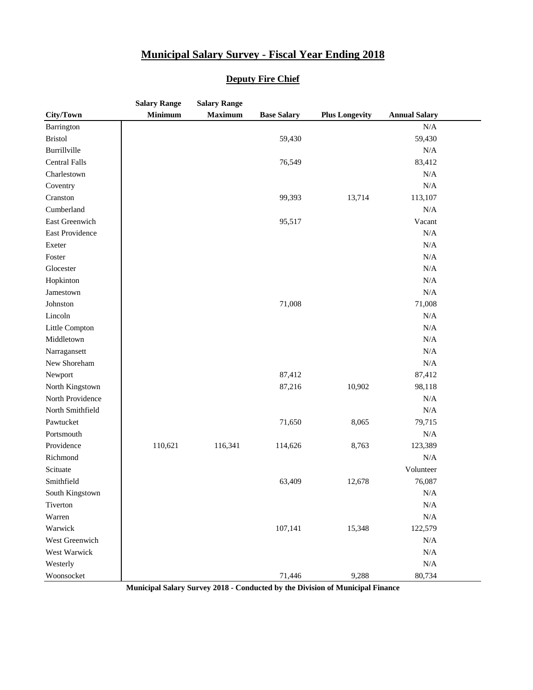|                      | <b>Salary Range</b> | <b>Salary Range</b> |                    |                       |                      |  |
|----------------------|---------------------|---------------------|--------------------|-----------------------|----------------------|--|
| City/Town            | <b>Minimum</b>      | <b>Maximum</b>      | <b>Base Salary</b> | <b>Plus Longevity</b> | <b>Annual Salary</b> |  |
| Barrington           |                     |                     |                    |                       | N/A                  |  |
| <b>Bristol</b>       |                     |                     | 59,430             |                       | 59,430               |  |
| Burrillville         |                     |                     |                    |                       | N/A                  |  |
| <b>Central Falls</b> |                     |                     | 76,549             |                       | 83,412               |  |
| Charlestown          |                     |                     |                    |                       | N/A                  |  |
| Coventry             |                     |                     |                    |                       | N/A                  |  |
| Cranston             |                     |                     | 99,393             | 13,714                | 113,107              |  |
| Cumberland           |                     |                     |                    |                       | N/A                  |  |
| East Greenwich       |                     |                     | 95,517             |                       | Vacant               |  |
| East Providence      |                     |                     |                    |                       | N/A                  |  |
| Exeter               |                     |                     |                    |                       | N/A                  |  |
| Foster               |                     |                     |                    |                       | N/A                  |  |
| Glocester            |                     |                     |                    |                       | N/A                  |  |
| Hopkinton            |                     |                     |                    |                       | N/A                  |  |
| Jamestown            |                     |                     |                    |                       | N/A                  |  |
| Johnston             |                     |                     | 71,008             |                       | 71,008               |  |
| Lincoln              |                     |                     |                    |                       | N/A                  |  |
| Little Compton       |                     |                     |                    |                       | N/A                  |  |
| Middletown           |                     |                     |                    |                       | N/A                  |  |
| Narragansett         |                     |                     |                    |                       | N/A                  |  |
| New Shoreham         |                     |                     |                    |                       | N/A                  |  |
| Newport              |                     |                     | 87,412             |                       | 87,412               |  |
| North Kingstown      |                     |                     | 87,216             | 10,902                | 98,118               |  |
| North Providence     |                     |                     |                    |                       | N/A                  |  |
| North Smithfield     |                     |                     |                    |                       | N/A                  |  |
| Pawtucket            |                     |                     | 71,650             | 8,065                 | 79,715               |  |
| Portsmouth           |                     |                     |                    |                       | N/A                  |  |
| Providence           | 110,621             | 116,341             | 114,626            | 8,763                 | 123,389              |  |
| Richmond             |                     |                     |                    |                       | N/A                  |  |
| Scituate             |                     |                     |                    |                       | Volunteer            |  |
| Smithfield           |                     |                     | 63,409             | 12,678                | 76,087               |  |
| South Kingstown      |                     |                     |                    |                       | N/A                  |  |
| Tiverton             |                     |                     |                    |                       | N/A                  |  |
| Warren               |                     |                     |                    |                       | N/A                  |  |
| Warwick              |                     |                     | 107,141            | 15,348                | 122,579              |  |
| West Greenwich       |                     |                     |                    |                       | N/A                  |  |
| West Warwick         |                     |                     |                    |                       | N/A                  |  |
| Westerly             |                     |                     |                    |                       | N/A                  |  |
| Woonsocket           |                     |                     | 71,446             | 9,288                 | 80,734               |  |

#### **Deputy Fire Chief**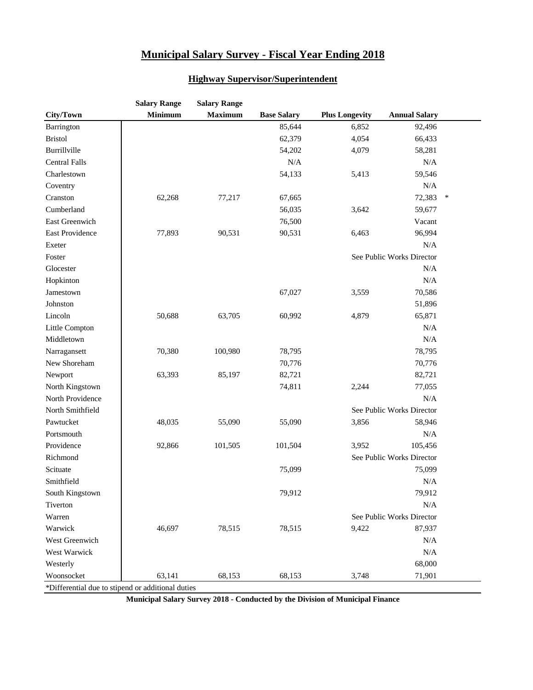#### **Highway Supervisor/Superintendent**

|                                                   | <b>Salary Range</b> | <b>Salary Range</b> |                    |                       |                           |        |
|---------------------------------------------------|---------------------|---------------------|--------------------|-----------------------|---------------------------|--------|
| City/Town                                         | <b>Minimum</b>      | <b>Maximum</b>      | <b>Base Salary</b> | <b>Plus Longevity</b> | <b>Annual Salary</b>      |        |
| Barrington                                        |                     |                     | 85,644             | 6,852                 | 92,496                    |        |
| <b>Bristol</b>                                    |                     |                     | 62,379             | 4,054                 | 66,433                    |        |
| Burrillville                                      |                     |                     | 54,202             | 4,079                 | 58,281                    |        |
| <b>Central Falls</b>                              |                     |                     | N/A                |                       | N/A                       |        |
| Charlestown                                       |                     |                     | 54,133             | 5,413                 | 59,546                    |        |
| Coventry                                          |                     |                     |                    |                       | N/A                       |        |
| Cranston                                          | 62,268              | 77,217              | 67,665             |                       | 72,383                    | $\ast$ |
| Cumberland                                        |                     |                     | 56,035             | 3,642                 | 59,677                    |        |
| East Greenwich                                    |                     |                     | 76,500             |                       | Vacant                    |        |
| East Providence                                   | 77,893              | 90,531              | 90,531             | 6,463                 | 96,994                    |        |
| Exeter                                            |                     |                     |                    |                       | N/A                       |        |
| Foster                                            |                     |                     |                    |                       | See Public Works Director |        |
| Glocester                                         |                     |                     |                    |                       | $\rm N/A$                 |        |
| Hopkinton                                         |                     |                     |                    |                       | $\rm N/A$                 |        |
| Jamestown                                         |                     |                     | 67,027             | 3,559                 | 70,586                    |        |
| Johnston                                          |                     |                     |                    |                       | 51,896                    |        |
| Lincoln                                           | 50,688              | 63,705              | 60,992             | 4,879                 | 65,871                    |        |
| Little Compton                                    |                     |                     |                    |                       | N/A                       |        |
| Middletown                                        |                     |                     |                    |                       | $\rm N/A$                 |        |
| Narragansett                                      | 70,380              | 100,980             | 78,795             |                       | 78,795                    |        |
| New Shoreham                                      |                     |                     | 70,776             |                       | 70,776                    |        |
| Newport                                           | 63,393              | 85,197              | 82,721             |                       | 82,721                    |        |
| North Kingstown                                   |                     |                     | 74,811             | 2,244                 | 77,055                    |        |
| North Providence                                  |                     |                     |                    |                       | N/A                       |        |
| North Smithfield                                  |                     |                     |                    |                       | See Public Works Director |        |
| Pawtucket                                         | 48,035              | 55,090              | 55,090             | 3,856                 | 58,946                    |        |
| Portsmouth                                        |                     |                     |                    |                       | $\rm N/A$                 |        |
| Providence                                        | 92,866              | 101,505             | 101,504            | 3,952                 | 105,456                   |        |
| Richmond                                          |                     |                     |                    |                       | See Public Works Director |        |
| Scituate                                          |                     |                     | 75,099             |                       | 75,099                    |        |
| Smithfield                                        |                     |                     |                    |                       | N/A                       |        |
| South Kingstown                                   |                     |                     | 79,912             |                       | 79,912                    |        |
| Tiverton                                          |                     |                     |                    |                       | N/A                       |        |
| Warren                                            |                     |                     |                    |                       | See Public Works Director |        |
| Warwick                                           | 46,697              | 78,515              | 78,515             | 9,422                 | 87,937                    |        |
| West Greenwich                                    |                     |                     |                    |                       | N/A                       |        |
| West Warwick                                      |                     |                     |                    |                       | N/A                       |        |
| Westerly                                          |                     |                     |                    |                       | 68,000                    |        |
| Woonsocket                                        | 63,141              | 68,153              | 68,153             | 3,748                 | 71,901                    |        |
| *Differential due to stipend or additional duties |                     |                     |                    |                       |                           |        |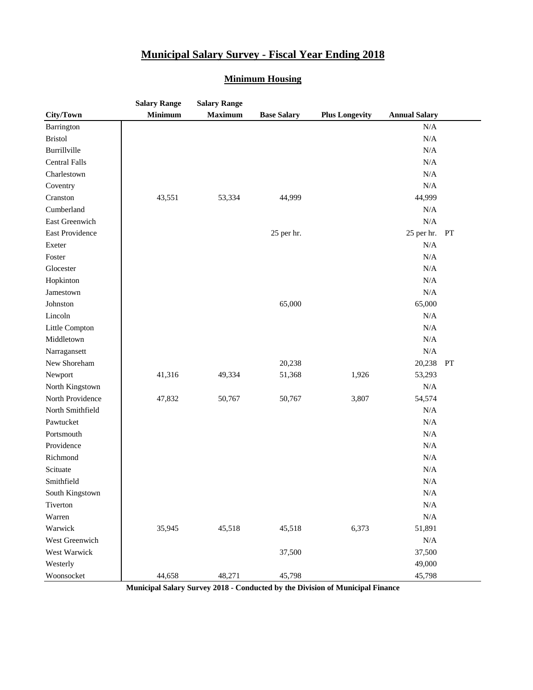#### **Minimum Housing**

|                      | <b>Salary Range</b> | <b>Salary Range</b> |                    |                       |                      |    |
|----------------------|---------------------|---------------------|--------------------|-----------------------|----------------------|----|
| City/Town            | <b>Minimum</b>      | <b>Maximum</b>      | <b>Base Salary</b> | <b>Plus Longevity</b> | <b>Annual Salary</b> |    |
| Barrington           |                     |                     |                    |                       | N/A                  |    |
| <b>Bristol</b>       |                     |                     |                    |                       | $\rm N/A$            |    |
| Burrillville         |                     |                     |                    |                       | N/A                  |    |
| <b>Central Falls</b> |                     |                     |                    |                       | N/A                  |    |
| Charlestown          |                     |                     |                    |                       | N/A                  |    |
| Coventry             |                     |                     |                    |                       | N/A                  |    |
| Cranston             | 43,551              | 53,334              | 44,999             |                       | 44,999               |    |
| Cumberland           |                     |                     |                    |                       | N/A                  |    |
| East Greenwich       |                     |                     |                    |                       | N/A                  |    |
| East Providence      |                     |                     | 25 per hr.         |                       | 25 per hr.           | PT |
| Exeter               |                     |                     |                    |                       | $\rm N/A$            |    |
| Foster               |                     |                     |                    |                       | $\rm N/A$            |    |
| Glocester            |                     |                     |                    |                       | $\rm N/A$            |    |
| Hopkinton            |                     |                     |                    |                       | N/A                  |    |
| Jamestown            |                     |                     |                    |                       | $\rm N/A$            |    |
| Johnston             |                     |                     | 65,000             |                       | 65,000               |    |
| Lincoln              |                     |                     |                    |                       | N/A                  |    |
| Little Compton       |                     |                     |                    |                       | N/A                  |    |
| Middletown           |                     |                     |                    |                       | $\rm N/A$            |    |
| Narragansett         |                     |                     |                    |                       | $\rm N/A$            |    |
| New Shoreham         |                     |                     | 20,238             |                       | 20,238               | PT |
| Newport              | 41,316              | 49,334              | 51,368             | 1,926                 | 53,293               |    |
| North Kingstown      |                     |                     |                    |                       | $\rm N/A$            |    |
| North Providence     | 47,832              | 50,767              | 50,767             | 3,807                 | 54,574               |    |
| North Smithfield     |                     |                     |                    |                       | $\rm N/A$            |    |
| Pawtucket            |                     |                     |                    |                       | N/A                  |    |
| Portsmouth           |                     |                     |                    |                       | $\rm N/A$            |    |
| Providence           |                     |                     |                    |                       | $\rm N/A$            |    |
| Richmond             |                     |                     |                    |                       | $\rm N/A$            |    |
| Scituate             |                     |                     |                    |                       | $\rm N/A$            |    |
| Smithfield           |                     |                     |                    |                       | $\rm N/A$            |    |
| South Kingstown      |                     |                     |                    |                       | $\rm N/A$            |    |
| Tiverton             |                     |                     |                    |                       | $\rm N/A$            |    |
| Warren               |                     |                     |                    |                       | $\rm N/A$            |    |
| Warwick              | 35,945              | 45,518              | 45,518             | 6,373                 | 51,891               |    |
| West Greenwich       |                     |                     |                    |                       | $\rm N/A$            |    |
| West Warwick         |                     |                     | 37,500             |                       | 37,500               |    |
| Westerly             |                     |                     |                    |                       | 49,000               |    |
| Woonsocket           | 44,658              | 48,271              | 45,798             |                       | 45,798               |    |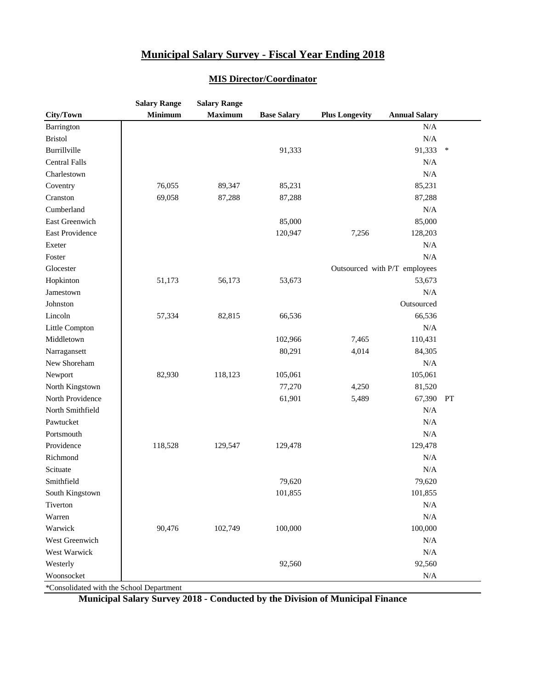| <b>Minimum</b><br><b>Maximum</b><br><b>Annual Salary</b><br>City/Town<br><b>Base Salary</b><br><b>Plus Longevity</b><br>$\rm N/A$<br>Barrington |  |
|-------------------------------------------------------------------------------------------------------------------------------------------------|--|
|                                                                                                                                                 |  |
|                                                                                                                                                 |  |
| <b>Bristol</b><br>N/A                                                                                                                           |  |
| Burrillville<br>91,333<br>91,333<br>$\ast$                                                                                                      |  |
| <b>Central Falls</b><br>N/A                                                                                                                     |  |
| N/A<br>Charlestown                                                                                                                              |  |
| 76,055<br>89,347<br>85,231<br>85,231<br>Coventry                                                                                                |  |
| Cranston<br>69,058<br>87,288<br>87,288<br>87,288                                                                                                |  |
| N/A<br>Cumberland                                                                                                                               |  |
| East Greenwich<br>85,000<br>85,000                                                                                                              |  |
| East Providence<br>120,947<br>7,256<br>128,203                                                                                                  |  |
| $\rm N/A$<br>Exeter                                                                                                                             |  |
| N/A<br>Foster                                                                                                                                   |  |
| Glocester<br>Outsourced with P/T employees                                                                                                      |  |
| Hopkinton<br>51,173<br>56,173<br>53,673<br>53,673                                                                                               |  |
| $\rm N/A$<br>Jamestown                                                                                                                          |  |
| Outsourced<br>Johnston                                                                                                                          |  |
| Lincoln<br>82,815<br>66,536<br>57,334<br>66,536                                                                                                 |  |
| N/A<br>Little Compton                                                                                                                           |  |
| Middletown<br>102,966<br>7,465<br>110,431                                                                                                       |  |
| 80,291<br>4,014<br>84,305<br>Narragansett                                                                                                       |  |
| New Shoreham<br>N/A                                                                                                                             |  |
| 82,930<br>118,123<br>105,061<br>Newport<br>105,061                                                                                              |  |
| North Kingstown<br>77,270<br>4,250<br>81,520                                                                                                    |  |
| North Providence<br>61,901<br>5,489<br>67,390<br>PT                                                                                             |  |
| North Smithfield<br>N/A                                                                                                                         |  |
| N/A<br>Pawtucket                                                                                                                                |  |
| Portsmouth<br>N/A                                                                                                                               |  |
| Providence<br>118,528<br>129,478<br>129,478<br>129,547                                                                                          |  |
| Richmond<br>N/A                                                                                                                                 |  |
| $\rm N/A$<br>Scituate                                                                                                                           |  |
| Smithfield<br>79,620<br>79,620                                                                                                                  |  |
| 101,855<br>101,855<br>South Kingstown                                                                                                           |  |
| Tiverton<br>N/A                                                                                                                                 |  |
| Warren<br>$\rm N/A$                                                                                                                             |  |
| 90,476<br>100,000<br>100,000<br>Warwick<br>102,749                                                                                              |  |
| West Greenwich<br>N/A                                                                                                                           |  |
| West Warwick<br>$\rm N/A$                                                                                                                       |  |
| Westerly<br>92,560<br>92,560                                                                                                                    |  |
| Woonsocket<br>N/A                                                                                                                               |  |

#### **MIS Director/Coordinator**

\*Consolidated with the School Department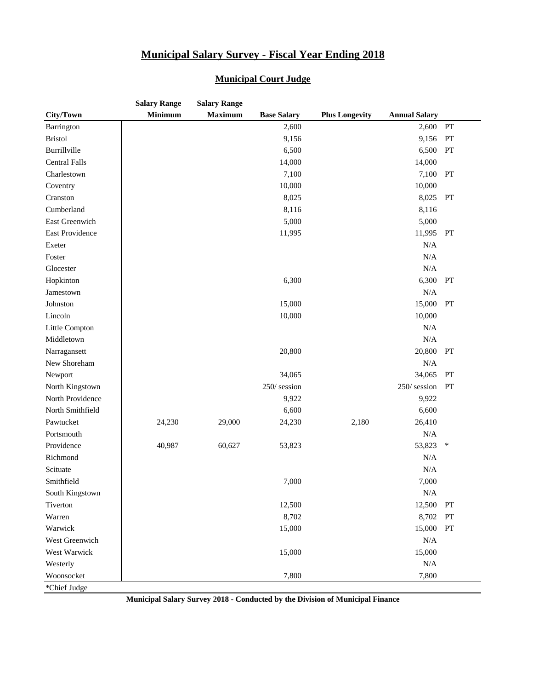|                      | <b>Salary Range</b> | <b>Salary Range</b> |                    |                       |                      |    |
|----------------------|---------------------|---------------------|--------------------|-----------------------|----------------------|----|
| City/Town            | <b>Minimum</b>      | <b>Maximum</b>      | <b>Base Salary</b> | <b>Plus Longevity</b> | <b>Annual Salary</b> |    |
| Barrington           |                     |                     | 2,600              |                       | 2,600                | PT |
| <b>Bristol</b>       |                     |                     | 9,156              |                       | 9,156                | PT |
| Burrillville         |                     |                     | 6,500              |                       | 6,500                | PT |
| <b>Central Falls</b> |                     |                     | 14,000             |                       | 14,000               |    |
| Charlestown          |                     |                     | 7,100              |                       | 7,100                | PT |
| Coventry             |                     |                     | 10,000             |                       | 10,000               |    |
| Cranston             |                     |                     | 8,025              |                       | 8,025                | PT |
| Cumberland           |                     |                     | 8,116              |                       | 8,116                |    |
| East Greenwich       |                     |                     | 5,000              |                       | 5,000                |    |
| East Providence      |                     |                     | 11,995             |                       | 11,995               | PT |
| Exeter               |                     |                     |                    |                       | N/A                  |    |
| Foster               |                     |                     |                    |                       | N/A                  |    |
| Glocester            |                     |                     |                    |                       | N/A                  |    |
| Hopkinton            |                     |                     | 6,300              |                       | 6,300                | PT |
| Jamestown            |                     |                     |                    |                       | N/A                  |    |
| Johnston             |                     |                     | 15,000             |                       | 15,000               | PT |
| Lincoln              |                     |                     | 10,000             |                       | 10,000               |    |
| Little Compton       |                     |                     |                    |                       | N/A                  |    |
| Middletown           |                     |                     |                    |                       | N/A                  |    |
| Narragansett         |                     |                     | 20,800             |                       | 20,800               | PT |
| New Shoreham         |                     |                     |                    |                       | N/A                  |    |
| Newport              |                     |                     | 34,065             |                       | 34,065               | PT |
| North Kingstown      |                     |                     | 250/session        |                       | 250/session          | PT |
| North Providence     |                     |                     | 9,922              |                       | 9,922                |    |
| North Smithfield     |                     |                     | 6,600              |                       | 6,600                |    |
| Pawtucket            | 24,230              | 29,000              | 24,230             | 2,180                 | 26,410               |    |
| Portsmouth           |                     |                     |                    |                       | N/A                  |    |
| Providence           | 40,987              | 60,627              | 53,823             |                       | 53,823               | ∗  |
| Richmond             |                     |                     |                    |                       | N/A                  |    |
| Scituate             |                     |                     |                    |                       | N/A                  |    |
| Smithfield           |                     |                     | 7,000              |                       | 7,000                |    |
| South Kingstown      |                     |                     |                    |                       | N/A                  |    |
| Tiverton             |                     |                     | 12,500             |                       | 12,500               | PT |
| Warren               |                     |                     | 8,702              |                       | 8,702                | PT |
| Warwick              |                     |                     | 15,000             |                       | 15,000               | PT |
| West Greenwich       |                     |                     |                    |                       | N/A                  |    |
| West Warwick         |                     |                     | 15,000             |                       | 15,000               |    |
| Westerly             |                     |                     |                    |                       | N/A                  |    |
| Woonsocket           |                     |                     | 7,800              |                       | 7,800                |    |
| *Chief Judge         |                     |                     |                    |                       |                      |    |

#### **Municipal Court Judge**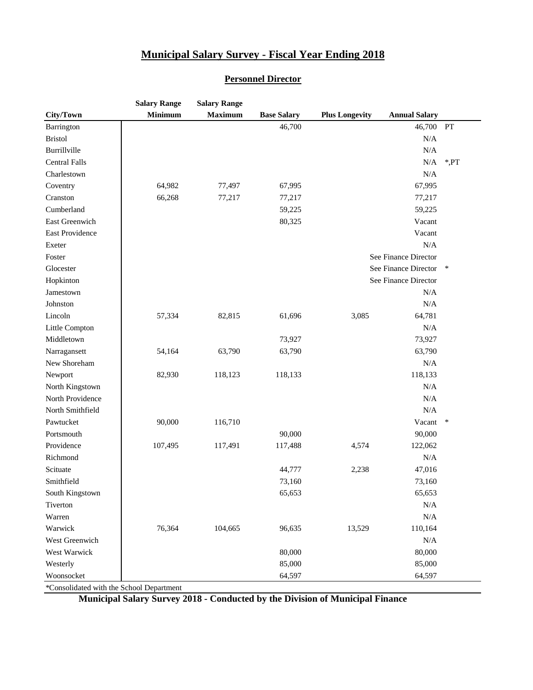|                      | <b>Salary Range</b> | <b>Salary Range</b> |                    |                       |                      |        |
|----------------------|---------------------|---------------------|--------------------|-----------------------|----------------------|--------|
| City/Town            | <b>Minimum</b>      | <b>Maximum</b>      | <b>Base Salary</b> | <b>Plus Longevity</b> | <b>Annual Salary</b> |        |
| Barrington           |                     |                     | 46,700             |                       | 46,700               | PT     |
| <b>Bristol</b>       |                     |                     |                    |                       | $\rm N/A$            |        |
| Burrillville         |                     |                     |                    |                       | $\rm N/A$            |        |
| <b>Central Falls</b> |                     |                     |                    |                       | N/A                  | ,PT    |
| Charlestown          |                     |                     |                    |                       | $\rm N/A$            |        |
| Coventry             | 64,982              | 77,497              | 67,995             |                       | 67,995               |        |
| Cranston             | 66,268              | 77,217              | 77,217             |                       | 77,217               |        |
| Cumberland           |                     |                     | 59,225             |                       | 59,225               |        |
| East Greenwich       |                     |                     | 80,325             |                       | Vacant               |        |
| East Providence      |                     |                     |                    |                       | Vacant               |        |
| Exeter               |                     |                     |                    |                       | N/A                  |        |
| Foster               |                     |                     |                    |                       | See Finance Director |        |
| Glocester            |                     |                     |                    |                       | See Finance Director | ∗      |
| Hopkinton            |                     |                     |                    |                       | See Finance Director |        |
| Jamestown            |                     |                     |                    |                       | $\rm N/A$            |        |
| Johnston             |                     |                     |                    |                       | $\rm N/A$            |        |
| Lincoln              | 57,334              | 82,815              | 61,696             | 3,085                 | 64,781               |        |
| Little Compton       |                     |                     |                    |                       | $\rm N/A$            |        |
| Middletown           |                     |                     | 73,927             |                       | 73,927               |        |
| Narragansett         | 54,164              | 63,790              | 63,790             |                       | 63,790               |        |
| New Shoreham         |                     |                     |                    |                       | N/A                  |        |
| Newport              | 82,930              | 118,123             | 118,133            |                       | 118,133              |        |
| North Kingstown      |                     |                     |                    |                       | N/A                  |        |
| North Providence     |                     |                     |                    |                       | N/A                  |        |
| North Smithfield     |                     |                     |                    |                       | $\rm N/A$            |        |
| Pawtucket            | 90,000              | 116,710             |                    |                       | Vacant               | $\ast$ |
| Portsmouth           |                     |                     | 90,000             |                       | 90,000               |        |
| Providence           | 107,495             | 117,491             | 117,488            | 4,574                 | 122,062              |        |
| Richmond             |                     |                     |                    |                       | N/A                  |        |
| Scituate             |                     |                     | 44,777             | 2,238                 | 47,016               |        |
| Smithfield           |                     |                     | 73,160             |                       | 73,160               |        |
| South Kingstown      |                     |                     | 65,653             |                       | 65,653               |        |
| Tiverton             |                     |                     |                    |                       | N/A                  |        |
| Warren               |                     |                     |                    |                       | N/A                  |        |
| Warwick              | 76,364              | 104,665             | 96,635             | 13,529                | 110,164              |        |
| West Greenwich       |                     |                     |                    |                       | N/A                  |        |
| West Warwick         |                     |                     | 80,000             |                       | 80,000               |        |
| Westerly             |                     |                     | 85,000             |                       | 85,000               |        |
| Woonsocket           |                     |                     | 64,597             |                       | 64,597               |        |

\*Consolidated with the School Department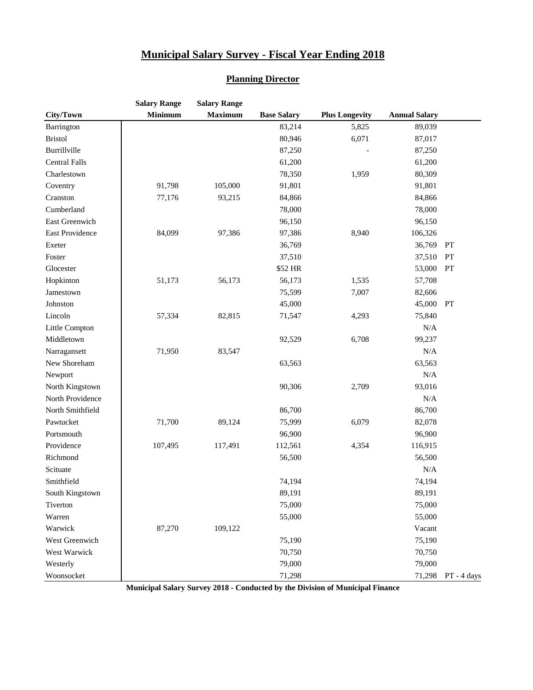#### **Planning Director**

|                      | <b>Salary Range</b> | <b>Salary Range</b> |                    |                       |                      |              |
|----------------------|---------------------|---------------------|--------------------|-----------------------|----------------------|--------------|
| City/Town            | <b>Minimum</b>      | <b>Maximum</b>      | <b>Base Salary</b> | <b>Plus Longevity</b> | <b>Annual Salary</b> |              |
| Barrington           |                     |                     | 83,214             | 5,825                 | 89,039               |              |
| <b>Bristol</b>       |                     |                     | 80,946             | 6,071                 | 87,017               |              |
| Burrillville         |                     |                     | 87,250             |                       | 87,250               |              |
| <b>Central Falls</b> |                     |                     | 61,200             |                       | 61,200               |              |
| Charlestown          |                     |                     | 78,350             | 1,959                 | 80,309               |              |
| Coventry             | 91,798              | 105,000             | 91,801             |                       | 91,801               |              |
| Cranston             | 77,176              | 93,215              | 84,866             |                       | 84,866               |              |
| Cumberland           |                     |                     | 78,000             |                       | 78,000               |              |
| East Greenwich       |                     |                     | 96,150             |                       | 96,150               |              |
| East Providence      | 84,099              | 97,386              | 97,386             | 8,940                 | 106,326              |              |
| Exeter               |                     |                     | 36,769             |                       | 36,769               | PT           |
| Foster               |                     |                     | 37,510             |                       | 37,510               | PT           |
| Glocester            |                     |                     | \$52 HR            |                       | 53,000               | PT           |
| Hopkinton            | 51,173              | 56,173              | 56,173             | 1,535                 | 57,708               |              |
| Jamestown            |                     |                     | 75,599             | 7,007                 | 82,606               |              |
| Johnston             |                     |                     | 45,000             |                       | 45,000               | PT           |
| Lincoln              | 57,334              | 82,815              | 71,547             | 4,293                 | 75,840               |              |
| Little Compton       |                     |                     |                    |                       | N/A                  |              |
| Middletown           |                     |                     | 92,529             | 6,708                 | 99,237               |              |
| Narragansett         | 71,950              | 83,547              |                    |                       | N/A                  |              |
| New Shoreham         |                     |                     | 63,563             |                       | 63,563               |              |
| Newport              |                     |                     |                    |                       | N/A                  |              |
| North Kingstown      |                     |                     | 90,306             | 2,709                 | 93,016               |              |
| North Providence     |                     |                     |                    |                       | N/A                  |              |
| North Smithfield     |                     |                     | 86,700             |                       | 86,700               |              |
| Pawtucket            | 71,700              | 89,124              | 75,999             | 6,079                 | 82,078               |              |
| Portsmouth           |                     |                     | 96,900             |                       | 96,900               |              |
| Providence           | 107,495             | 117,491             | 112,561            | 4,354                 | 116,915              |              |
| Richmond             |                     |                     | 56,500             |                       | 56,500               |              |
| Scituate             |                     |                     |                    |                       | N/A                  |              |
| Smithfield           |                     |                     | 74,194             |                       | 74,194               |              |
| South Kingstown      |                     |                     | 89,191             |                       | 89,191               |              |
| Tiverton             |                     |                     | 75,000             |                       | 75,000               |              |
| Warren               |                     |                     | 55,000             |                       | 55,000               |              |
| Warwick              | 87,270              | 109,122             |                    |                       | Vacant               |              |
| West Greenwich       |                     |                     | 75,190             |                       | 75,190               |              |
| West Warwick         |                     |                     | 70,750             |                       | 70,750               |              |
| Westerly             |                     |                     | 79,000             |                       | 79,000               |              |
| Woonsocket           |                     |                     | 71,298             |                       | 71,298               | PT - 4 days. |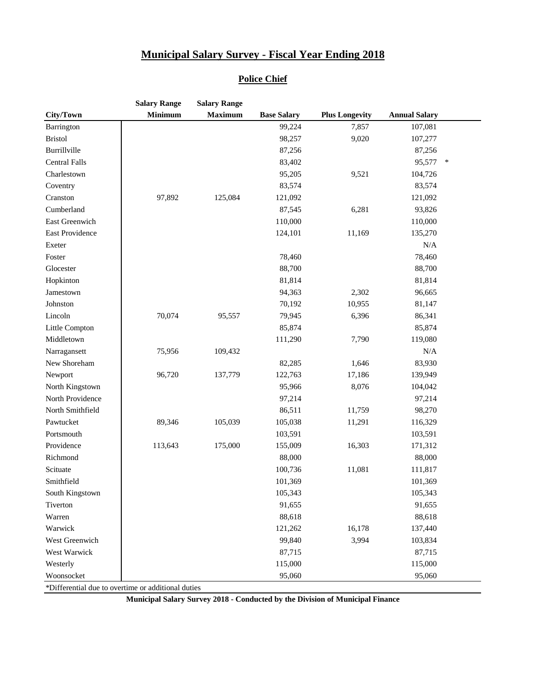#### **Police Chief**

|                      | <b>Salary Range</b> | <b>Salary Range</b> |                    |                       |                      |        |
|----------------------|---------------------|---------------------|--------------------|-----------------------|----------------------|--------|
| City/Town            | <b>Minimum</b>      | <b>Maximum</b>      | <b>Base Salary</b> | <b>Plus Longevity</b> | <b>Annual Salary</b> |        |
| Barrington           |                     |                     | 99,224             | 7,857                 | 107,081              |        |
| <b>Bristol</b>       |                     |                     | 98,257             | 9,020                 | 107,277              |        |
| Burrillville         |                     |                     | 87,256             |                       | 87,256               |        |
| <b>Central Falls</b> |                     |                     | 83,402             |                       | 95,577               | $\ast$ |
| Charlestown          |                     |                     | 95,205             | 9,521                 | 104,726              |        |
| Coventry             |                     |                     | 83,574             |                       | 83,574               |        |
| Cranston             | 97,892              | 125,084             | 121,092            |                       | 121,092              |        |
| Cumberland           |                     |                     | 87,545             | 6,281                 | 93,826               |        |
| East Greenwich       |                     |                     | 110,000            |                       | 110,000              |        |
| East Providence      |                     |                     | 124,101            | 11,169                | 135,270              |        |
| Exeter               |                     |                     |                    |                       | N/A                  |        |
| Foster               |                     |                     | 78,460             |                       | 78,460               |        |
| Glocester            |                     |                     | 88,700             |                       | 88,700               |        |
| Hopkinton            |                     |                     | 81,814             |                       | 81,814               |        |
| Jamestown            |                     |                     | 94,363             | 2,302                 | 96,665               |        |
| Johnston             |                     |                     | 70,192             | 10,955                | 81,147               |        |
| Lincoln              | 70,074              | 95,557              | 79,945             | 6,396                 | 86,341               |        |
| Little Compton       |                     |                     | 85,874             |                       | 85,874               |        |
| Middletown           |                     |                     | 111,290            | 7,790                 | 119,080              |        |
| Narragansett         | 75,956              | 109,432             |                    |                       | $\rm N/A$            |        |
| New Shoreham         |                     |                     | 82,285             | 1,646                 | 83,930               |        |
| Newport              | 96,720              | 137,779             | 122,763            | 17,186                | 139,949              |        |
| North Kingstown      |                     |                     | 95,966             | 8,076                 | 104,042              |        |
| North Providence     |                     |                     | 97,214             |                       | 97,214               |        |
| North Smithfield     |                     |                     | 86,511             | 11,759                | 98,270               |        |
| Pawtucket            | 89,346              | 105,039             | 105,038            | 11,291                | 116,329              |        |
| Portsmouth           |                     |                     | 103,591            |                       | 103,591              |        |
| Providence           | 113,643             | 175,000             | 155,009            | 16,303                | 171,312              |        |
| Richmond             |                     |                     | 88,000             |                       | 88,000               |        |
| Scituate             |                     |                     | 100,736            | 11,081                | 111,817              |        |
| Smithfield           |                     |                     | 101,369            |                       | 101,369              |        |
| South Kingstown      |                     |                     | 105,343            |                       | 105,343              |        |
| Tiverton             |                     |                     | 91,655             |                       | 91,655               |        |
| Warren               |                     |                     | 88,618             |                       | 88,618               |        |
| Warwick              |                     |                     | 121,262            | 16,178                | 137,440              |        |
| West Greenwich       |                     |                     | 99,840             | 3,994                 | 103,834              |        |
| West Warwick         |                     |                     | 87,715             |                       | 87,715               |        |
| Westerly             |                     |                     | 115,000            |                       | 115,000              |        |
| Woonsocket           |                     |                     | 95,060             |                       | 95,060               |        |

\*Differential due to overtime or additional duties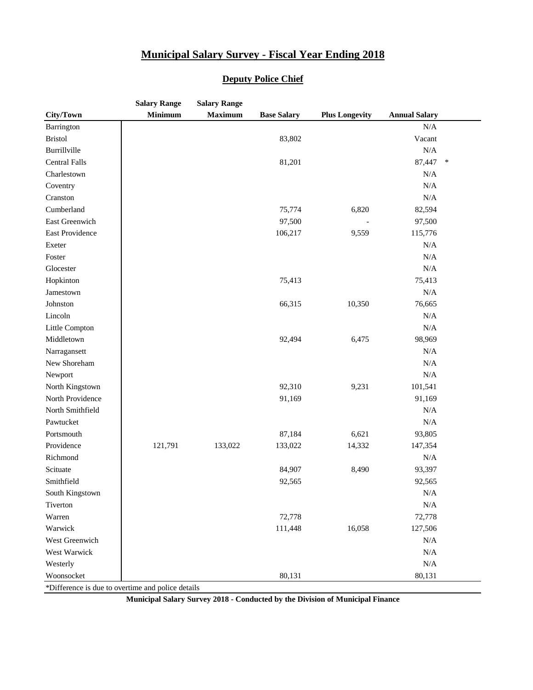|                                                   | <b>Salary Range</b> | <b>Salary Range</b> |                    |                       |                      |        |
|---------------------------------------------------|---------------------|---------------------|--------------------|-----------------------|----------------------|--------|
| City/Town                                         | <b>Minimum</b>      | <b>Maximum</b>      | <b>Base Salary</b> | <b>Plus Longevity</b> | <b>Annual Salary</b> |        |
| Barrington                                        |                     |                     |                    |                       | $\rm N/A$            |        |
| <b>Bristol</b>                                    |                     |                     | 83,802             |                       | Vacant               |        |
| Burrillville                                      |                     |                     |                    |                       | $\rm N/A$            |        |
| <b>Central Falls</b>                              |                     |                     | 81,201             |                       | 87,447               | $\ast$ |
| Charlestown                                       |                     |                     |                    |                       | $\rm N/A$            |        |
| Coventry                                          |                     |                     |                    |                       | $\rm N/A$            |        |
| Cranston                                          |                     |                     |                    |                       | $\rm N/A$            |        |
| Cumberland                                        |                     |                     | 75,774             | 6,820                 | 82,594               |        |
| East Greenwich                                    |                     |                     | 97,500             |                       | 97,500               |        |
| East Providence                                   |                     |                     | 106,217            | 9,559                 | 115,776              |        |
| Exeter                                            |                     |                     |                    |                       | $\rm N/A$            |        |
| Foster                                            |                     |                     |                    |                       | $\rm N/A$            |        |
| Glocester                                         |                     |                     |                    |                       | $\rm N/A$            |        |
| Hopkinton                                         |                     |                     | 75,413             |                       | 75,413               |        |
| Jamestown                                         |                     |                     |                    |                       | N/A                  |        |
| Johnston                                          |                     |                     | 66,315             | 10,350                | 76,665               |        |
| Lincoln                                           |                     |                     |                    |                       | N/A                  |        |
| Little Compton                                    |                     |                     |                    |                       | $\rm N/A$            |        |
| Middletown                                        |                     |                     | 92,494             | 6,475                 | 98,969               |        |
| Narragansett                                      |                     |                     |                    |                       | $\rm N/A$            |        |
| New Shoreham                                      |                     |                     |                    |                       | N/A                  |        |
| Newport                                           |                     |                     |                    |                       | $\rm N/A$            |        |
| North Kingstown                                   |                     |                     | 92,310             | 9,231                 | 101,541              |        |
| North Providence                                  |                     |                     | 91,169             |                       | 91,169               |        |
| North Smithfield                                  |                     |                     |                    |                       | N/A                  |        |
| Pawtucket                                         |                     |                     |                    |                       | N/A                  |        |
| Portsmouth                                        |                     |                     | 87,184             | 6,621                 | 93,805               |        |
| Providence                                        | 121,791             | 133,022             | 133,022            | 14,332                | 147,354              |        |
| Richmond                                          |                     |                     |                    |                       | N/A                  |        |
| Scituate                                          |                     |                     | 84,907             | 8,490                 | 93,397               |        |
| Smithfield                                        |                     |                     | 92,565             |                       | 92,565               |        |
| South Kingstown                                   |                     |                     |                    |                       | N/A                  |        |
| Tiverton                                          |                     |                     |                    |                       | N/A                  |        |
| Warren                                            |                     |                     | 72,778             |                       | 72,778               |        |
| Warwick                                           |                     |                     | 111,448            | 16,058                | 127,506              |        |
| West Greenwich                                    |                     |                     |                    |                       | N/A                  |        |
| West Warwick                                      |                     |                     |                    |                       | N/A                  |        |
| Westerly                                          |                     |                     |                    |                       | $\rm N/A$            |        |
| Woonsocket                                        |                     |                     | 80,131             |                       | 80,131               |        |
| *Difference is due to overtime and police details |                     |                     |                    |                       |                      |        |

#### **Deputy Police Chief**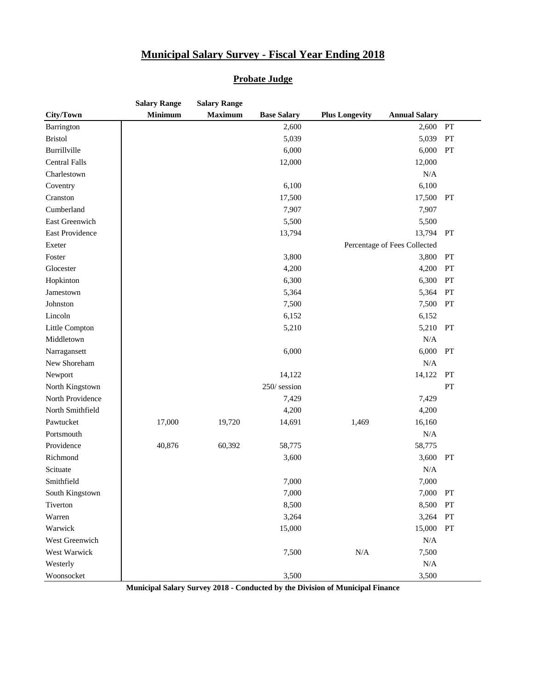#### **Probate Judge**

|                      | <b>Salary Range</b> | <b>Salary Range</b> |                    |                       |                              |    |
|----------------------|---------------------|---------------------|--------------------|-----------------------|------------------------------|----|
| City/Town            | <b>Minimum</b>      | <b>Maximum</b>      | <b>Base Salary</b> | <b>Plus Longevity</b> | <b>Annual Salary</b>         |    |
| Barrington           |                     |                     | 2,600              |                       | 2,600                        | PT |
| <b>Bristol</b>       |                     |                     | 5,039              |                       | 5,039                        | PT |
| Burrillville         |                     |                     | 6,000              |                       | 6,000                        | PT |
| <b>Central Falls</b> |                     |                     | 12,000             |                       | 12,000                       |    |
| Charlestown          |                     |                     |                    |                       | N/A                          |    |
| Coventry             |                     |                     | 6,100              |                       | 6,100                        |    |
| Cranston             |                     |                     | 17,500             |                       | 17,500                       | PT |
| Cumberland           |                     |                     | 7,907              |                       | 7,907                        |    |
| East Greenwich       |                     |                     | 5,500              |                       | 5,500                        |    |
| East Providence      |                     |                     | 13,794             |                       | 13,794                       | PT |
| Exeter               |                     |                     |                    |                       | Percentage of Fees Collected |    |
| Foster               |                     |                     | 3,800              |                       | 3,800                        | PT |
| Glocester            |                     |                     | 4,200              |                       | 4,200                        | PT |
| Hopkinton            |                     |                     | 6,300              |                       | 6,300                        | PT |
| Jamestown            |                     |                     | 5,364              |                       | 5,364                        | PT |
| Johnston             |                     |                     | 7,500              |                       | 7,500                        | PT |
| Lincoln              |                     |                     | 6,152              |                       | 6,152                        |    |
| Little Compton       |                     |                     | 5,210              |                       | 5,210                        | PT |
| Middletown           |                     |                     |                    |                       | $\rm N/A$                    |    |
| Narragansett         |                     |                     | 6,000              |                       | 6,000                        | PT |
| New Shoreham         |                     |                     |                    |                       | N/A                          |    |
| Newport              |                     |                     | 14,122             |                       | 14,122                       | PT |
| North Kingstown      |                     |                     | 250/session        |                       |                              | PT |
| North Providence     |                     |                     | 7,429              |                       | 7,429                        |    |
| North Smithfield     |                     |                     | 4,200              |                       | 4,200                        |    |
| Pawtucket            | 17,000              | 19,720              | 14,691             | 1,469                 | 16,160                       |    |
| Portsmouth           |                     |                     |                    |                       | N/A                          |    |
| Providence           | 40,876              | 60,392              | 58,775             |                       | 58,775                       |    |
| Richmond             |                     |                     | 3,600              |                       | 3,600 PT                     |    |
| Scituate             |                     |                     |                    |                       | N/A                          |    |
| Smithfield           |                     |                     | 7,000              |                       | 7,000                        |    |
| South Kingstown      |                     |                     | 7,000              |                       | 7,000                        | PT |
| Tiverton             |                     |                     | 8,500              |                       | 8,500                        | PT |
| Warren               |                     |                     | 3,264              |                       | 3,264                        | PT |
| Warwick              |                     |                     | 15,000             |                       | 15,000                       | PT |
| West Greenwich       |                     |                     |                    |                       | N/A                          |    |
| West Warwick         |                     |                     | 7,500              | $\rm N/A$             | 7,500                        |    |
| Westerly             |                     |                     |                    |                       | N/A                          |    |
| Woonsocket           |                     |                     | 3,500              |                       | 3,500                        |    |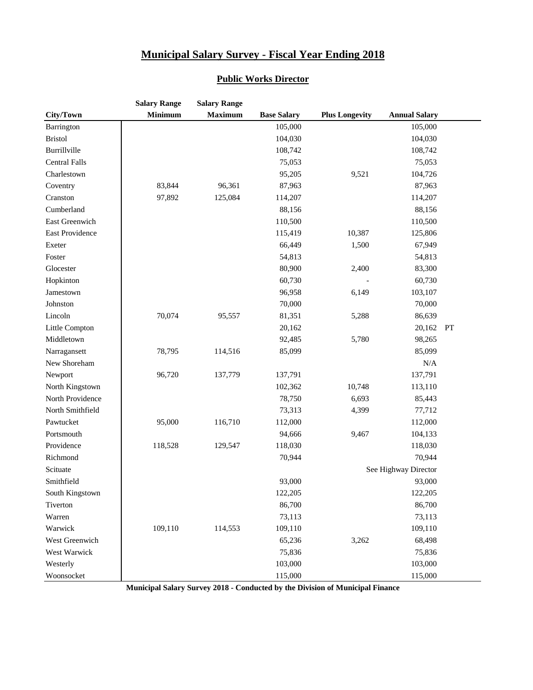|                      | <b>Salary Range</b> | <b>Salary Range</b> |                    |                       |                      |    |
|----------------------|---------------------|---------------------|--------------------|-----------------------|----------------------|----|
| City/Town            | <b>Minimum</b>      | <b>Maximum</b>      | <b>Base Salary</b> | <b>Plus Longevity</b> | <b>Annual Salary</b> |    |
| Barrington           |                     |                     | 105,000            |                       | 105,000              |    |
| <b>Bristol</b>       |                     |                     | 104,030            |                       | 104,030              |    |
| Burrillville         |                     |                     | 108,742            |                       | 108,742              |    |
| <b>Central Falls</b> |                     |                     | 75,053             |                       | 75,053               |    |
| Charlestown          |                     |                     | 95,205             | 9,521                 | 104,726              |    |
| Coventry             | 83,844              | 96,361              | 87,963             |                       | 87,963               |    |
| Cranston             | 97,892              | 125,084             | 114,207            |                       | 114,207              |    |
| Cumberland           |                     |                     | 88,156             |                       | 88,156               |    |
| East Greenwich       |                     |                     | 110,500            |                       | 110,500              |    |
| East Providence      |                     |                     | 115,419            | 10,387                | 125,806              |    |
| Exeter               |                     |                     | 66,449             | 1,500                 | 67,949               |    |
| Foster               |                     |                     | 54,813             |                       | 54,813               |    |
| Glocester            |                     |                     | 80,900             | 2,400                 | 83,300               |    |
| Hopkinton            |                     |                     | 60,730             |                       | 60,730               |    |
| Jamestown            |                     |                     | 96,958             | 6,149                 | 103,107              |    |
| Johnston             |                     |                     | 70,000             |                       | 70,000               |    |
| Lincoln              | 70,074              | 95,557              | 81,351             | 5,288                 | 86,639               |    |
| Little Compton       |                     |                     | 20,162             |                       | 20,162               | PT |
| Middletown           |                     |                     | 92,485             | 5,780                 | 98,265               |    |
| Narragansett         | 78,795              | 114,516             | 85,099             |                       | 85,099               |    |
| New Shoreham         |                     |                     |                    |                       | N/A                  |    |
| Newport              | 96,720              | 137,779             | 137,791            |                       | 137,791              |    |
| North Kingstown      |                     |                     | 102,362            | 10,748                | 113,110              |    |
| North Providence     |                     |                     | 78,750             | 6,693                 | 85,443               |    |
| North Smithfield     |                     |                     | 73,313             | 4,399                 | 77,712               |    |
| Pawtucket            | 95,000              | 116,710             | 112,000            |                       | 112,000              |    |
| Portsmouth           |                     |                     | 94,666             | 9,467                 | 104,133              |    |
| Providence           | 118,528             | 129,547             | 118,030            |                       | 118,030              |    |
| Richmond             |                     |                     | 70,944             |                       | 70,944               |    |
| Scituate             |                     |                     |                    |                       | See Highway Director |    |
| Smithfield           |                     |                     | 93,000             |                       | 93,000               |    |
| South Kingstown      |                     |                     | 122,205            |                       | 122,205              |    |
| Tiverton             |                     |                     | 86,700             |                       | 86,700               |    |
| Warren               |                     |                     | 73,113             |                       | 73,113               |    |
| Warwick              | 109,110             | 114,553             | 109,110            |                       | 109,110              |    |
| West Greenwich       |                     |                     | 65,236             | 3,262                 | 68,498               |    |
| West Warwick         |                     |                     | 75,836             |                       | 75,836               |    |
| Westerly             |                     |                     | 103,000            |                       | 103,000              |    |
| Woonsocket           |                     |                     | 115,000            |                       | 115,000              |    |

#### **Public Works Director**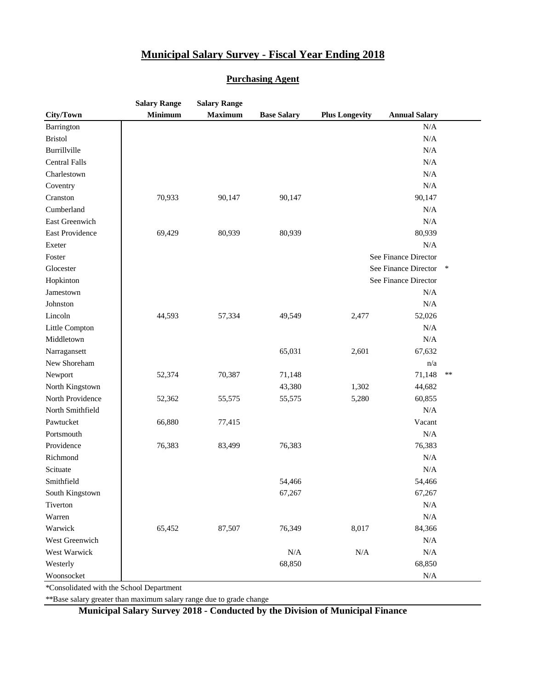#### **Purchasing Agent**

|                      | <b>Salary Range</b> | <b>Salary Range</b> |                    |                       |                      |        |
|----------------------|---------------------|---------------------|--------------------|-----------------------|----------------------|--------|
| City/Town            | <b>Minimum</b>      | <b>Maximum</b>      | <b>Base Salary</b> | <b>Plus Longevity</b> | <b>Annual Salary</b> |        |
| Barrington           |                     |                     |                    |                       | N/A                  |        |
| <b>Bristol</b>       |                     |                     |                    |                       | N/A                  |        |
| Burrillville         |                     |                     |                    |                       | N/A                  |        |
| <b>Central Falls</b> |                     |                     |                    |                       | N/A                  |        |
| Charlestown          |                     |                     |                    |                       | N/A                  |        |
| Coventry             |                     |                     |                    |                       | N/A                  |        |
| Cranston             | 70,933              | 90,147              | 90,147             |                       | 90,147               |        |
| Cumberland           |                     |                     |                    |                       | N/A                  |        |
| East Greenwich       |                     |                     |                    |                       | N/A                  |        |
| East Providence      | 69,429              | 80,939              | 80,939             |                       | 80,939               |        |
| Exeter               |                     |                     |                    |                       | N/A                  |        |
| Foster               |                     |                     |                    |                       | See Finance Director |        |
| Glocester            |                     |                     |                    |                       | See Finance Director | $\ast$ |
| Hopkinton            |                     |                     |                    |                       | See Finance Director |        |
| Jamestown            |                     |                     |                    |                       | N/A                  |        |
| Johnston             |                     |                     |                    |                       | N/A                  |        |
| Lincoln              | 44,593              | 57,334              | 49,549             | 2,477                 | 52,026               |        |
| Little Compton       |                     |                     |                    |                       | N/A                  |        |
| Middletown           |                     |                     |                    |                       | N/A                  |        |
| Narragansett         |                     |                     | 65,031             | 2,601                 | 67,632               |        |
| New Shoreham         |                     |                     |                    |                       | n/a                  |        |
| Newport              | 52,374              | 70,387              | 71,148             |                       | 71,148               | $**$   |
| North Kingstown      |                     |                     | 43,380             | 1,302                 | 44,682               |        |
| North Providence     | 52,362              | 55,575              | 55,575             | 5,280                 | 60,855               |        |
| North Smithfield     |                     |                     |                    |                       | N/A                  |        |
| Pawtucket            | 66,880              | 77,415              |                    |                       | Vacant               |        |
| Portsmouth           |                     |                     |                    |                       | $\rm N/A$            |        |
| Providence           | 76,383              | 83,499              | 76,383             |                       | 76,383               |        |
| Richmond             |                     |                     |                    |                       | N/A                  |        |
| Scituate             |                     |                     |                    |                       | $\rm N/A$            |        |
| Smithfield           |                     |                     | 54,466             |                       | 54,466               |        |
| South Kingstown      |                     |                     | 67,267             |                       | 67,267               |        |
| Tiverton             |                     |                     |                    |                       | N/A                  |        |
| Warren               |                     |                     |                    |                       | $\rm N/A$            |        |
| Warwick              | 65,452              | 87,507              | 76,349             | 8,017                 | 84,366               |        |
| West Greenwich       |                     |                     |                    |                       | N/A                  |        |
| West Warwick         |                     |                     | N/A                | $\rm N/A$             | N/A                  |        |
| Westerly             |                     |                     | 68,850             |                       | 68,850               |        |
| Woonsocket           |                     |                     |                    |                       | $\rm N/A$            |        |

\*Consolidated with the School Department

\*\*Base salary greater than maximum salary range due to grade change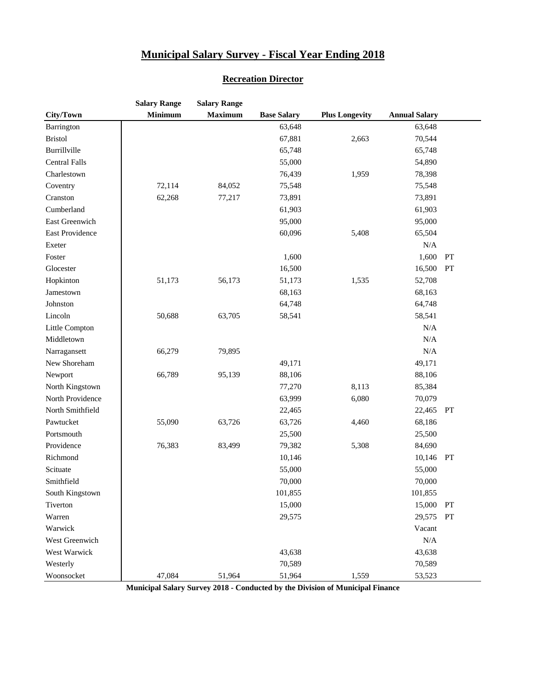|                      | <b>Salary Range</b> | <b>Salary Range</b> |                    |                       |                      |    |
|----------------------|---------------------|---------------------|--------------------|-----------------------|----------------------|----|
| City/Town            | <b>Minimum</b>      | <b>Maximum</b>      | <b>Base Salary</b> | <b>Plus Longevity</b> | <b>Annual Salary</b> |    |
| Barrington           |                     |                     | 63,648             |                       | 63,648               |    |
| <b>Bristol</b>       |                     |                     | 67,881             | 2,663                 | 70,544               |    |
| Burrillville         |                     |                     | 65,748             |                       | 65,748               |    |
| <b>Central Falls</b> |                     |                     | 55,000             |                       | 54,890               |    |
| Charlestown          |                     |                     | 76,439             | 1,959                 | 78,398               |    |
| Coventry             | 72,114              | 84,052              | 75,548             |                       | 75,548               |    |
| Cranston             | 62,268              | 77,217              | 73,891             |                       | 73,891               |    |
| Cumberland           |                     |                     | 61,903             |                       | 61,903               |    |
| East Greenwich       |                     |                     | 95,000             |                       | 95,000               |    |
| East Providence      |                     |                     | 60,096             | 5,408                 | 65,504               |    |
| Exeter               |                     |                     |                    |                       | $\rm N/A$            |    |
| Foster               |                     |                     | 1,600              |                       | 1,600                | PT |
| Glocester            |                     |                     | 16,500             |                       | 16,500               | PT |
| Hopkinton            | 51,173              | 56,173              | 51,173             | 1,535                 | 52,708               |    |
| Jamestown            |                     |                     | 68,163             |                       | 68,163               |    |
| Johnston             |                     |                     | 64,748             |                       | 64,748               |    |
| Lincoln              | 50,688              | 63,705              | 58,541             |                       | 58,541               |    |
| Little Compton       |                     |                     |                    |                       | N/A                  |    |
| Middletown           |                     |                     |                    |                       | N/A                  |    |
| Narragansett         | 66,279              | 79,895              |                    |                       | N/A                  |    |
| New Shoreham         |                     |                     | 49,171             |                       | 49,171               |    |
| Newport              | 66,789              | 95,139              | 88,106             |                       | 88,106               |    |
| North Kingstown      |                     |                     | 77,270             | 8,113                 | 85,384               |    |
| North Providence     |                     |                     | 63,999             | 6,080                 | 70,079               |    |
| North Smithfield     |                     |                     | 22,465             |                       | 22,465               | PT |
| Pawtucket            | 55,090              | 63,726              | 63,726             | 4,460                 | 68,186               |    |
| Portsmouth           |                     |                     | 25,500             |                       | 25,500               |    |
| Providence           | 76,383              | 83,499              | 79,382             | 5,308                 | 84,690               |    |
| Richmond             |                     |                     | 10,146             |                       | 10,146 PT            |    |
| Scituate             |                     |                     | 55,000             |                       | 55,000               |    |
| Smithfield           |                     |                     | 70,000             |                       | 70,000               |    |
| South Kingstown      |                     |                     | 101,855            |                       | 101,855              |    |
| Tiverton             |                     |                     | 15,000             |                       | 15,000               | PT |
| Warren               |                     |                     | 29,575             |                       | 29,575               | PT |
| Warwick              |                     |                     |                    |                       | Vacant               |    |
| West Greenwich       |                     |                     |                    |                       | $\rm N/A$            |    |
| West Warwick         |                     |                     | 43,638             |                       | 43,638               |    |
| Westerly             |                     |                     | 70,589             |                       | 70,589               |    |
| Woonsocket           | 47,084              | 51,964              | 51,964             | 1,559                 | 53,523               |    |

#### **Recreation Director**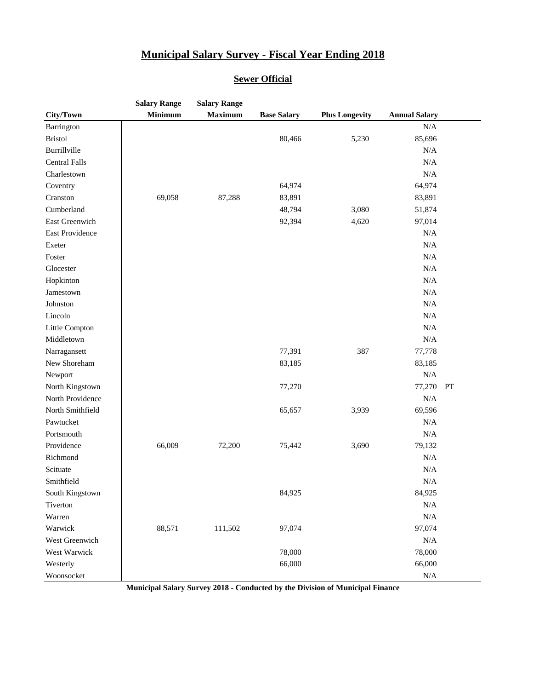#### **Sewer Official**

|                      | <b>Salary Range</b> | <b>Salary Range</b> |                    |                       |                      |    |
|----------------------|---------------------|---------------------|--------------------|-----------------------|----------------------|----|
| City/Town            | <b>Minimum</b>      | <b>Maximum</b>      | <b>Base Salary</b> | <b>Plus Longevity</b> | <b>Annual Salary</b> |    |
| Barrington           |                     |                     |                    |                       | $\rm N/A$            |    |
| <b>Bristol</b>       |                     |                     | 80,466             | 5,230                 | 85,696               |    |
| Burrillville         |                     |                     |                    |                       | N/A                  |    |
| <b>Central Falls</b> |                     |                     |                    |                       | N/A                  |    |
| Charlestown          |                     |                     |                    |                       | N/A                  |    |
| Coventry             |                     |                     | 64,974             |                       | 64,974               |    |
| Cranston             | 69,058              | 87,288              | 83,891             |                       | 83,891               |    |
| Cumberland           |                     |                     | 48,794             | 3,080                 | 51,874               |    |
| East Greenwich       |                     |                     | 92,394             | 4,620                 | 97,014               |    |
| East Providence      |                     |                     |                    |                       | $\rm N/A$            |    |
| Exeter               |                     |                     |                    |                       | N/A                  |    |
| Foster               |                     |                     |                    |                       | $\rm N/A$            |    |
| Glocester            |                     |                     |                    |                       | N/A                  |    |
| Hopkinton            |                     |                     |                    |                       | N/A                  |    |
| Jamestown            |                     |                     |                    |                       | $\rm N/A$            |    |
| Johnston             |                     |                     |                    |                       | $\rm N/A$            |    |
| Lincoln              |                     |                     |                    |                       | N/A                  |    |
| Little Compton       |                     |                     |                    |                       | N/A                  |    |
| Middletown           |                     |                     |                    |                       | $\rm N/A$            |    |
| Narragansett         |                     |                     | 77,391             | 387                   | 77,778               |    |
| New Shoreham         |                     |                     | 83,185             |                       | 83,185               |    |
| Newport              |                     |                     |                    |                       | N/A                  |    |
| North Kingstown      |                     |                     | 77,270             |                       | 77,270               | PT |
| North Providence     |                     |                     |                    |                       | N/A                  |    |
| North Smithfield     |                     |                     | 65,657             | 3,939                 | 69,596               |    |
| Pawtucket            |                     |                     |                    |                       | N/A                  |    |
| Portsmouth           |                     |                     |                    |                       | N/A                  |    |
| Providence           | 66,009              | 72,200              | 75,442             | 3,690                 | 79,132               |    |
| Richmond             |                     |                     |                    |                       | $\rm N/A$            |    |
| Scituate             |                     |                     |                    |                       | N/A                  |    |
| Smithfield           |                     |                     |                    |                       | N/A                  |    |
| South Kingstown      |                     |                     | 84,925             |                       | 84,925               |    |
| Tiverton             |                     |                     |                    |                       | N/A                  |    |
| Warren               |                     |                     |                    |                       | N/A                  |    |
| Warwick              | 88,571              | 111,502             | 97,074             |                       | 97,074               |    |
| West Greenwich       |                     |                     |                    |                       | N/A                  |    |
| West Warwick         |                     |                     | 78,000             |                       | 78,000               |    |
| Westerly             |                     |                     | 66,000             |                       | 66,000               |    |
| Woonsocket           |                     |                     |                    |                       | N/A                  |    |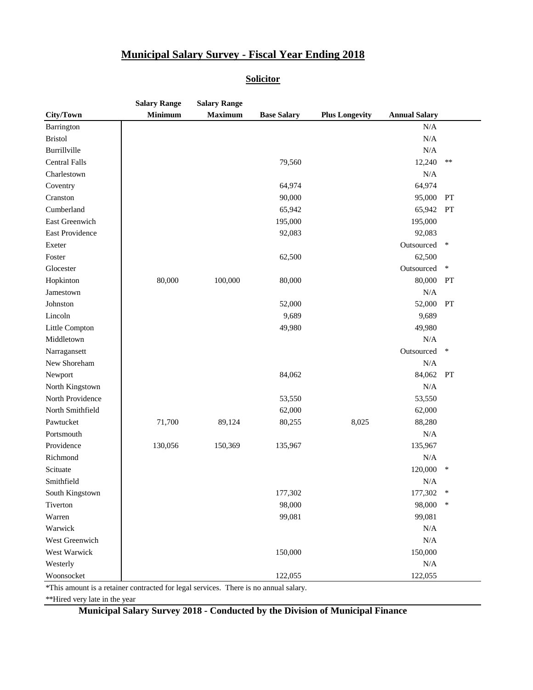#### **Solicitor**

|                      | <b>Salary Range</b> | <b>Salary Range</b> |                    |                       |                      |        |
|----------------------|---------------------|---------------------|--------------------|-----------------------|----------------------|--------|
| City/Town            | <b>Minimum</b>      | <b>Maximum</b>      | <b>Base Salary</b> | <b>Plus Longevity</b> | <b>Annual Salary</b> |        |
| Barrington           |                     |                     |                    |                       | N/A                  |        |
| <b>Bristol</b>       |                     |                     |                    |                       | N/A                  |        |
| Burrillville         |                     |                     |                    |                       | N/A                  |        |
| <b>Central Falls</b> |                     |                     | 79,560             |                       | 12,240               | $***$  |
| Charlestown          |                     |                     |                    |                       | N/A                  |        |
| Coventry             |                     |                     | 64,974             |                       | 64,974               |        |
| Cranston             |                     |                     | 90,000             |                       | 95,000               | PT     |
| Cumberland           |                     |                     | 65,942             |                       | 65,942               | PT     |
| East Greenwich       |                     |                     | 195,000            |                       | 195,000              |        |
| East Providence      |                     |                     | 92,083             |                       | 92,083               |        |
| Exeter               |                     |                     |                    |                       | Outsourced           | $\ast$ |
| Foster               |                     |                     | 62,500             |                       | 62,500               |        |
| Glocester            |                     |                     |                    |                       | Outsourced           | $\ast$ |
| Hopkinton            | 80,000              | 100,000             | 80,000             |                       | 80,000               | PT     |
| Jamestown            |                     |                     |                    |                       | $\rm N/A$            |        |
| Johnston             |                     |                     | 52,000             |                       | 52,000               | PT     |
| Lincoln              |                     |                     | 9,689              |                       | 9,689                |        |
| Little Compton       |                     |                     | 49,980             |                       | 49,980               |        |
| Middletown           |                     |                     |                    |                       | $\rm N/A$            |        |
| Narragansett         |                     |                     |                    |                       | Outsourced           | $\ast$ |
| New Shoreham         |                     |                     |                    |                       | $\rm N/A$            |        |
| Newport              |                     |                     | 84,062             |                       | 84,062               | PT     |
| North Kingstown      |                     |                     |                    |                       | N/A                  |        |
| North Providence     |                     |                     | 53,550             |                       | 53,550               |        |
| North Smithfield     |                     |                     | 62,000             |                       | 62,000               |        |
| Pawtucket            | 71,700              | 89,124              | 80,255             | 8,025                 | 88,280               |        |
| Portsmouth           |                     |                     |                    |                       | N/A                  |        |
| Providence           | 130,056             | 150,369             | 135,967            |                       | 135,967              |        |
| Richmond             |                     |                     |                    |                       | N/A                  |        |
| Scituate             |                     |                     |                    |                       | 120,000              | $\ast$ |
| Smithfield           |                     |                     |                    |                       | $\rm N/A$            |        |
| South Kingstown      |                     |                     | 177,302            |                       | 177,302              | ∗      |
| Tiverton             |                     |                     | 98,000             |                       | 98,000               | $\ast$ |
| Warren               |                     |                     | 99,081             |                       | 99,081               |        |
| Warwick              |                     |                     |                    |                       | N/A                  |        |
| West Greenwich       |                     |                     |                    |                       | N/A                  |        |
| West Warwick         |                     |                     | 150,000            |                       | 150,000              |        |
| Westerly             |                     |                     |                    |                       | $\rm N/A$            |        |
| Woonsocket           |                     |                     | 122,055            |                       | 122,055              |        |

\*This amount is a retainer contracted for legal services. There is no annual salary.

\*\*Hired very late in the year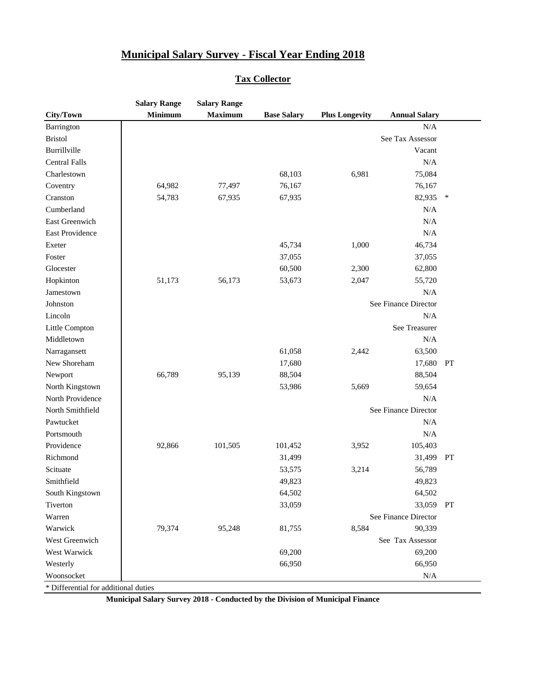#### **Tax Collector**

|                      | <b>Salary Range</b> | <b>Salary Range</b> |                    |                       |                      |        |
|----------------------|---------------------|---------------------|--------------------|-----------------------|----------------------|--------|
| City/Town            | <b>Minimum</b>      | <b>Maximum</b>      | <b>Base Salary</b> | <b>Plus Longevity</b> | <b>Annual Salary</b> |        |
| Barrington           |                     |                     |                    |                       | N/A                  |        |
| <b>Bristol</b>       |                     |                     |                    |                       | See Tax Assessor     |        |
| Burrillville         |                     |                     |                    |                       | Vacant               |        |
| <b>Central Falls</b> |                     |                     |                    |                       | N/A                  |        |
| Charlestown          |                     |                     | 68,103             | 6,981                 | 75,084               |        |
| Coventry             | 64,982              | 77,497              | 76,167             |                       | 76,167               |        |
| Cranston             | 54,783              | 67,935              | 67,935             |                       | 82,935               | $\ast$ |
| Cumberland           |                     |                     |                    |                       | N/A                  |        |
| East Greenwich       |                     |                     |                    |                       | N/A                  |        |
| East Providence      |                     |                     |                    |                       | N/A                  |        |
| Exeter               |                     |                     | 45,734             | 1,000                 | 46,734               |        |
| Foster               |                     |                     | 37,055             |                       | 37,055               |        |
| Glocester            |                     |                     | 60,500             | 2,300                 | 62,800               |        |
| Hopkinton            | 51,173              | 56,173              | 53,673             | 2,047                 | 55,720               |        |
| Jamestown            |                     |                     |                    |                       | N/A                  |        |
| Johnston             |                     |                     |                    |                       | See Finance Director |        |
| Lincoln              |                     |                     |                    |                       | N/A                  |        |
| Little Compton       |                     |                     |                    |                       | See Treasurer        |        |
| Middletown           |                     |                     |                    |                       | N/A                  |        |
| Narragansett         |                     |                     | 61,058             | 2,442                 | 63,500               |        |
| New Shoreham         |                     |                     | 17,680             |                       | 17,680               | PT     |
| Newport              | 66,789              | 95,139              | 88,504             |                       | 88,504               |        |
| North Kingstown      |                     |                     | 53,986             | 5,669                 | 59,654               |        |
| North Providence     |                     |                     |                    |                       | N/A                  |        |
| North Smithfield     |                     |                     |                    |                       | See Finance Director |        |
| Pawtucket            |                     |                     |                    |                       | N/A                  |        |
| Portsmouth           |                     |                     |                    |                       | N/A                  |        |
| Providence           | 92,866              | 101,505             | 101,452            | 3,952                 | 105,403              |        |
| Richmond             |                     |                     | 31,499             |                       | 31,499 PT            |        |
| Scituate             |                     |                     | 53,575             | 3,214                 | 56,789               |        |
| Smithfield           |                     |                     | 49,823             |                       | 49,823               |        |
| South Kingstown      |                     |                     | 64,502             |                       | 64,502               |        |
| Tiverton             |                     |                     | 33,059             |                       | 33,059               | PT     |
| Warren               |                     |                     |                    |                       | See Finance Director |        |
| Warwick              | 79,374              | 95,248              | 81,755             | 8,584                 | 90,339               |        |
| West Greenwich       |                     |                     |                    |                       | See Tax Assessor     |        |
| West Warwick         |                     |                     | 69,200             |                       | 69,200               |        |
| Westerly             |                     |                     | 66,950             |                       | 66,950               |        |
| Woonsocket           |                     |                     |                    |                       | N/A                  |        |

\* Differential for additional duties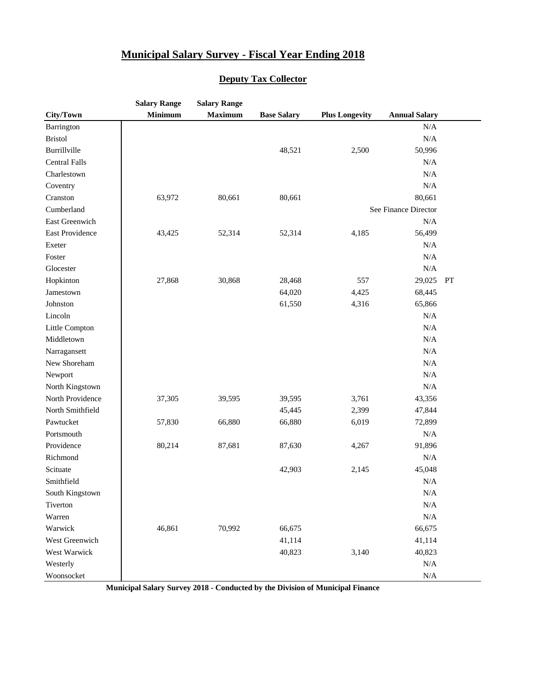#### **Deputy Tax Collector**

|                      | <b>Salary Range</b> | <b>Salary Range</b> |                    |                       |                      |    |
|----------------------|---------------------|---------------------|--------------------|-----------------------|----------------------|----|
| City/Town            | <b>Minimum</b>      | <b>Maximum</b>      | <b>Base Salary</b> | <b>Plus Longevity</b> | <b>Annual Salary</b> |    |
| Barrington           |                     |                     |                    |                       | $\rm N/A$            |    |
| <b>Bristol</b>       |                     |                     |                    |                       | $\rm N/A$            |    |
| Burrillville         |                     |                     | 48,521             | 2,500                 | 50,996               |    |
| <b>Central Falls</b> |                     |                     |                    |                       | N/A                  |    |
| Charlestown          |                     |                     |                    |                       | $\rm N/A$            |    |
| Coventry             |                     |                     |                    |                       | N/A                  |    |
| Cranston             | 63,972              | 80,661              | 80,661             |                       | 80,661               |    |
| Cumberland           |                     |                     |                    |                       | See Finance Director |    |
| East Greenwich       |                     |                     |                    |                       | N/A                  |    |
| East Providence      | 43,425              | 52,314              | 52,314             | 4,185                 | 56,499               |    |
| Exeter               |                     |                     |                    |                       | N/A                  |    |
| Foster               |                     |                     |                    |                       | N/A                  |    |
| Glocester            |                     |                     |                    |                       | $\rm N/A$            |    |
| Hopkinton            | 27,868              | 30,868              | 28,468             | 557                   | 29,025               | PT |
| Jamestown            |                     |                     | 64,020             | 4,425                 | 68,445               |    |
| Johnston             |                     |                     | 61,550             | 4,316                 | 65,866               |    |
| Lincoln              |                     |                     |                    |                       | N/A                  |    |
| Little Compton       |                     |                     |                    |                       | $\rm N/A$            |    |
| Middletown           |                     |                     |                    |                       | $\rm N/A$            |    |
| Narragansett         |                     |                     |                    |                       | $\rm N/A$            |    |
| New Shoreham         |                     |                     |                    |                       | N/A                  |    |
| Newport              |                     |                     |                    |                       | $\rm N/A$            |    |
| North Kingstown      |                     |                     |                    |                       | $\rm N/A$            |    |
| North Providence     | 37,305              | 39,595              | 39,595             | 3,761                 | 43,356               |    |
| North Smithfield     |                     |                     | 45,445             | 2,399                 | 47,844               |    |
| Pawtucket            | 57,830              | 66,880              | 66,880             | 6,019                 | 72,899               |    |
| Portsmouth           |                     |                     |                    |                       | N/A                  |    |
| Providence           | 80,214              | 87,681              | 87,630             | 4,267                 | 91,896               |    |
| Richmond             |                     |                     |                    |                       | N/A                  |    |
| Scituate             |                     |                     | 42,903             | 2,145                 | 45,048               |    |
| Smithfield           |                     |                     |                    |                       | N/A                  |    |
| South Kingstown      |                     |                     |                    |                       | $\rm N/A$            |    |
| Tiverton             |                     |                     |                    |                       | $\rm N/A$            |    |
| Warren               |                     |                     |                    |                       | $\rm N/A$            |    |
| Warwick              | 46,861              | 70,992              | 66,675             |                       | 66,675               |    |
| West Greenwich       |                     |                     | 41,114             |                       | 41,114               |    |
| West Warwick         |                     |                     | 40,823             | 3,140                 | 40,823               |    |
| Westerly             |                     |                     |                    |                       | $\rm N/A$            |    |
| Woonsocket           |                     |                     |                    |                       | $\rm N/A$            |    |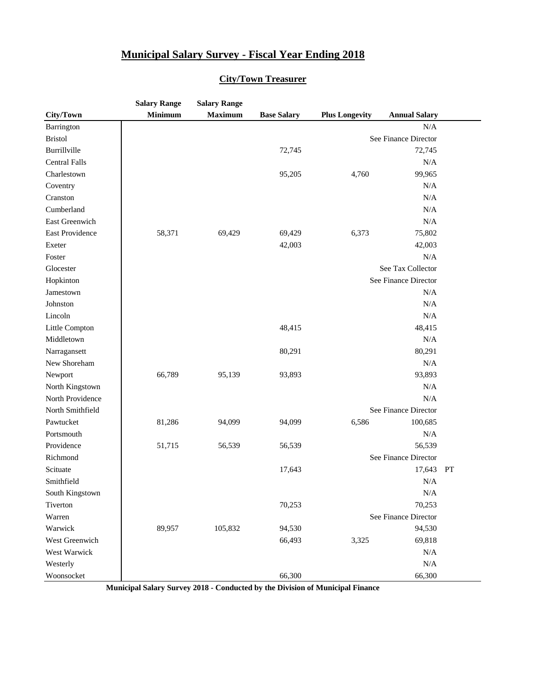|                      | <b>Salary Range</b> | <b>Salary Range</b> |                    |                       |                      |    |
|----------------------|---------------------|---------------------|--------------------|-----------------------|----------------------|----|
| City/Town            | <b>Minimum</b>      | <b>Maximum</b>      | <b>Base Salary</b> | <b>Plus Longevity</b> | <b>Annual Salary</b> |    |
| Barrington           |                     |                     |                    |                       | N/A                  |    |
| <b>Bristol</b>       |                     |                     |                    |                       | See Finance Director |    |
| Burrillville         |                     |                     | 72,745             |                       | 72,745               |    |
| <b>Central Falls</b> |                     |                     |                    |                       | N/A                  |    |
| Charlestown          |                     |                     | 95,205             | 4,760                 | 99,965               |    |
| Coventry             |                     |                     |                    |                       | N/A                  |    |
| Cranston             |                     |                     |                    |                       | N/A                  |    |
| Cumberland           |                     |                     |                    |                       | N/A                  |    |
| East Greenwich       |                     |                     |                    |                       | N/A                  |    |
| East Providence      | 58,371              | 69,429              | 69,429             | 6,373                 | 75,802               |    |
| Exeter               |                     |                     | 42,003             |                       | 42,003               |    |
| Foster               |                     |                     |                    |                       | N/A                  |    |
| Glocester            |                     |                     |                    |                       | See Tax Collector    |    |
| Hopkinton            |                     |                     |                    |                       | See Finance Director |    |
| Jamestown            |                     |                     |                    |                       | N/A                  |    |
| Johnston             |                     |                     |                    |                       | N/A                  |    |
| Lincoln              |                     |                     |                    |                       | N/A                  |    |
| Little Compton       |                     |                     | 48,415             |                       | 48,415               |    |
| Middletown           |                     |                     |                    |                       | N/A                  |    |
| Narragansett         |                     |                     | 80,291             |                       | 80,291               |    |
| New Shoreham         |                     |                     |                    |                       | N/A                  |    |
| Newport              | 66,789              | 95,139              | 93,893             |                       | 93,893               |    |
| North Kingstown      |                     |                     |                    |                       | N/A                  |    |
| North Providence     |                     |                     |                    |                       | N/A                  |    |
| North Smithfield     |                     |                     |                    |                       | See Finance Director |    |
| Pawtucket            | 81,286              | 94,099              | 94,099             | 6,586                 | 100,685              |    |
| Portsmouth           |                     |                     |                    |                       | N/A                  |    |
| Providence           | 51,715              | 56,539              | 56,539             |                       | 56,539               |    |
| Richmond             |                     |                     |                    |                       | See Finance Director |    |
| Scituate             |                     |                     | 17,643             |                       | 17,643               | PT |
| Smithfield           |                     |                     |                    |                       | N/A                  |    |
| South Kingstown      |                     |                     |                    |                       | N/A                  |    |
| Tiverton             |                     |                     | 70,253             |                       | 70,253               |    |
| Warren               |                     |                     |                    |                       | See Finance Director |    |
| Warwick              | 89,957              | 105,832             | 94,530             |                       | 94,530               |    |
| West Greenwich       |                     |                     | 66,493             | 3,325                 | 69,818               |    |
| West Warwick         |                     |                     |                    |                       | N/A                  |    |
| Westerly             |                     |                     |                    |                       | N/A                  |    |
| Woonsocket           |                     |                     | 66,300             |                       | 66,300               |    |

#### **City/Town Treasurer**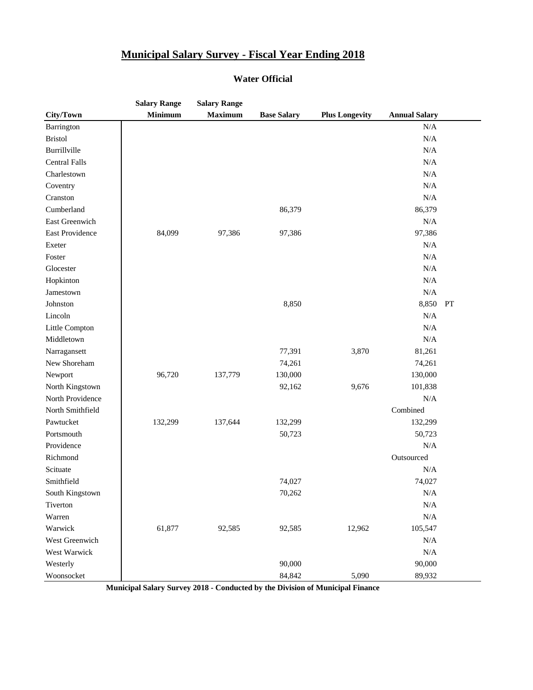#### **Water Official**

|                      | <b>Salary Range</b> | <b>Salary Range</b> |                    |                       |                      |    |
|----------------------|---------------------|---------------------|--------------------|-----------------------|----------------------|----|
| City/Town            | <b>Minimum</b>      | <b>Maximum</b>      | <b>Base Salary</b> | <b>Plus Longevity</b> | <b>Annual Salary</b> |    |
| Barrington           |                     |                     |                    |                       | $\rm N/A$            |    |
| <b>Bristol</b>       |                     |                     |                    |                       | N/A                  |    |
| Burrillville         |                     |                     |                    |                       | N/A                  |    |
| <b>Central Falls</b> |                     |                     |                    |                       | N/A                  |    |
| Charlestown          |                     |                     |                    |                       | N/A                  |    |
| Coventry             |                     |                     |                    |                       | N/A                  |    |
| Cranston             |                     |                     |                    |                       | N/A                  |    |
| Cumberland           |                     |                     | 86,379             |                       | 86,379               |    |
| East Greenwich       |                     |                     |                    |                       | N/A                  |    |
| East Providence      | 84,099              | 97,386              | 97,386             |                       | 97,386               |    |
| Exeter               |                     |                     |                    |                       | N/A                  |    |
| Foster               |                     |                     |                    |                       | N/A                  |    |
| Glocester            |                     |                     |                    |                       | N/A                  |    |
| Hopkinton            |                     |                     |                    |                       | N/A                  |    |
| Jamestown            |                     |                     |                    |                       | N/A                  |    |
| Johnston             |                     |                     | 8,850              |                       | 8,850                | PT |
| Lincoln              |                     |                     |                    |                       | N/A                  |    |
| Little Compton       |                     |                     |                    |                       | N/A                  |    |
| Middletown           |                     |                     |                    |                       | N/A                  |    |
| Narragansett         |                     |                     | 77,391             | 3,870                 | 81,261               |    |
| New Shoreham         |                     |                     | 74,261             |                       | 74,261               |    |
| Newport              | 96,720              | 137,779             | 130,000            |                       | 130,000              |    |
| North Kingstown      |                     |                     | 92,162             | 9,676                 | 101,838              |    |
| North Providence     |                     |                     |                    |                       | N/A                  |    |
| North Smithfield     |                     |                     |                    |                       | Combined             |    |
| Pawtucket            | 132,299             | 137,644             | 132,299            |                       | 132,299              |    |
| Portsmouth           |                     |                     | 50,723             |                       | 50,723               |    |
| Providence           |                     |                     |                    |                       | N/A                  |    |
| Richmond             |                     |                     |                    |                       | Outsourced           |    |
| Scituate             |                     |                     |                    |                       | N/A                  |    |
| Smithfield           |                     |                     | 74,027             |                       | 74,027               |    |
| South Kingstown      |                     |                     | 70,262             |                       | N/A                  |    |
| Tiverton             |                     |                     |                    |                       | N/A                  |    |
| Warren               |                     |                     |                    |                       | N/A                  |    |
| Warwick              | 61,877              | 92,585              | 92,585             | 12,962                | 105,547              |    |
| West Greenwich       |                     |                     |                    |                       | N/A                  |    |
| West Warwick         |                     |                     |                    |                       | N/A                  |    |
| Westerly             |                     |                     | 90,000             |                       | 90,000               |    |
| Woonsocket           |                     |                     | 84,842             | 5,090                 | 89,932               |    |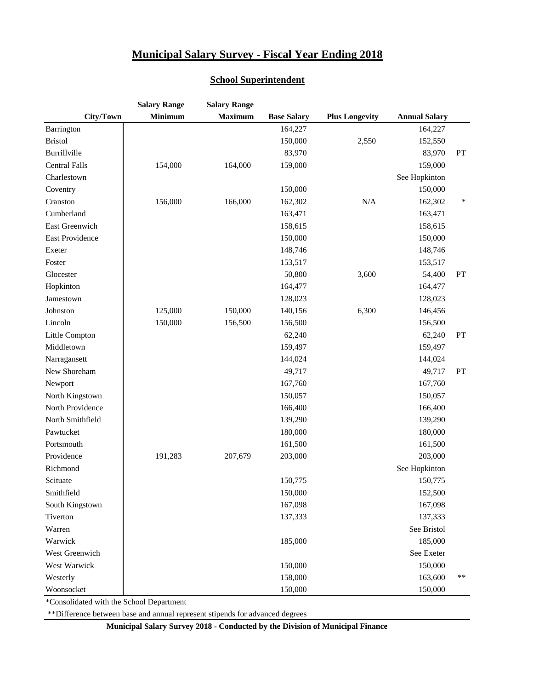#### **School Superintendent**

|                        | <b>Salary Range</b> | <b>Salary Range</b> |                    |                       |                      |           |
|------------------------|---------------------|---------------------|--------------------|-----------------------|----------------------|-----------|
| City/Town              | <b>Minimum</b>      | <b>Maximum</b>      | <b>Base Salary</b> | <b>Plus Longevity</b> | <b>Annual Salary</b> |           |
| Barrington             |                     |                     | 164,227            |                       | 164,227              |           |
| <b>Bristol</b>         |                     |                     | 150,000            | 2,550                 | 152,550              |           |
| Burrillville           |                     |                     | 83,970             |                       | 83,970               | PT        |
| <b>Central Falls</b>   | 154,000             | 164,000             | 159,000            |                       | 159,000              |           |
| Charlestown            |                     |                     |                    |                       | See Hopkinton        |           |
| Coventry               |                     |                     | 150,000            |                       | 150,000              |           |
| Cranston               | 156,000             | 166,000             | 162,302            | N/A                   | 162,302              | ∗         |
| Cumberland             |                     |                     | 163,471            |                       | 163,471              |           |
| East Greenwich         |                     |                     | 158,615            |                       | 158,615              |           |
| <b>East Providence</b> |                     |                     | 150,000            |                       | 150,000              |           |
| Exeter                 |                     |                     | 148,746            |                       | 148,746              |           |
| Foster                 |                     |                     | 153,517            |                       | 153,517              |           |
| Glocester              |                     |                     | 50,800             | 3,600                 | 54,400               | PT        |
| Hopkinton              |                     |                     | 164,477            |                       | 164,477              |           |
| Jamestown              |                     |                     | 128,023            |                       | 128,023              |           |
| Johnston               | 125,000             | 150,000             | 140,156            | 6,300                 | 146,456              |           |
| Lincoln                | 150,000             | 156,500             | 156,500            |                       | 156,500              |           |
| Little Compton         |                     |                     | 62,240             |                       | 62,240               | <b>PT</b> |
| Middletown             |                     |                     | 159,497            |                       | 159,497              |           |
| Narragansett           |                     |                     | 144,024            |                       | 144,024              |           |
| New Shoreham           |                     |                     | 49,717             |                       | 49,717               | PT        |
| Newport                |                     |                     | 167,760            |                       | 167,760              |           |
| North Kingstown        |                     |                     | 150,057            |                       | 150,057              |           |
| North Providence       |                     |                     | 166,400            |                       | 166,400              |           |
| North Smithfield       |                     |                     | 139,290            |                       | 139,290              |           |
| Pawtucket              |                     |                     | 180,000            |                       | 180,000              |           |
| Portsmouth             |                     |                     | 161,500            |                       | 161,500              |           |
| Providence             | 191,283             | 207,679             | 203,000            |                       | 203,000              |           |
| Richmond               |                     |                     |                    |                       | See Hopkinton        |           |
| Scituate               |                     |                     | 150,775            |                       | 150,775              |           |
| Smithfield             |                     |                     | 150,000            |                       | 152,500              |           |
| South Kingstown        |                     |                     | 167,098            |                       | 167,098              |           |
| Tiverton               |                     |                     | 137,333            |                       | 137,333              |           |
| Warren                 |                     |                     |                    |                       | See Bristol          |           |
| Warwick                |                     |                     | 185,000            |                       | 185,000              |           |
| West Greenwich         |                     |                     |                    |                       | See Exeter           |           |
| West Warwick           |                     |                     | 150,000            |                       | 150,000              |           |
| Westerly               |                     |                     | 158,000            |                       | 163,600              | $***$     |
| Woonsocket             |                     |                     | 150,000            |                       | 150,000              |           |

\*Consolidated with the School Department

\*\*Difference between base and annual represent stipends for advanced degrees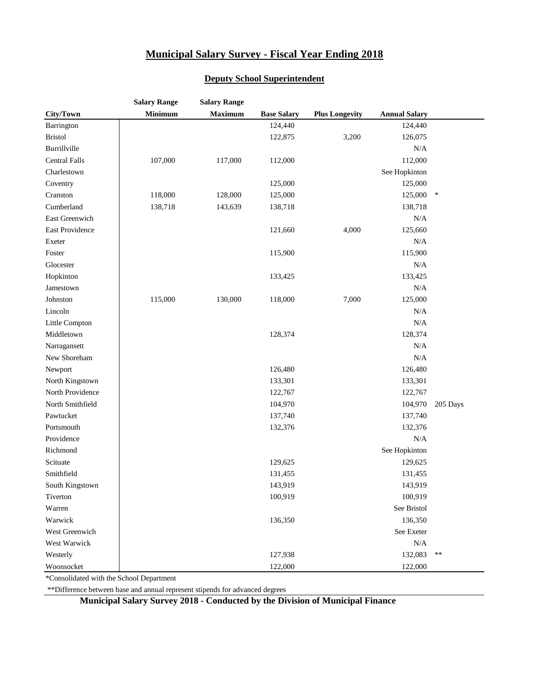|                      | <b>Salary Range</b> | <b>Salary Range</b> |                    |                       |                      |          |
|----------------------|---------------------|---------------------|--------------------|-----------------------|----------------------|----------|
| City/Town            | Minimum             | <b>Maximum</b>      | <b>Base Salary</b> | <b>Plus Longevity</b> | <b>Annual Salary</b> |          |
| Barrington           |                     |                     | 124,440            |                       | 124,440              |          |
| <b>Bristol</b>       |                     |                     | 122,875            | 3,200                 | 126,075              |          |
| Burrillville         |                     |                     |                    |                       | N/A                  |          |
| <b>Central Falls</b> | 107,000             | 117,000             | 112,000            |                       | 112,000              |          |
| Charlestown          |                     |                     |                    |                       | See Hopkinton        |          |
| Coventry             |                     |                     | 125,000            |                       | 125,000              |          |
| Cranston             | 118,000             | 128,000             | 125,000            |                       | 125,000              | $\ast$   |
| Cumberland           | 138,718             | 143,639             | 138,718            |                       | 138,718              |          |
| East Greenwich       |                     |                     |                    |                       | N/A                  |          |
| East Providence      |                     |                     | 121,660            | 4,000                 | 125,660              |          |
| Exeter               |                     |                     |                    |                       | N/A                  |          |
| Foster               |                     |                     | 115,900            |                       | 115,900              |          |
| Glocester            |                     |                     |                    |                       | N/A                  |          |
| Hopkinton            |                     |                     | 133,425            |                       | 133,425              |          |
| Jamestown            |                     |                     |                    |                       | N/A                  |          |
| Johnston             | 115,000             | 130,000             | 118,000            | 7,000                 | 125,000              |          |
| Lincoln              |                     |                     |                    |                       | N/A                  |          |
| Little Compton       |                     |                     |                    |                       | N/A                  |          |
| Middletown           |                     |                     | 128,374            |                       | 128,374              |          |
| Narragansett         |                     |                     |                    |                       | N/A                  |          |
| New Shoreham         |                     |                     |                    |                       | N/A                  |          |
| Newport              |                     |                     | 126,480            |                       | 126,480              |          |
| North Kingstown      |                     |                     | 133,301            |                       | 133,301              |          |
| North Providence     |                     |                     | 122,767            |                       | 122,767              |          |
| North Smithfield     |                     |                     | 104,970            |                       | 104,970              | 205 Days |
| Pawtucket            |                     |                     | 137,740            |                       | 137,740              |          |
| Portsmouth           |                     |                     | 132,376            |                       | 132,376              |          |
| Providence           |                     |                     |                    |                       | N/A                  |          |
| Richmond             |                     |                     |                    |                       | See Hopkinton        |          |
| Scituate             |                     |                     | 129,625            |                       | 129,625              |          |
| Smithfield           |                     |                     | 131,455            |                       | 131,455              |          |
| South Kingstown      |                     |                     | 143,919            |                       | 143,919              |          |
| Tiverton             |                     |                     | 100,919            |                       | 100,919              |          |
| Warren               |                     |                     |                    |                       | See Bristol          |          |
| Warwick              |                     |                     | 136,350            |                       | 136,350              |          |
| West Greenwich       |                     |                     |                    |                       | See Exeter           |          |
| West Warwick         |                     |                     |                    |                       | $\rm N/A$            |          |
| Westerly             |                     |                     | 127,938            |                       | 132,083              | $***$    |
| Woonsocket           |                     |                     | 122,000            |                       | 122,000              |          |

#### **Deputy School Superintendent**

\*Consolidated with the School Department

\*\*Difference between base and annual represent stipends for advanced degrees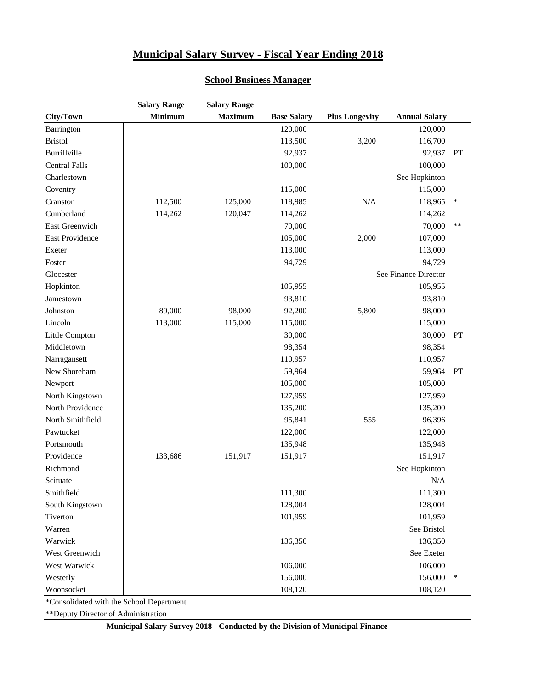#### **School Business Manager**

|                      | <b>Salary Range</b> | <b>Salary Range</b> |                    |                       |                      |       |
|----------------------|---------------------|---------------------|--------------------|-----------------------|----------------------|-------|
| City/Town            | <b>Minimum</b>      | <b>Maximum</b>      | <b>Base Salary</b> | <b>Plus Longevity</b> | <b>Annual Salary</b> |       |
| Barrington           |                     |                     | 120,000            |                       | 120,000              |       |
| <b>Bristol</b>       |                     |                     | 113,500            | 3,200                 | 116,700              |       |
| Burrillville         |                     |                     | 92,937             |                       | 92,937               | PT    |
| <b>Central Falls</b> |                     |                     | 100,000            |                       | 100,000              |       |
| Charlestown          |                     |                     |                    |                       | See Hopkinton        |       |
| Coventry             |                     |                     | 115,000            |                       | 115,000              |       |
| Cranston             | 112,500             | 125,000             | 118,985            | N/A                   | 118,965              | ∗     |
| Cumberland           | 114,262             | 120,047             | 114,262            |                       | 114,262              |       |
| East Greenwich       |                     |                     | 70,000             |                       | 70,000               | $***$ |
| East Providence      |                     |                     | 105,000            | 2,000                 | 107,000              |       |
| Exeter               |                     |                     | 113,000            |                       | 113,000              |       |
| Foster               |                     |                     | 94,729             |                       | 94,729               |       |
| Glocester            |                     |                     |                    |                       | See Finance Director |       |
| Hopkinton            |                     |                     | 105,955            |                       | 105,955              |       |
| Jamestown            |                     |                     | 93,810             |                       | 93,810               |       |
| Johnston             | 89,000              | 98,000              | 92,200             | 5,800                 | 98,000               |       |
| Lincoln              | 113,000             | 115,000             | 115,000            |                       | 115,000              |       |
| Little Compton       |                     |                     | 30,000             |                       | 30,000               | PT    |
| Middletown           |                     |                     | 98,354             |                       | 98,354               |       |
| Narragansett         |                     |                     | 110,957            |                       | 110,957              |       |
| New Shoreham         |                     |                     | 59,964             |                       | 59,964               | PT    |
| Newport              |                     |                     | 105,000            |                       | 105,000              |       |
| North Kingstown      |                     |                     | 127,959            |                       | 127,959              |       |
| North Providence     |                     |                     | 135,200            |                       | 135,200              |       |
| North Smithfield     |                     |                     | 95,841             | 555                   | 96,396               |       |
| Pawtucket            |                     |                     | 122,000            |                       | 122,000              |       |
| Portsmouth           |                     |                     | 135,948            |                       | 135,948              |       |
| Providence           | 133,686             | 151,917             | 151,917            |                       | 151,917              |       |
| Richmond             |                     |                     |                    |                       | See Hopkinton        |       |
| Scituate             |                     |                     |                    |                       | N/A                  |       |
| Smithfield           |                     |                     | 111,300            |                       | 111,300              |       |
| South Kingstown      |                     |                     | 128,004            |                       | 128,004              |       |
| Tiverton             |                     |                     | 101,959            |                       | 101,959              |       |
| Warren               |                     |                     |                    |                       | See Bristol          |       |
| Warwick              |                     |                     | 136,350            |                       | 136,350              |       |
| West Greenwich       |                     |                     |                    |                       | See Exeter           |       |
| West Warwick         |                     |                     | 106,000            |                       | 106,000              |       |
| Westerly             |                     |                     | 156,000            |                       | 156,000              | ∗     |
| Woonsocket           |                     |                     | 108,120            |                       | 108,120              |       |

\*Consolidated with the School Department

\*\*Deputy Director of Administration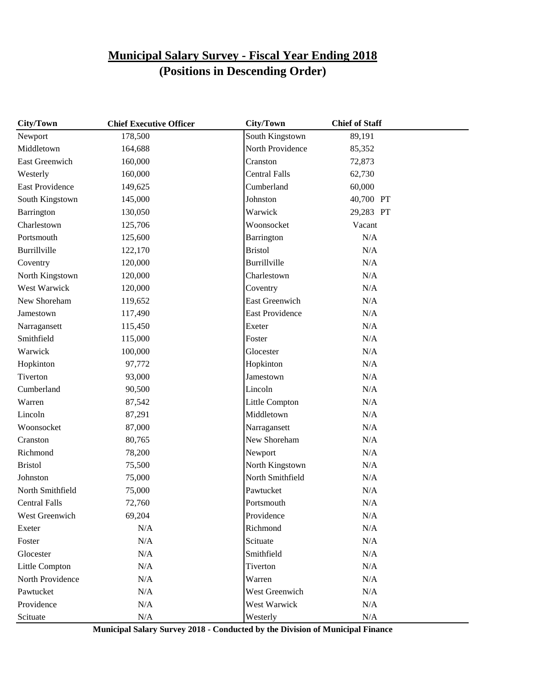| City/Town              | <b>Chief Executive Officer</b> | <b>City/Town</b>       | <b>Chief of Staff</b> |  |
|------------------------|--------------------------------|------------------------|-----------------------|--|
| Newport                | 178,500                        | South Kingstown        | 89,191                |  |
| Middletown             | 164,688                        | North Providence       | 85,352                |  |
| East Greenwich         | 160,000                        | Cranston               | 72,873                |  |
| Westerly               | 160,000                        | <b>Central Falls</b>   | 62,730                |  |
| <b>East Providence</b> | 149,625                        | Cumberland             | 60,000                |  |
| South Kingstown        | 145,000                        | Johnston               | 40,700 PT             |  |
| Barrington             | 130,050                        | Warwick                | 29,283 PT             |  |
| Charlestown            | 125,706                        | Woonsocket             | Vacant                |  |
| Portsmouth             | 125,600                        | Barrington             | N/A                   |  |
| Burrillville           | 122,170                        | <b>Bristol</b>         | N/A                   |  |
| Coventry               | 120,000                        | Burrillville           | N/A                   |  |
| North Kingstown        | 120,000                        | Charlestown            | N/A                   |  |
| West Warwick           | 120,000                        | Coventry               | N/A                   |  |
| New Shoreham           | 119,652                        | <b>East Greenwich</b>  | N/A                   |  |
| Jamestown              | 117,490                        | <b>East Providence</b> | N/A                   |  |
| Narragansett           | 115,450                        | Exeter                 | N/A                   |  |
| Smithfield             | 115,000                        | Foster                 | N/A                   |  |
| Warwick                | 100,000                        | Glocester              | N/A                   |  |
| Hopkinton              | 97,772                         | Hopkinton              | N/A                   |  |
| Tiverton               | 93,000                         | Jamestown              | N/A                   |  |
| Cumberland             | 90,500                         | Lincoln                | N/A                   |  |
| Warren                 | 87,542                         | Little Compton         | N/A                   |  |
| Lincoln                | 87,291                         | Middletown             | N/A                   |  |
| Woonsocket             | 87,000                         | Narragansett           | N/A                   |  |
| Cranston               | 80,765                         | New Shoreham           | N/A                   |  |
| Richmond               | 78,200                         | Newport                | N/A                   |  |
| <b>Bristol</b>         | 75,500                         | North Kingstown        | N/A                   |  |
| Johnston               | 75,000                         | North Smithfield       | N/A                   |  |
| North Smithfield       | 75,000                         | Pawtucket              | N/A                   |  |
| <b>Central Falls</b>   | 72,760                         | Portsmouth             | N/A                   |  |
| West Greenwich         | 69,204                         | Providence             | N/A                   |  |
| Exeter                 | N/A                            | Richmond               | $\rm N/A$             |  |
| Foster                 | N/A                            | Scituate               | N/A                   |  |
| Glocester              | N/A                            | Smithfield             | N/A                   |  |
| Little Compton         | $\rm N/A$                      | Tiverton               | $\rm N/A$             |  |
| North Providence       | N/A                            | Warren                 | N/A                   |  |
| Pawtucket              | N/A                            | West Greenwich         | $\rm N/A$             |  |
| Providence             | N/A                            | West Warwick           | N/A                   |  |
| Scituate               | N/A                            | Westerly               | $\rm N/A$             |  |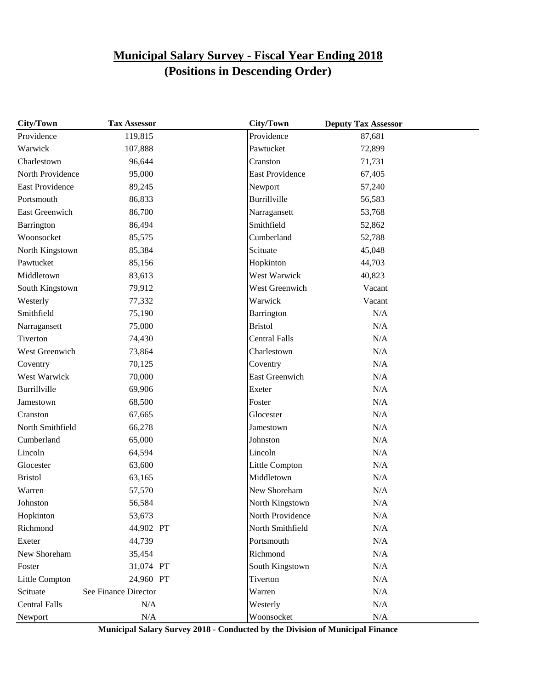| <b>City/Town</b>       | <b>Tax Assessor</b>  | <b>City/Town</b>       | <b>Deputy Tax Assessor</b> |  |
|------------------------|----------------------|------------------------|----------------------------|--|
| Providence             | 119,815              | Providence             | 87,681                     |  |
| Warwick                | 107,888              | Pawtucket              | 72,899                     |  |
| Charlestown            | 96,644               | Cranston               | 71,731                     |  |
| North Providence       | 95,000               | <b>East Providence</b> | 67,405                     |  |
| <b>East Providence</b> | 89,245               | Newport                | 57,240                     |  |
| Portsmouth             | 86,833               | Burrillville           | 56,583                     |  |
| <b>East Greenwich</b>  | 86,700               | Narragansett           | 53,768                     |  |
| Barrington             | 86,494               | Smithfield             | 52,862                     |  |
| Woonsocket             | 85,575               | Cumberland             | 52,788                     |  |
| North Kingstown        | 85,384               | Scituate               | 45,048                     |  |
| Pawtucket              | 85,156               | Hopkinton              | 44,703                     |  |
| Middletown             | 83,613               | West Warwick           | 40,823                     |  |
| South Kingstown        | 79,912               | West Greenwich         | Vacant                     |  |
| Westerly               | 77,332               | Warwick                | Vacant                     |  |
| Smithfield             | 75,190               | Barrington             | N/A                        |  |
| Narragansett           | 75,000               | <b>Bristol</b>         | N/A                        |  |
| Tiverton               | 74,430               | <b>Central Falls</b>   | N/A                        |  |
| West Greenwich         | 73,864               | Charlestown            | N/A                        |  |
| Coventry               | 70,125               | Coventry               | N/A                        |  |
| West Warwick           | 70,000               | East Greenwich         | N/A                        |  |
| Burrillville           | 69,906               | Exeter                 | N/A                        |  |
| Jamestown              | 68,500               | Foster                 | N/A                        |  |
| Cranston               | 67,665               | Glocester              | N/A                        |  |
| North Smithfield       | 66,278               | Jamestown              | N/A                        |  |
| Cumberland             | 65,000               | Johnston               | N/A                        |  |
| Lincoln                | 64,594               | Lincoln                | N/A                        |  |
| Glocester              | 63,600               | Little Compton         | N/A                        |  |
| <b>Bristol</b>         | 63,165               | Middletown             | N/A                        |  |
| Warren                 | 57,570               | New Shoreham           | N/A                        |  |
| Johnston               | 56,584               | North Kingstown        | N/A                        |  |
| Hopkinton              | 53,673               | North Providence       | N/A                        |  |
| Richmond               | 44,902 PT            | North Smithfield       | N/A                        |  |
| Exeter                 | 44,739               | Portsmouth             | N/A                        |  |
| New Shoreham           | 35,454               | Richmond               | N/A                        |  |
| Foster                 | 31,074 PT            | South Kingstown        | N/A                        |  |
| Little Compton         | 24,960 PT            | Tiverton               | N/A                        |  |
| Scituate               | See Finance Director | Warren                 | N/A                        |  |
| <b>Central Falls</b>   | N/A                  | Westerly               | N/A                        |  |
| Newport                | N/A                  | Woonsocket             | N/A                        |  |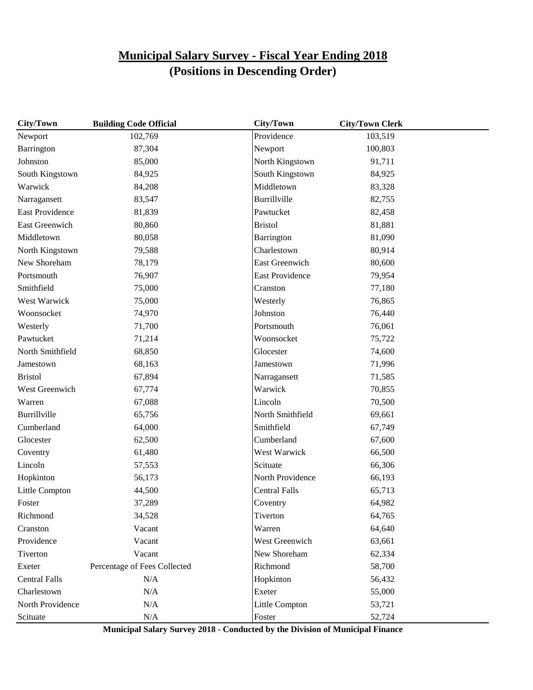| City/Town              | <b>Building Code Official</b> | <b>City/Town</b>       | <b>City/Town Clerk</b> |  |
|------------------------|-------------------------------|------------------------|------------------------|--|
| Newport                | 102,769                       | Providence             | 103,519                |  |
| Barrington             | 87,304                        | Newport                | 100,803                |  |
| Johnston               | 85,000                        | North Kingstown        | 91,711                 |  |
| South Kingstown        | 84,925                        | South Kingstown        | 84,925                 |  |
| Warwick                | 84,208                        | Middletown             | 83,328                 |  |
| Narragansett           | 83,547                        | Burrillville           | 82,755                 |  |
| <b>East Providence</b> | 81,839                        | Pawtucket              | 82,458                 |  |
| East Greenwich         | 80,860                        | <b>Bristol</b>         | 81,881                 |  |
| Middletown             | 80,058                        | Barrington             | 81,090                 |  |
| North Kingstown        | 79,588                        | Charlestown            | 80,914                 |  |
| New Shoreham           | 78,179                        | East Greenwich         | 80,600                 |  |
| Portsmouth             | 76,907                        | <b>East Providence</b> | 79,954                 |  |
| Smithfield             | 75,000                        | Cranston               | 77,180                 |  |
| West Warwick           | 75,000                        | Westerly               | 76,865                 |  |
| Woonsocket             | 74,970                        | Johnston               | 76,440                 |  |
| Westerly               | 71,700                        | Portsmouth             | 76,061                 |  |
| Pawtucket              | 71,214                        | Woonsocket             | 75,722                 |  |
| North Smithfield       | 68,850                        | Glocester              | 74,600                 |  |
| Jamestown              | 68,163                        | Jamestown              | 71,996                 |  |
| <b>Bristol</b>         | 67,894                        | Narragansett           | 71,585                 |  |
| West Greenwich         | 67,774                        | Warwick                | 70,855                 |  |
| Warren                 | 67,088                        | Lincoln                | 70,500                 |  |
| Burrillville           | 65,756                        | North Smithfield       | 69,661                 |  |
| Cumberland             | 64,000                        | Smithfield             | 67,749                 |  |
| Glocester              | 62,500                        | Cumberland             | 67,600                 |  |
| Coventry               | 61,480                        | West Warwick           | 66,500                 |  |
| Lincoln                | 57,553                        | Scituate               | 66,306                 |  |
| Hopkinton              | 56,173                        | North Providence       | 66,193                 |  |
| Little Compton         | 44,500                        | <b>Central Falls</b>   | 65,713                 |  |
| Foster                 | 37,289                        | Coventry               | 64,982                 |  |
| Richmond               | 34,528                        | Tiverton               | 64,765                 |  |
| Cranston               | Vacant                        | Warren                 | 64,640                 |  |
| Providence             | Vacant                        | West Greenwich         | 63,661                 |  |
| Tiverton               | Vacant                        | New Shoreham           | 62,334                 |  |
| Exeter                 | Percentage of Fees Collected  | Richmond               | 58,700                 |  |
| <b>Central Falls</b>   | N/A                           | Hopkinton              | 56,432                 |  |
| Charlestown            | N/A                           | Exeter                 | 55,000                 |  |
| North Providence       | N/A                           | Little Compton         | 53,721                 |  |
| Scituate               | $\rm N/A$                     | Foster                 | 52,724                 |  |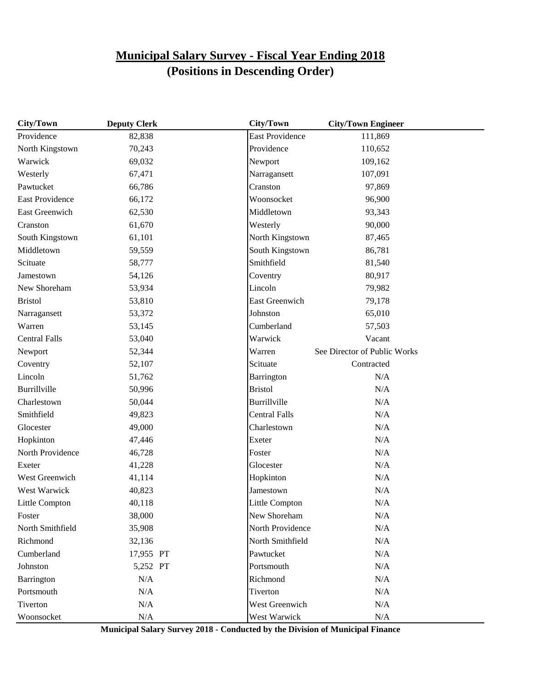| City/Town              | <b>Deputy Clerk</b> | City/Town              | <b>City/Town Engineer</b>    |  |
|------------------------|---------------------|------------------------|------------------------------|--|
| Providence             | 82,838              | <b>East Providence</b> | 111,869                      |  |
| North Kingstown        | 70,243              | Providence             | 110,652                      |  |
| Warwick                | 69,032              | Newport                | 109,162                      |  |
| Westerly               | 67,471              | Narragansett           | 107,091                      |  |
| Pawtucket              | 66,786              | Cranston               | 97,869                       |  |
| <b>East Providence</b> | 66,172              | Woonsocket             | 96,900                       |  |
| East Greenwich         | 62,530              | Middletown             | 93,343                       |  |
| Cranston               | 61,670              | Westerly               | 90,000                       |  |
| South Kingstown        | 61,101              | North Kingstown        | 87,465                       |  |
| Middletown             | 59,559              | South Kingstown        | 86,781                       |  |
| Scituate               | 58,777              | Smithfield             | 81,540                       |  |
| Jamestown              | 54,126              | Coventry               | 80,917                       |  |
| New Shoreham           | 53,934              | Lincoln                | 79,982                       |  |
| <b>Bristol</b>         | 53,810              | <b>East Greenwich</b>  | 79,178                       |  |
| Narragansett           | 53,372              | Johnston               | 65,010                       |  |
| Warren                 | 53,145              | Cumberland             | 57,503                       |  |
| <b>Central Falls</b>   | 53,040              | Warwick                | Vacant                       |  |
| Newport                | 52,344              | Warren                 | See Director of Public Works |  |
| Coventry               | 52,107              | Scituate               | Contracted                   |  |
| Lincoln                | 51,762              | Barrington             | N/A                          |  |
| Burrillville           | 50,996              | <b>Bristol</b>         | N/A                          |  |
| Charlestown            | 50,044              | Burrillville           | N/A                          |  |
| Smithfield             | 49,823              | <b>Central Falls</b>   | N/A                          |  |
| Glocester              | 49,000              | Charlestown            | N/A                          |  |
| Hopkinton              | 47,446              | Exeter                 | N/A                          |  |
| North Providence       | 46,728              | Foster                 | N/A                          |  |
| Exeter                 | 41,228              | Glocester              | N/A                          |  |
| West Greenwich         | 41,114              | Hopkinton              | N/A                          |  |
| West Warwick           | 40,823              | Jamestown              | N/A                          |  |
| Little Compton         | 40,118              | Little Compton         | N/A                          |  |
| Foster                 | 38,000              | New Shoreham           | N/A                          |  |
| North Smithfield       | 35,908              | North Providence       | $\rm N/A$                    |  |
| Richmond               | 32,136              | North Smithfield       | N/A                          |  |
| Cumberland             | 17,955 PT           | Pawtucket              | N/A                          |  |
| Johnston               | 5,252 PT            | Portsmouth             | $\rm N/A$                    |  |
| Barrington             | N/A                 | Richmond               | N/A                          |  |
| Portsmouth             | N/A                 | Tiverton               | N/A                          |  |
| Tiverton               | N/A                 | West Greenwich         | N/A                          |  |
| Woonsocket             | N/A                 | West Warwick           | $\rm N/A$                    |  |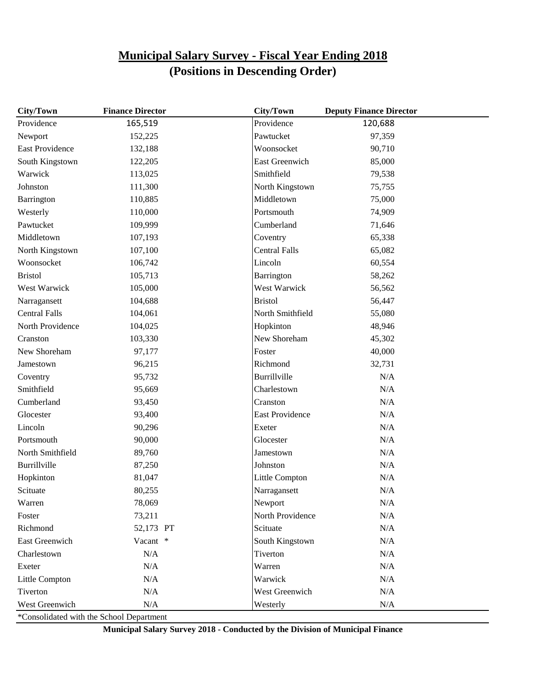| City/Town              | <b>Finance Director</b> | City/Town              | <b>Deputy Finance Director</b> |  |
|------------------------|-------------------------|------------------------|--------------------------------|--|
| Providence             | 165,519                 | Providence             | 120,688                        |  |
| Newport                | 152,225                 | Pawtucket              | 97,359                         |  |
| <b>East Providence</b> | 132,188                 | Woonsocket             | 90,710                         |  |
| South Kingstown        | 122,205                 | East Greenwich         | 85,000                         |  |
| Warwick                | 113,025                 | Smithfield             | 79,538                         |  |
| Johnston               | 111,300                 | North Kingstown        | 75,755                         |  |
| Barrington             | 110,885                 | Middletown             | 75,000                         |  |
| Westerly               | 110,000                 | Portsmouth             | 74,909                         |  |
| Pawtucket              | 109,999                 | Cumberland             | 71,646                         |  |
| Middletown             | 107,193                 | Coventry               | 65,338                         |  |
| North Kingstown        | 107,100                 | <b>Central Falls</b>   | 65,082                         |  |
| Woonsocket             | 106,742                 | Lincoln                | 60,554                         |  |
| <b>Bristol</b>         | 105,713                 | Barrington             | 58,262                         |  |
| West Warwick           | 105,000                 | West Warwick           | 56,562                         |  |
| Narragansett           | 104,688                 | <b>Bristol</b>         | 56,447                         |  |
| <b>Central Falls</b>   | 104,061                 | North Smithfield       | 55,080                         |  |
| North Providence       | 104,025                 | Hopkinton              | 48,946                         |  |
| Cranston               | 103,330                 | New Shoreham           | 45,302                         |  |
| New Shoreham           | 97,177                  | Foster                 | 40,000                         |  |
| Jamestown              | 96,215                  | Richmond               | 32,731                         |  |
| Coventry               | 95,732                  | Burrillville           | N/A                            |  |
| Smithfield             | 95,669                  | Charlestown            | N/A                            |  |
| Cumberland             | 93,450                  | Cranston               | N/A                            |  |
| Glocester              | 93,400                  | <b>East Providence</b> | N/A                            |  |
| Lincoln                | 90,296                  | Exeter                 | N/A                            |  |
| Portsmouth             | 90,000                  | Glocester              | N/A                            |  |
| North Smithfield       | 89,760                  | Jamestown              | N/A                            |  |
| Burrillville           | 87,250                  | Johnston               | N/A                            |  |
| Hopkinton              | 81,047                  | Little Compton         | N/A                            |  |
| Scituate               | 80,255                  | Narragansett           | N/A                            |  |
| Warren                 | 78,069                  | Newport                | N/A                            |  |
| Foster                 | 73,211                  | North Providence       | $\rm N/A$                      |  |
| Richmond               | 52,173 PT               | Scituate               | N/A                            |  |
| East Greenwich         | Vacant *                | South Kingstown        | N/A                            |  |
| Charlestown            | $\rm N/A$               | Tiverton               | N/A                            |  |
| Exeter                 | $\rm N/A$               | Warren                 | $\rm N/A$                      |  |
| Little Compton         | $\rm N/A$               | Warwick                | $\rm N/A$                      |  |
| Tiverton               | N/A                     | <b>West Greenwich</b>  | N/A                            |  |
| West Greenwich         | N/A                     | Westerly               | N/A                            |  |

\*Consolidated with the School Department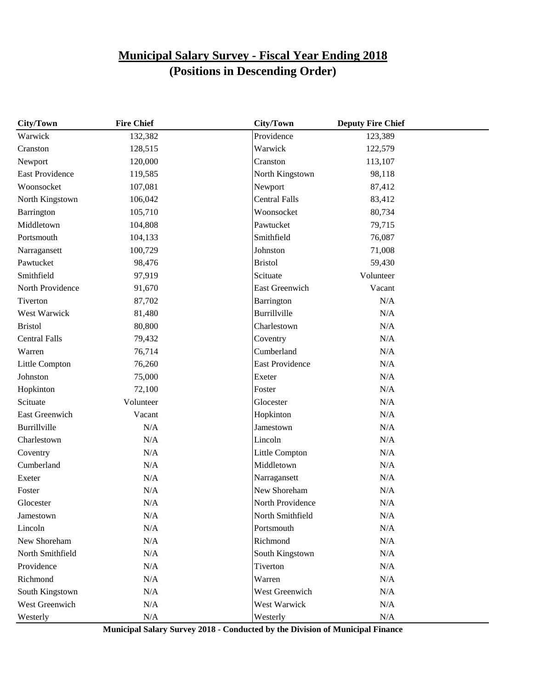| City/Town              | <b>Fire Chief</b> | <b>City/Town</b>       | <b>Deputy Fire Chief</b> |  |
|------------------------|-------------------|------------------------|--------------------------|--|
| Warwick                | 132,382           | Providence             | 123,389                  |  |
| Cranston               | 128,515           | Warwick                | 122,579                  |  |
| Newport                | 120,000           | Cranston               | 113,107                  |  |
| <b>East Providence</b> | 119,585           | North Kingstown        | 98,118                   |  |
| Woonsocket             | 107,081           | Newport                | 87,412                   |  |
| North Kingstown        | 106,042           | <b>Central Falls</b>   | 83,412                   |  |
| Barrington             | 105,710           | Woonsocket             | 80,734                   |  |
| Middletown             | 104,808           | Pawtucket              | 79,715                   |  |
| Portsmouth             | 104,133           | Smithfield             | 76,087                   |  |
| Narragansett           | 100,729           | Johnston               | 71,008                   |  |
| Pawtucket              | 98,476            | <b>Bristol</b>         | 59,430                   |  |
| Smithfield             | 97,919            | Scituate               | Volunteer                |  |
| North Providence       | 91,670            | East Greenwich         | Vacant                   |  |
| Tiverton               | 87,702            | Barrington             | N/A                      |  |
| West Warwick           | 81,480            | Burrillville           | N/A                      |  |
| <b>Bristol</b>         | 80,800            | Charlestown            | N/A                      |  |
| <b>Central Falls</b>   | 79,432            | Coventry               | N/A                      |  |
| Warren                 | 76,714            | Cumberland             | N/A                      |  |
| Little Compton         | 76,260            | <b>East Providence</b> | N/A                      |  |
| Johnston               | 75,000            | Exeter                 | N/A                      |  |
| Hopkinton              | 72,100            | Foster                 | N/A                      |  |
| Scituate               | Volunteer         | Glocester              | N/A                      |  |
| East Greenwich         | Vacant            | Hopkinton              | N/A                      |  |
| Burrillville           | N/A               | Jamestown              | N/A                      |  |
| Charlestown            | N/A               | Lincoln                | N/A                      |  |
| Coventry               | N/A               | Little Compton         | N/A                      |  |
| Cumberland             | N/A               | Middletown             | N/A                      |  |
| Exeter                 | N/A               | Narragansett           | N/A                      |  |
| Foster                 | N/A               | New Shoreham           | $\rm N/A$                |  |
| Glocester              | N/A               | North Providence       | N/A                      |  |
| Jamestown              | N/A               | North Smithfield       | N/A                      |  |
| Lincoln                | $\rm N/A$         | Portsmouth             | $\rm N/A$                |  |
| New Shoreham           | $\rm N/A$         | Richmond               | $\rm N/A$                |  |
| North Smithfield       | N/A               | South Kingstown        | N/A                      |  |
| Providence             | $\rm N/A$         | Tiverton               | $\rm N/A$                |  |
| Richmond               | $\rm N/A$         | Warren                 | $\rm N/A$                |  |
| South Kingstown        | $\rm N/A$         | West Greenwich         | $\rm N/A$                |  |
| West Greenwich         | $\rm N/A$         | West Warwick           | $\rm N/A$                |  |
| Westerly               | $\rm N/A$         | Westerly               | $\rm N/A$                |  |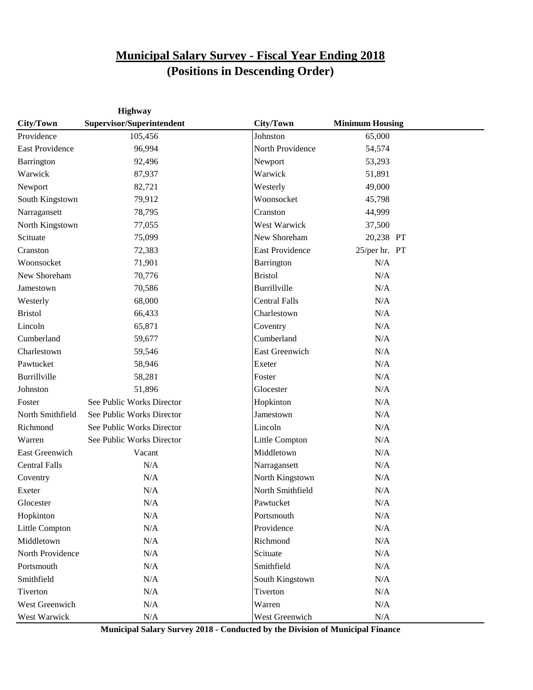|                        | Highway                   |                        |                        |  |
|------------------------|---------------------------|------------------------|------------------------|--|
| City/Town              | Supervisor/Superintendent | City/Town              | <b>Minimum Housing</b> |  |
| Providence             | 105,456                   | Johnston               | 65,000                 |  |
| <b>East Providence</b> | 96,994                    | North Providence       | 54,574                 |  |
| Barrington             | 92,496                    | Newport                | 53,293                 |  |
| Warwick                | 87,937                    | Warwick                | 51,891                 |  |
| Newport                | 82,721                    | Westerly               | 49,000                 |  |
| South Kingstown        | 79,912                    | Woonsocket             | 45,798                 |  |
| Narragansett           | 78,795                    | Cranston               | 44,999                 |  |
| North Kingstown        | 77,055                    | West Warwick           | 37,500                 |  |
| Scituate               | 75,099                    | New Shoreham           | 20,238 PT              |  |
| Cranston               | 72,383                    | <b>East Providence</b> | 25/per hr. PT          |  |
| Woonsocket             | 71,901                    | Barrington             | N/A                    |  |
| New Shoreham           | 70,776                    | <b>Bristol</b>         | N/A                    |  |
| Jamestown              | 70,586                    | Burrillville           | N/A                    |  |
| Westerly               | 68,000                    | <b>Central Falls</b>   | N/A                    |  |
| <b>Bristol</b>         | 66,433                    | Charlestown            | N/A                    |  |
| Lincoln                | 65,871                    | Coventry               | N/A                    |  |
| Cumberland             | 59,677                    | Cumberland             | N/A                    |  |
| Charlestown            | 59,546                    | <b>East Greenwich</b>  | N/A                    |  |
| Pawtucket              | 58,946                    | Exeter                 | N/A                    |  |
| Burrillville           | 58,281                    | Foster                 | N/A                    |  |
| Johnston               | 51,896                    | Glocester              | N/A                    |  |
| Foster                 | See Public Works Director | Hopkinton              | N/A                    |  |
| North Smithfield       | See Public Works Director | Jamestown              | N/A                    |  |
| Richmond               | See Public Works Director | Lincoln                | N/A                    |  |
| Warren                 | See Public Works Director | Little Compton         | N/A                    |  |
| <b>East Greenwich</b>  | Vacant                    | Middletown             | N/A                    |  |
| <b>Central Falls</b>   | N/A                       | Narragansett           | N/A                    |  |
| Coventry               | N/A                       | North Kingstown        | N/A                    |  |
| Exeter                 | N/A                       | North Smithfield       | N/A                    |  |
| Glocester              | N/A                       | Pawtucket              | N/A                    |  |
| Hopkinton              | $\rm N/A$                 | Portsmouth             | $\rm N/A$              |  |
| Little Compton         | $\rm N/A$                 | Providence             | N/A                    |  |
| Middletown             | N/A                       | Richmond               | N/A                    |  |
| North Providence       | N/A                       | Scituate               | N/A                    |  |
| Portsmouth             | N/A                       | Smithfield             | $\rm N/A$              |  |
| Smithfield             | $\rm N/A$                 | South Kingstown        | N/A                    |  |
| Tiverton               | $\rm N/A$                 | Tiverton               | N/A                    |  |
| West Greenwich         | $\rm N/A$                 | Warren                 | $\rm N/A$              |  |
| West Warwick           | $\rm N/A$                 | West Greenwich         | N/A                    |  |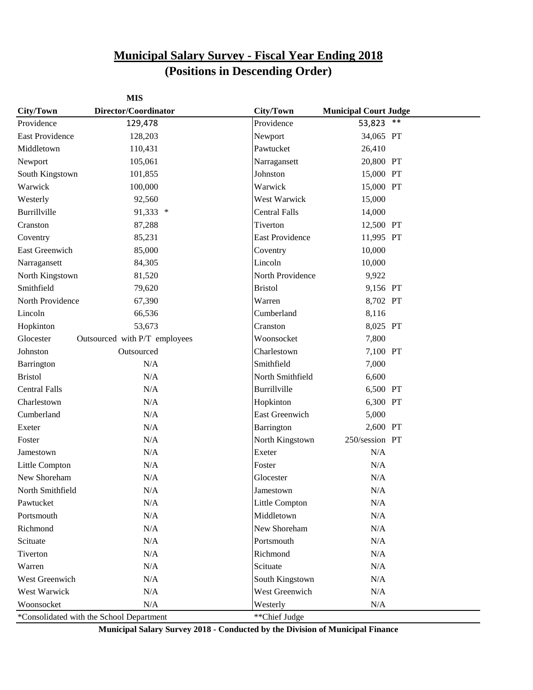|                        | <b>MIS</b>                               |                        |                              |       |
|------------------------|------------------------------------------|------------------------|------------------------------|-------|
| City/Town              | Director/Coordinator                     | City/Town              | <b>Municipal Court Judge</b> |       |
| Providence             | 129,478                                  | Providence             | 53,823                       | $***$ |
| <b>East Providence</b> | 128,203                                  | Newport                | 34,065 PT                    |       |
| Middletown             | 110,431                                  | Pawtucket              | 26,410                       |       |
| Newport                | 105,061                                  | Narragansett           | 20,800 PT                    |       |
| South Kingstown        | 101,855                                  | Johnston               | 15,000 PT                    |       |
| Warwick                | 100,000                                  | Warwick                | 15,000 PT                    |       |
| Westerly               | 92,560                                   | West Warwick           | 15,000                       |       |
| Burrillville           | 91,333 *                                 | <b>Central Falls</b>   | 14,000                       |       |
| Cranston               | 87,288                                   | Tiverton               | 12,500 PT                    |       |
| Coventry               | 85,231                                   | <b>East Providence</b> | 11,995 PT                    |       |
| East Greenwich         | 85,000                                   | Coventry               | 10,000                       |       |
| Narragansett           | 84,305                                   | Lincoln                | 10,000                       |       |
| North Kingstown        | 81,520                                   | North Providence       | 9,922                        |       |
| Smithfield             | 79,620                                   | <b>Bristol</b>         | 9,156 PT                     |       |
| North Providence       | 67,390                                   | Warren                 | 8,702 PT                     |       |
| Lincoln                | 66,536                                   | Cumberland             | 8,116                        |       |
| Hopkinton              | 53,673                                   | Cranston               | 8,025 PT                     |       |
| Glocester              | Outsourced with P/T employees            | Woonsocket             | 7,800                        |       |
| Johnston               | Outsourced                               | Charlestown            | 7,100 PT                     |       |
| Barrington             | N/A                                      | Smithfield             | 7,000                        |       |
| <b>Bristol</b>         | N/A                                      | North Smithfield       | 6,600                        |       |
| <b>Central Falls</b>   | N/A                                      | Burrillville           | 6,500 PT                     |       |
| Charlestown            | N/A                                      | Hopkinton              | 6,300 PT                     |       |
| Cumberland             | N/A                                      | <b>East Greenwich</b>  | 5,000                        |       |
| Exeter                 | N/A                                      | Barrington             | 2,600 PT                     |       |
| Foster                 | N/A                                      | North Kingstown        | 250/session PT               |       |
| Jamestown              | N/A                                      | Exeter                 | N/A                          |       |
| Little Compton         | N/A                                      | Foster                 | N/A                          |       |
| New Shoreham           | N/A                                      | Glocester              | N/A                          |       |
| North Smithfield       | N/A                                      | Jamestown              | N/A                          |       |
| Pawtucket              | $\rm N/A$                                | Little Compton         | $\rm N/A$                    |       |
| Portsmouth             | N/A                                      | Middletown             | N/A                          |       |
| Richmond               | N/A                                      | New Shoreham           | N/A                          |       |
| Scituate               | $\rm N/A$                                | Portsmouth             | N/A                          |       |
| Tiverton               | N/A                                      | Richmond               | N/A                          |       |
| Warren                 | N/A                                      | Scituate               | N/A                          |       |
| West Greenwich         | N/A                                      | South Kingstown        | N/A                          |       |
| West Warwick           | N/A                                      | West Greenwich         | N/A                          |       |
| Woonsocket             | N/A                                      | Westerly               | $\rm N/A$                    |       |
|                        | *Consolidated with the School Department | **Chief Judge          |                              |       |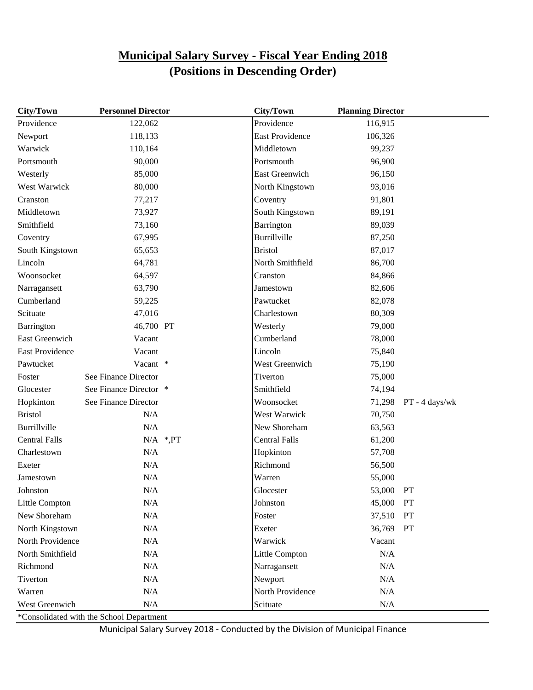| City/Town              | <b>Personnel Director</b> |               | <b>City/Town</b>       | <b>Planning Director</b> |                |
|------------------------|---------------------------|---------------|------------------------|--------------------------|----------------|
| Providence             | 122,062                   |               | Providence             | 116,915                  |                |
| Newport                | 118,133                   |               | <b>East Providence</b> | 106,326                  |                |
| Warwick                | 110,164                   |               | Middletown             | 99,237                   |                |
| Portsmouth             | 90,000                    |               | Portsmouth             | 96,900                   |                |
| Westerly               | 85,000                    |               | East Greenwich         | 96,150                   |                |
| West Warwick           | 80,000                    |               | North Kingstown        | 93,016                   |                |
| Cranston               | 77,217                    |               | Coventry               | 91,801                   |                |
| Middletown             | 73,927                    |               | South Kingstown        | 89,191                   |                |
| Smithfield             | 73,160                    |               | Barrington             | 89,039                   |                |
| Coventry               | 67,995                    |               | Burrillville           | 87,250                   |                |
| South Kingstown        | 65,653                    |               | <b>Bristol</b>         | 87,017                   |                |
| Lincoln                | 64,781                    |               | North Smithfield       | 86,700                   |                |
| Woonsocket             | 64,597                    |               | Cranston               | 84,866                   |                |
| Narragansett           | 63,790                    |               | Jamestown              | 82,606                   |                |
| Cumberland             | 59,225                    |               | Pawtucket              | 82,078                   |                |
| Scituate               | 47,016                    |               | Charlestown            | 80,309                   |                |
| Barrington             | 46,700 PT                 |               | Westerly               | 79,000                   |                |
| <b>East Greenwich</b>  | Vacant                    |               | Cumberland             | 78,000                   |                |
| <b>East Providence</b> | Vacant                    |               | Lincoln                | 75,840                   |                |
| Pawtucket              | Vacant *                  |               | West Greenwich         | 75,190                   |                |
| Foster                 | See Finance Director      |               | Tiverton               | 75,000                   |                |
| Glocester              | See Finance Director *    |               | Smithfield             | 74,194                   |                |
| Hopkinton              | See Finance Director      |               | Woonsocket             | 71,298                   | PT - 4 days/wk |
| <b>Bristol</b>         | N/A                       |               | West Warwick           | 70,750                   |                |
| Burrillville           | N/A                       |               | New Shoreham           | 63,563                   |                |
| <b>Central Falls</b>   |                           | $N/A$ *, $PT$ | <b>Central Falls</b>   | 61,200                   |                |
| Charlestown            | N/A                       |               | Hopkinton              | 57,708                   |                |
| Exeter                 | N/A                       |               | Richmond               | 56,500                   |                |
| Jamestown              | N/A                       |               | Warren                 | 55,000                   |                |
| Johnston               | N/A                       |               | Glocester              | 53,000                   | PT             |
| Little Compton         | N/A                       |               | Johnston               | 45,000                   | PT             |
| New Shoreham           | $\rm N/A$                 |               | Foster                 | 37,510                   | PT             |
| North Kingstown        | $\rm N/A$                 |               | Exeter                 | 36,769                   | PT             |
| North Providence       | N/A                       |               | Warwick                | Vacant                   |                |
| North Smithfield       | $\rm N/A$                 |               | Little Compton         | N/A                      |                |
| Richmond               | $\rm N/A$                 |               | Narragansett           | N/A                      |                |
| Tiverton               | $\rm N/A$                 |               | Newport                | N/A                      |                |
| Warren                 | $\rm N/A$                 |               | North Providence       | $\rm N/A$                |                |
| West Greenwich         | $\rm N/A$                 |               | Scituate               | N/A                      |                |

\*Consolidated with the School Department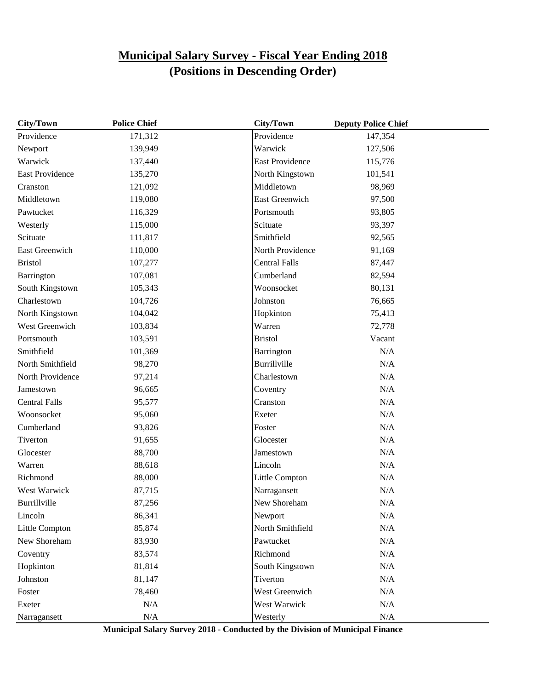| City/Town              | <b>Police Chief</b> | City/Town              | <b>Deputy Police Chief</b> |  |
|------------------------|---------------------|------------------------|----------------------------|--|
| Providence             | 171,312             | Providence             | 147,354                    |  |
| Newport                | 139,949             | Warwick                | 127,506                    |  |
| Warwick                | 137,440             | <b>East Providence</b> | 115,776                    |  |
| <b>East Providence</b> | 135,270             | North Kingstown        | 101,541                    |  |
| Cranston               | 121,092             | Middletown             | 98,969                     |  |
| Middletown             | 119,080             | East Greenwich         | 97,500                     |  |
| Pawtucket              | 116,329             | Portsmouth             | 93,805                     |  |
| Westerly               | 115,000             | Scituate               | 93,397                     |  |
| Scituate               | 111,817             | Smithfield             | 92,565                     |  |
| East Greenwich         | 110,000             | North Providence       | 91,169                     |  |
| <b>Bristol</b>         | 107,277             | <b>Central Falls</b>   | 87,447                     |  |
| Barrington             | 107,081             | Cumberland             | 82,594                     |  |
| South Kingstown        | 105,343             | Woonsocket             | 80,131                     |  |
| Charlestown            | 104,726             | Johnston               | 76,665                     |  |
| North Kingstown        | 104,042             | Hopkinton              | 75,413                     |  |
| West Greenwich         | 103,834             | Warren                 | 72,778                     |  |
| Portsmouth             | 103,591             | <b>Bristol</b>         | Vacant                     |  |
| Smithfield             | 101,369             | Barrington             | N/A                        |  |
| North Smithfield       | 98,270              | Burrillville           | N/A                        |  |
| North Providence       | 97,214              | Charlestown            | N/A                        |  |
| Jamestown              | 96,665              | Coventry               | N/A                        |  |
| <b>Central Falls</b>   | 95,577              | Cranston               | N/A                        |  |
| Woonsocket             | 95,060              | Exeter                 | N/A                        |  |
| Cumberland             | 93,826              | Foster                 | N/A                        |  |
| Tiverton               | 91,655              | Glocester              | N/A                        |  |
| Glocester              | 88,700              | Jamestown              | N/A                        |  |
| Warren                 | 88,618              | Lincoln                | $\rm N/A$                  |  |
| Richmond               | 88,000              | Little Compton         | $\rm N/A$                  |  |
| West Warwick           | 87,715              | Narragansett           | N/A                        |  |
| Burrillville           | 87,256              | New Shoreham           | N/A                        |  |
| Lincoln                | 86,341              | Newport                | N/A                        |  |
| Little Compton         | 85,874              | North Smithfield       | $\rm N/A$                  |  |
| New Shoreham           | 83,930              | Pawtucket              | $\rm N/A$                  |  |
| Coventry               | 83,574              | Richmond               | N/A                        |  |
| Hopkinton              | 81,814              | South Kingstown        | N/A                        |  |
| Johnston               | 81,147              | Tiverton               | N/A                        |  |
| Foster                 | 78,460              | West Greenwich         | N/A                        |  |
| Exeter                 | N/A                 | West Warwick           | $\rm N/A$                  |  |
| Narragansett           | $\rm N/A$           | Westerly               | $\rm N/A$                  |  |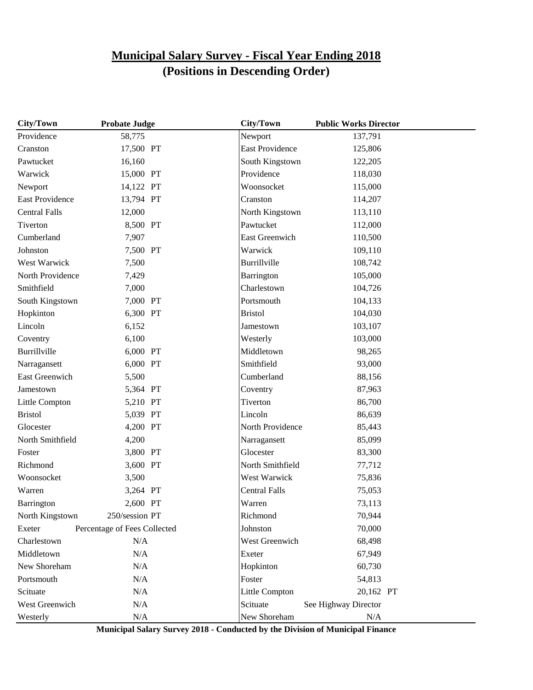| City/Town            | <b>Probate Judge</b>         | City/Town              | <b>Public Works Director</b> |  |
|----------------------|------------------------------|------------------------|------------------------------|--|
| Providence           | 58,775                       | Newport                | 137,791                      |  |
| Cranston             | 17,500 PT                    | <b>East Providence</b> | 125,806                      |  |
| Pawtucket            | 16,160                       | South Kingstown        | 122,205                      |  |
| Warwick              | 15,000 PT                    | Providence             | 118,030                      |  |
| Newport              | 14,122 PT                    | Woonsocket             | 115,000                      |  |
| East Providence      | 13,794 PT                    | Cranston               | 114,207                      |  |
| <b>Central Falls</b> | 12,000                       | North Kingstown        | 113,110                      |  |
| Tiverton             | 8,500 PT                     | Pawtucket              | 112,000                      |  |
| Cumberland           | 7,907                        | <b>East Greenwich</b>  | 110,500                      |  |
| Johnston             | 7,500 PT                     | Warwick                | 109,110                      |  |
| West Warwick         | 7,500                        | Burrillville           | 108,742                      |  |
| North Providence     | 7,429                        | Barrington             | 105,000                      |  |
| Smithfield           | 7,000                        | Charlestown            | 104,726                      |  |
| South Kingstown      | 7,000 PT                     | Portsmouth             | 104,133                      |  |
| Hopkinton            | 6,300 PT                     | <b>Bristol</b>         | 104,030                      |  |
| Lincoln              | 6,152                        | Jamestown              | 103,107                      |  |
| Coventry             | 6,100                        | Westerly               | 103,000                      |  |
| Burrillville         | 6,000 PT                     | Middletown             | 98,265                       |  |
| Narragansett         | 6,000 PT                     | Smithfield             | 93,000                       |  |
| East Greenwich       | 5,500                        | Cumberland             | 88,156                       |  |
| Jamestown            | 5,364 PT                     | Coventry               | 87,963                       |  |
| Little Compton       | 5,210 PT                     | Tiverton               | 86,700                       |  |
| <b>Bristol</b>       | 5,039 PT                     | Lincoln                | 86,639                       |  |
| Glocester            | 4,200 PT                     | North Providence       | 85,443                       |  |
| North Smithfield     | 4,200                        | Narragansett           | 85,099                       |  |
| Foster               | 3,800 PT                     | Glocester              | 83,300                       |  |
| Richmond             | 3,600 PT                     | North Smithfield       | 77,712                       |  |
| Woonsocket           | 3,500                        | West Warwick           | 75,836                       |  |
| Warren               | 3,264 PT                     | <b>Central Falls</b>   | 75,053                       |  |
| Barrington           | 2,600 PT                     | Warren                 | 73,113                       |  |
| North Kingstown      | 250/session PT               | Richmond               | 70,944                       |  |
| Exeter               | Percentage of Fees Collected | Johnston               | 70,000                       |  |
| Charlestown          | N/A                          | West Greenwich         | 68,498                       |  |
| Middletown           | N/A                          | Exeter                 | 67,949                       |  |
| New Shoreham         | N/A                          | Hopkinton              | 60,730                       |  |
| Portsmouth           | N/A                          | Foster                 | 54,813                       |  |
| Scituate             | N/A                          | Little Compton         | 20,162 PT                    |  |
| West Greenwich       | $\rm N/A$                    | Scituate               | See Highway Director         |  |
| Westerly             | N/A                          | New Shoreham           | N/A                          |  |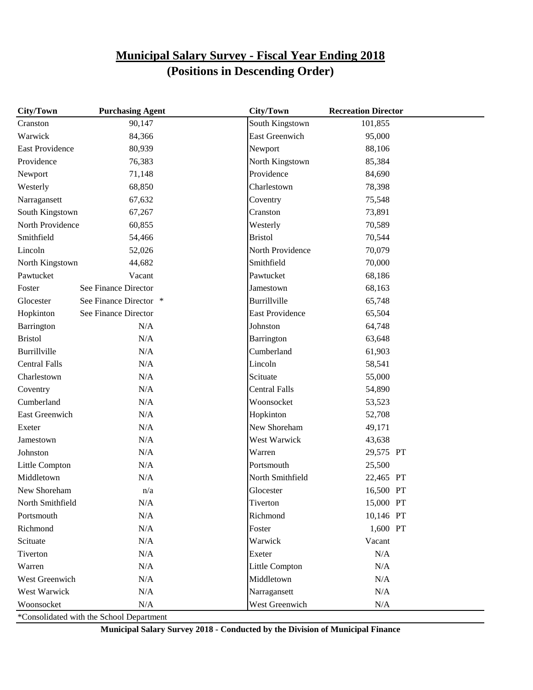| South Kingstown<br>90,147<br>101,855<br>Cranston<br>Warwick<br>84,366<br><b>East Greenwich</b><br>95,000<br><b>East Providence</b><br>80,939<br>Newport<br>88,106<br>Providence<br>76,383<br>North Kingstown<br>85,384<br>Providence<br>71,148<br>84,690<br>Newport<br>68,850<br>Charlestown<br>78,398<br>Westerly<br>67,632<br>75,548<br>Narragansett<br>Coventry<br>South Kingstown<br>Cranston<br>73,891<br>67,267<br>North Providence<br>60,855<br>70,589<br>Westerly<br>Smithfield<br><b>Bristol</b><br>70,544<br>54,466 |
|-------------------------------------------------------------------------------------------------------------------------------------------------------------------------------------------------------------------------------------------------------------------------------------------------------------------------------------------------------------------------------------------------------------------------------------------------------------------------------------------------------------------------------|
|                                                                                                                                                                                                                                                                                                                                                                                                                                                                                                                               |
|                                                                                                                                                                                                                                                                                                                                                                                                                                                                                                                               |
|                                                                                                                                                                                                                                                                                                                                                                                                                                                                                                                               |
|                                                                                                                                                                                                                                                                                                                                                                                                                                                                                                                               |
|                                                                                                                                                                                                                                                                                                                                                                                                                                                                                                                               |
|                                                                                                                                                                                                                                                                                                                                                                                                                                                                                                                               |
|                                                                                                                                                                                                                                                                                                                                                                                                                                                                                                                               |
|                                                                                                                                                                                                                                                                                                                                                                                                                                                                                                                               |
|                                                                                                                                                                                                                                                                                                                                                                                                                                                                                                                               |
|                                                                                                                                                                                                                                                                                                                                                                                                                                                                                                                               |
| North Providence<br>Lincoln<br>52,026<br>70,079                                                                                                                                                                                                                                                                                                                                                                                                                                                                               |
| Smithfield<br>70,000<br>North Kingstown<br>44,682                                                                                                                                                                                                                                                                                                                                                                                                                                                                             |
| Pawtucket<br>Vacant<br>Pawtucket<br>68,186                                                                                                                                                                                                                                                                                                                                                                                                                                                                                    |
| See Finance Director<br>68,163<br>Foster<br>Jamestown                                                                                                                                                                                                                                                                                                                                                                                                                                                                         |
| Glocester<br>See Finance Director *<br>Burrillville<br>65,748                                                                                                                                                                                                                                                                                                                                                                                                                                                                 |
| Hopkinton<br>See Finance Director<br><b>East Providence</b><br>65,504                                                                                                                                                                                                                                                                                                                                                                                                                                                         |
| Barrington<br>N/A<br>Johnston<br>64,748                                                                                                                                                                                                                                                                                                                                                                                                                                                                                       |
| <b>Bristol</b><br>N/A<br>Barrington<br>63,648                                                                                                                                                                                                                                                                                                                                                                                                                                                                                 |
| <b>Burrillville</b><br>N/A<br>Cumberland<br>61,903                                                                                                                                                                                                                                                                                                                                                                                                                                                                            |
| Lincoln<br><b>Central Falls</b><br>N/A<br>58,541                                                                                                                                                                                                                                                                                                                                                                                                                                                                              |
| N/A<br>Scituate<br>Charlestown<br>55,000                                                                                                                                                                                                                                                                                                                                                                                                                                                                                      |
| <b>Central Falls</b><br>N/A<br>Coventry<br>54,890                                                                                                                                                                                                                                                                                                                                                                                                                                                                             |
| Cumberland<br>N/A<br>Woonsocket<br>53,523                                                                                                                                                                                                                                                                                                                                                                                                                                                                                     |
| Hopkinton<br>East Greenwich<br>N/A<br>52,708                                                                                                                                                                                                                                                                                                                                                                                                                                                                                  |
| New Shoreham<br>N/A<br>Exeter<br>49,171                                                                                                                                                                                                                                                                                                                                                                                                                                                                                       |
| N/A<br>West Warwick<br>Jamestown<br>43,638                                                                                                                                                                                                                                                                                                                                                                                                                                                                                    |
| Johnston<br>N/A<br>Warren<br>29,575 PT                                                                                                                                                                                                                                                                                                                                                                                                                                                                                        |
| N/A<br>Portsmouth<br>Little Compton<br>25,500                                                                                                                                                                                                                                                                                                                                                                                                                                                                                 |
| North Smithfield<br>Middletown<br>N/A<br>22,465 PT                                                                                                                                                                                                                                                                                                                                                                                                                                                                            |
| New Shoreham<br>16,500 PT<br>n/a<br>Glocester                                                                                                                                                                                                                                                                                                                                                                                                                                                                                 |
| North Smithfield<br>N/A<br>Tiverton<br>15,000 PT                                                                                                                                                                                                                                                                                                                                                                                                                                                                              |
| $\rm N/A$<br>Richmond<br>10,146 PT<br>Portsmouth                                                                                                                                                                                                                                                                                                                                                                                                                                                                              |
| 1,600 PT<br>Richmond<br>N/A<br>Foster                                                                                                                                                                                                                                                                                                                                                                                                                                                                                         |
| Vacant<br>Scituate<br>N/A<br>Warwick                                                                                                                                                                                                                                                                                                                                                                                                                                                                                          |
| Tiverton<br>N/A<br>Exeter<br>N/A                                                                                                                                                                                                                                                                                                                                                                                                                                                                                              |
| $\rm N/A$<br>Warren<br>N/A<br>Little Compton                                                                                                                                                                                                                                                                                                                                                                                                                                                                                  |
| West Greenwich<br>Middletown<br>N/A<br>N/A                                                                                                                                                                                                                                                                                                                                                                                                                                                                                    |
| West Warwick<br>N/A<br>Narragansett<br>N/A                                                                                                                                                                                                                                                                                                                                                                                                                                                                                    |
| Woonsocket<br>N/A<br>West Greenwich<br>N/A                                                                                                                                                                                                                                                                                                                                                                                                                                                                                    |

\*Consolidated with the School Department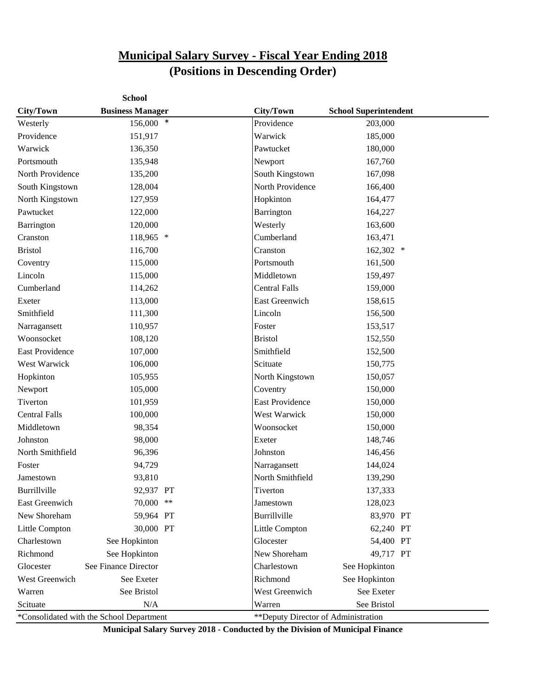|                        | <b>School</b>                            |                                     |                              |  |
|------------------------|------------------------------------------|-------------------------------------|------------------------------|--|
| City/Town              | <b>Business Manager</b>                  | City/Town                           | <b>School Superintendent</b> |  |
| Westerly               | 156,000 *                                | Providence                          | 203,000                      |  |
| Providence             | 151,917                                  | Warwick                             | 185,000                      |  |
| Warwick                | 136,350                                  | Pawtucket                           | 180,000                      |  |
| Portsmouth             | 135,948                                  | Newport                             | 167,760                      |  |
| North Providence       | 135,200                                  | South Kingstown                     | 167,098                      |  |
| South Kingstown        | 128,004                                  | North Providence                    | 166,400                      |  |
| North Kingstown        | 127,959                                  | Hopkinton                           | 164,477                      |  |
| Pawtucket              | 122,000                                  | Barrington                          | 164,227                      |  |
| Barrington             | 120,000                                  | Westerly                            | 163,600                      |  |
| Cranston               | 118,965 *                                | Cumberland                          | 163,471                      |  |
| <b>Bristol</b>         | 116,700                                  | Cranston                            | 162,302 *                    |  |
| Coventry               | 115,000                                  | Portsmouth                          | 161,500                      |  |
| Lincoln                | 115,000                                  | Middletown                          | 159,497                      |  |
| Cumberland             | 114,262                                  | <b>Central Falls</b>                | 159,000                      |  |
| Exeter                 | 113,000                                  | East Greenwich                      | 158,615                      |  |
| Smithfield             | 111,300                                  | Lincoln                             | 156,500                      |  |
| Narragansett           | 110,957                                  | Foster                              | 153,517                      |  |
| Woonsocket             | 108,120                                  | <b>Bristol</b>                      | 152,550                      |  |
| <b>East Providence</b> | 107,000                                  | Smithfield                          | 152,500                      |  |
| West Warwick           | 106,000                                  | Scituate                            | 150,775                      |  |
| Hopkinton              | 105,955                                  | North Kingstown                     | 150,057                      |  |
| Newport                | 105,000                                  | Coventry                            | 150,000                      |  |
| Tiverton               | 101,959                                  | <b>East Providence</b>              | 150,000                      |  |
| <b>Central Falls</b>   | 100,000                                  | West Warwick                        | 150,000                      |  |
| Middletown             | 98,354                                   | Woonsocket                          | 150,000                      |  |
| Johnston               | 98,000                                   | Exeter                              | 148,746                      |  |
| North Smithfield       | 96,396                                   | Johnston                            | 146,456                      |  |
| Foster                 | 94,729                                   | Narragansett                        | 144,024                      |  |
| Jamestown              | 93,810                                   | North Smithfield                    | 139,290                      |  |
| Burrillville           | 92,937 PT                                | Tiverton                            | 137,333                      |  |
| East Greenwich         | 70,000 **                                | Jamestown                           | 128,023                      |  |
| New Shoreham           | 59,964 PT                                | Burrillville                        | 83,970 PT                    |  |
| Little Compton         | 30,000 PT                                | Little Compton                      | 62,240 PT                    |  |
| Charlestown            | See Hopkinton                            | Glocester                           | 54,400 PT                    |  |
| Richmond               | See Hopkinton                            | New Shoreham                        | 49,717 PT                    |  |
| Glocester              | See Finance Director                     | Charlestown                         | See Hopkinton                |  |
| West Greenwich         | See Exeter                               | Richmond                            | See Hopkinton                |  |
| Warren                 | See Bristol                              | West Greenwich                      | See Exeter                   |  |
| Scituate               | N/A                                      | Warren                              | See Bristol                  |  |
|                        | *Consolidated with the School Department | **Deputy Director of Administration |                              |  |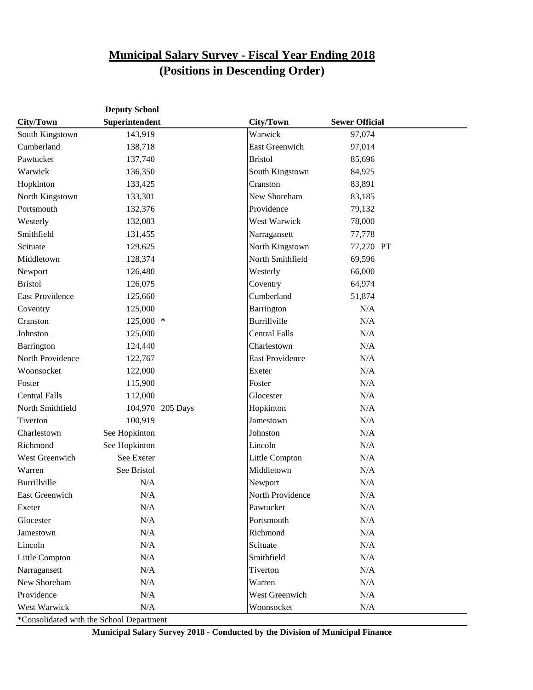|                        | <b>Deputy School</b> |                  |                        |                       |  |
|------------------------|----------------------|------------------|------------------------|-----------------------|--|
| City/Town              | Superintendent       |                  | <b>City/Town</b>       | <b>Sewer Official</b> |  |
| South Kingstown        | 143,919              |                  | Warwick                | 97,074                |  |
| Cumberland             | 138,718              |                  | East Greenwich         | 97,014                |  |
| Pawtucket              | 137,740              |                  | <b>Bristol</b>         | 85,696                |  |
| Warwick                | 136,350              |                  | South Kingstown        | 84,925                |  |
| Hopkinton              | 133,425              |                  | Cranston               | 83,891                |  |
| North Kingstown        | 133,301              |                  | New Shoreham           | 83,185                |  |
| Portsmouth             | 132,376              |                  | Providence             | 79,132                |  |
| Westerly               | 132,083              |                  | West Warwick           | 78,000                |  |
| Smithfield             | 131,455              |                  | Narragansett           | 77,778                |  |
| Scituate               | 129,625              |                  | North Kingstown        | 77,270 PT             |  |
| Middletown             | 128,374              |                  | North Smithfield       | 69,596                |  |
| Newport                | 126,480              |                  | Westerly               | 66,000                |  |
| <b>Bristol</b>         | 126,075              |                  | Coventry               | 64,974                |  |
| <b>East Providence</b> | 125,660              |                  | Cumberland             | 51,874                |  |
| Coventry               | 125,000              |                  | Barrington             | N/A                   |  |
| Cranston               | $125,000$ *          |                  | Burrillville           | N/A                   |  |
| Johnston               | 125,000              |                  | <b>Central Falls</b>   | N/A                   |  |
| Barrington             | 124,440              |                  | Charlestown            | N/A                   |  |
| North Providence       | 122,767              |                  | <b>East Providence</b> | N/A                   |  |
| Woonsocket             | 122,000              |                  | Exeter                 | N/A                   |  |
| Foster                 | 115,900              |                  | Foster                 | N/A                   |  |
| <b>Central Falls</b>   | 112,000              |                  | Glocester              | N/A                   |  |
| North Smithfield       |                      | 104,970 205 Days | Hopkinton              | N/A                   |  |
| Tiverton               | 100,919              |                  | Jamestown              | N/A                   |  |
| Charlestown            | See Hopkinton        |                  | Johnston               | N/A                   |  |
| Richmond               | See Hopkinton        |                  | Lincoln                | N/A                   |  |
| West Greenwich         | See Exeter           |                  | Little Compton         | N/A                   |  |
| Warren                 | See Bristol          |                  | Middletown             | N/A                   |  |
| Burrillville           | N/A                  |                  | Newport                | N/A                   |  |
| East Greenwich         | N/A                  |                  | North Providence       | N/A                   |  |
| Exeter                 | $\rm N/A$            |                  | Pawtucket              | N/A                   |  |
| Glocester              | $\rm N/A$            |                  | Portsmouth             | N/A                   |  |
| Jamestown              | N/A                  |                  | Richmond               | N/A                   |  |
| Lincoln                | N/A                  |                  | Scituate               | N/A                   |  |
| Little Compton         | N/A                  |                  | Smithfield             | N/A                   |  |
| Narragansett           | N/A                  |                  | Tiverton               | N/A                   |  |
| New Shoreham           | N/A                  |                  | Warren                 | N/A                   |  |
| Providence             | N/A                  |                  | West Greenwich         | N/A                   |  |
| West Warwick           | N/A                  |                  | Woonsocket             | N/A                   |  |

\*Consolidated with the School Department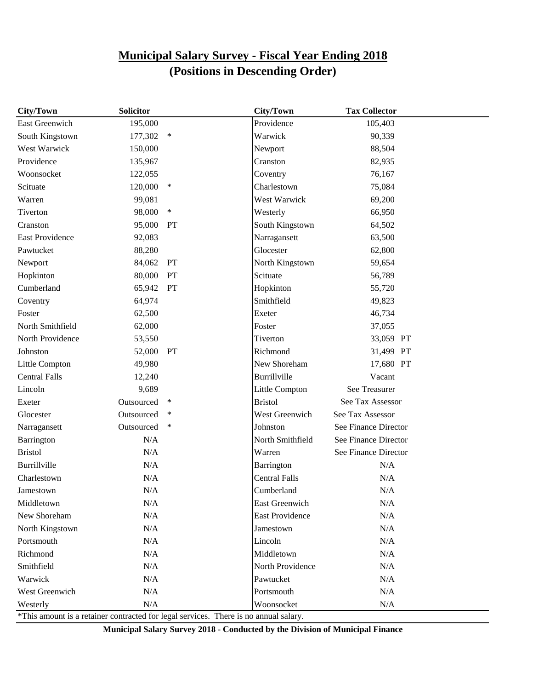| City/Town                                                                            | <b>Solicitor</b> |        | City/Town              | <b>Tax Collector</b> |
|--------------------------------------------------------------------------------------|------------------|--------|------------------------|----------------------|
| East Greenwich                                                                       | 195,000          |        | Providence             | 105,403              |
| South Kingstown                                                                      | 177,302          | $\ast$ | Warwick                | 90,339               |
| West Warwick                                                                         | 150,000          |        | Newport                | 88,504               |
| Providence                                                                           | 135,967          |        | Cranston               | 82,935               |
| Woonsocket                                                                           | 122,055          |        | Coventry               | 76,167               |
| Scituate                                                                             | 120,000          | $\ast$ | Charlestown            | 75,084               |
| Warren                                                                               | 99,081           |        | West Warwick           | 69,200               |
| Tiverton                                                                             | 98,000           | $\ast$ | Westerly               | 66,950               |
| Cranston                                                                             | 95,000           | PT     | South Kingstown        | 64,502               |
| <b>East Providence</b>                                                               | 92,083           |        | Narragansett           | 63,500               |
| Pawtucket                                                                            | 88,280           |        | Glocester              | 62,800               |
| Newport                                                                              | 84,062           | PT     | North Kingstown        | 59,654               |
| Hopkinton                                                                            | 80,000           | PT     | Scituate               | 56,789               |
| Cumberland                                                                           | 65,942           | PT     | Hopkinton              | 55,720               |
| Coventry                                                                             | 64,974           |        | Smithfield             | 49,823               |
| Foster                                                                               | 62,500           |        | Exeter                 | 46,734               |
| North Smithfield                                                                     | 62,000           |        | Foster                 | 37,055               |
| North Providence                                                                     | 53,550           |        | Tiverton               | 33,059 PT            |
| Johnston                                                                             | 52,000           | PT     | Richmond               | 31,499 PT            |
| Little Compton                                                                       | 49,980           |        | New Shoreham           | 17,680 PT            |
| <b>Central Falls</b>                                                                 | 12,240           |        | Burrillville           | Vacant               |
| Lincoln                                                                              | 9,689            |        | Little Compton         | See Treasurer        |
| Exeter                                                                               | Outsourced       | ∗      | <b>Bristol</b>         | See Tax Assessor     |
| Glocester                                                                            | Outsourced       | ∗      | West Greenwich         | See Tax Assessor     |
| Narragansett                                                                         | Outsourced       | $\ast$ | Johnston               | See Finance Director |
| Barrington                                                                           | N/A              |        | North Smithfield       | See Finance Director |
| <b>Bristol</b>                                                                       | N/A              |        | Warren                 | See Finance Director |
| Burrillville                                                                         | N/A              |        | Barrington             | N/A                  |
| Charlestown                                                                          | N/A              |        | <b>Central Falls</b>   | N/A                  |
| Jamestown                                                                            | N/A              |        | Cumberland             | N/A                  |
| Middletown                                                                           | N/A              |        | <b>East Greenwich</b>  | N/A                  |
| New Shoreham                                                                         | $\rm N/A$        |        | <b>East Providence</b> | N/A                  |
| North Kingstown                                                                      | N/A              |        | Jamestown              | N/A                  |
| Portsmouth                                                                           | $\rm N/A$        |        | Lincoln                | N/A                  |
| Richmond                                                                             | $\rm N/A$        |        | Middletown             | N/A                  |
| Smithfield                                                                           | N/A              |        | North Providence       | N/A                  |
| Warwick                                                                              | N/A              |        | Pawtucket              | N/A                  |
| West Greenwich                                                                       | $\rm N/A$        |        | Portsmouth             | $\rm N/A$            |
| Westerly                                                                             | N/A              |        | Woonsocket             | N/A                  |
| *This amount is a retainer contracted for legal services. There is no annual salary. |                  |        |                        |                      |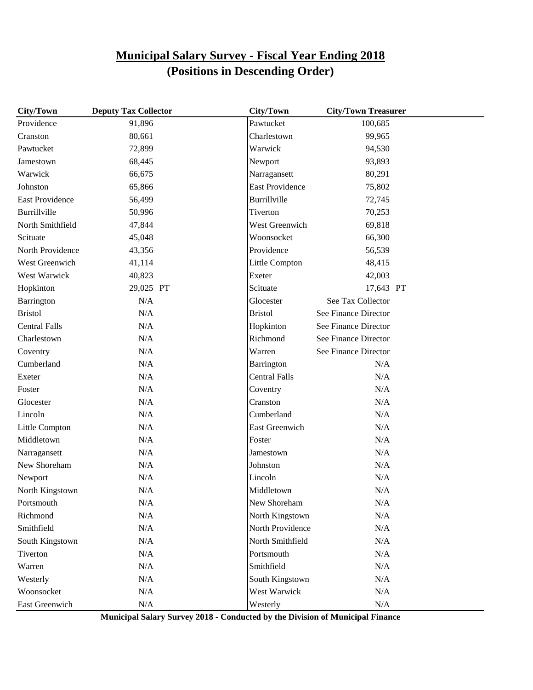| City/Town              | <b>Deputy Tax Collector</b> | City/Town              | <b>City/Town Treasurer</b> |  |
|------------------------|-----------------------------|------------------------|----------------------------|--|
| Providence             | 91,896                      | Pawtucket              | 100,685                    |  |
| Cranston               | 80,661                      | Charlestown            | 99,965                     |  |
| Pawtucket              | 72,899                      | Warwick                | 94,530                     |  |
| Jamestown              | 68,445                      | Newport                | 93,893                     |  |
| Warwick                | 66,675                      | Narragansett           | 80,291                     |  |
| Johnston               | 65,866                      | <b>East Providence</b> | 75,802                     |  |
| <b>East Providence</b> | 56,499                      | Burrillville           | 72,745                     |  |
| Burrillville           | 50,996                      | Tiverton               | 70,253                     |  |
| North Smithfield       | 47,844                      | West Greenwich         | 69,818                     |  |
| Scituate               | 45,048                      | Woonsocket             | 66,300                     |  |
| North Providence       | 43,356                      | Providence             | 56,539                     |  |
| West Greenwich         | 41,114                      | Little Compton         | 48,415                     |  |
| West Warwick           | 40,823                      | Exeter                 | 42,003                     |  |
| Hopkinton              | 29,025 PT                   | Scituate               | 17,643 PT                  |  |
| Barrington             | N/A                         | Glocester              | See Tax Collector          |  |
| <b>Bristol</b>         | N/A                         | <b>Bristol</b>         | See Finance Director       |  |
| <b>Central Falls</b>   | N/A                         | Hopkinton              | See Finance Director       |  |
| Charlestown            | N/A                         | Richmond               | See Finance Director       |  |
| Coventry               | N/A                         | Warren                 | See Finance Director       |  |
| Cumberland             | N/A                         | Barrington             | N/A                        |  |
| Exeter                 | N/A                         | <b>Central Falls</b>   | N/A                        |  |
| Foster                 | N/A                         | Coventry               | N/A                        |  |
| Glocester              | N/A                         | Cranston               | N/A                        |  |
| Lincoln                | N/A                         | Cumberland             | N/A                        |  |
| Little Compton         | N/A                         | East Greenwich         | N/A                        |  |
| Middletown             | N/A                         | Foster                 | N/A                        |  |
| Narragansett           | N/A                         | Jamestown              | N/A                        |  |
| New Shoreham           | N/A                         | Johnston               | N/A                        |  |
| Newport                | N/A                         | Lincoln                | N/A                        |  |
| North Kingstown        | N/A                         | Middletown             | N/A                        |  |
| Portsmouth             | N/A                         | New Shoreham           | N/A                        |  |
| Richmond               | $\rm N/A$                   | North Kingstown        | $\rm N/A$                  |  |
| Smithfield             | N/A                         | North Providence       | N/A                        |  |
| South Kingstown        | N/A                         | North Smithfield       | N/A                        |  |
| Tiverton               | N/A                         | Portsmouth             | N/A                        |  |
| Warren                 | N/A                         | Smithfield             | $\rm N/A$                  |  |
| Westerly               | N/A                         | South Kingstown        | N/A                        |  |
| Woonsocket             | N/A                         | West Warwick           | N/A                        |  |
| East Greenwich         | N/A                         | Westerly               | $\rm N/A$                  |  |